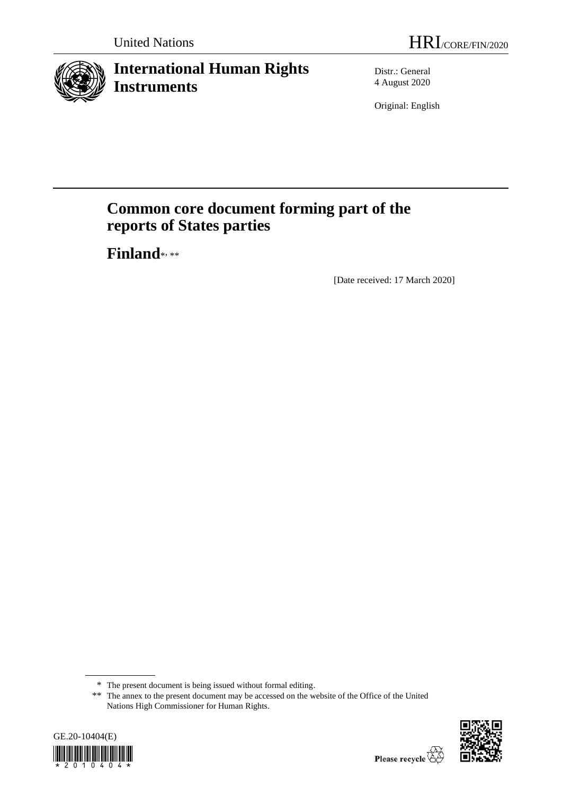

# **International Human Rights Instruments**

Distr.: General 4 August 2020

Original: English

# **Common core document forming part of the reports of States parties**

**Finland**\* , \*\*

[Date received: 17 March 2020]

<sup>\*\*</sup> The annex to the present document may be accessed on the website of the Office of the United Nations High Commissioner for Human Rights.





<sup>\*</sup> The present document is being issued without formal editing.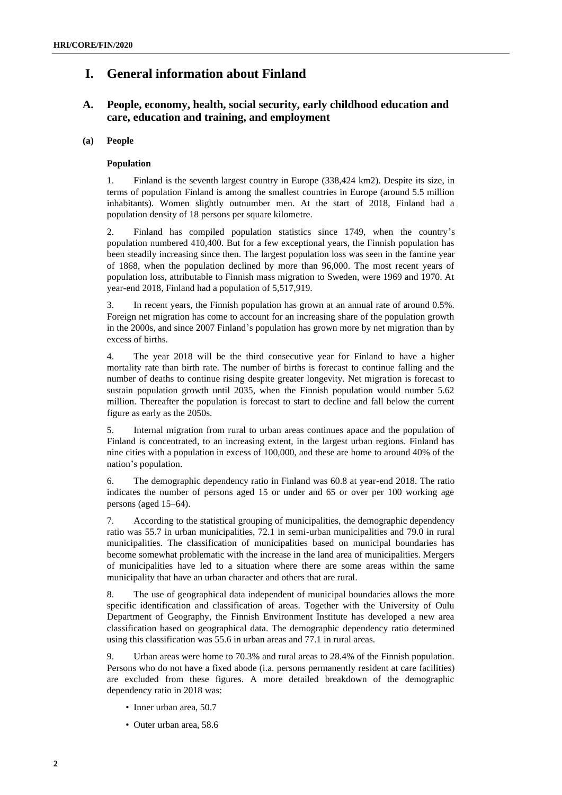# **I. General information about Finland**

# **A. People, economy, health, social security, early childhood education and care, education and training, and employment**

# **(a) People**

# **Population**

1. Finland is the seventh largest country in Europe (338,424 km2). Despite its size, in terms of population Finland is among the smallest countries in Europe (around 5.5 million inhabitants). Women slightly outnumber men. At the start of 2018, Finland had a population density of 18 persons per square kilometre.

2. Finland has compiled population statistics since 1749, when the country's population numbered 410,400. But for a few exceptional years, the Finnish population has been steadily increasing since then. The largest population loss was seen in the famine year of 1868, when the population declined by more than 96,000. The most recent years of population loss, attributable to Finnish mass migration to Sweden, were 1969 and 1970. At year-end 2018, Finland had a population of 5,517,919.

3. In recent years, the Finnish population has grown at an annual rate of around 0.5%. Foreign net migration has come to account for an increasing share of the population growth in the 2000s, and since 2007 Finland's population has grown more by net migration than by excess of births.

4. The year 2018 will be the third consecutive year for Finland to have a higher mortality rate than birth rate. The number of births is forecast to continue falling and the number of deaths to continue rising despite greater longevity. Net migration is forecast to sustain population growth until 2035, when the Finnish population would number 5.62 million. Thereafter the population is forecast to start to decline and fall below the current figure as early as the 2050s.

5. Internal migration from rural to urban areas continues apace and the population of Finland is concentrated, to an increasing extent, in the largest urban regions. Finland has nine cities with a population in excess of 100,000, and these are home to around 40% of the nation's population.

6. The demographic dependency ratio in Finland was 60.8 at year-end 2018. The ratio indicates the number of persons aged 15 or under and 65 or over per 100 working age persons (aged 15–64).

7. According to the statistical grouping of municipalities, the demographic dependency ratio was 55.7 in urban municipalities, 72.1 in semi-urban municipalities and 79.0 in rural municipalities. The classification of municipalities based on municipal boundaries has become somewhat problematic with the increase in the land area of municipalities. Mergers of municipalities have led to a situation where there are some areas within the same municipality that have an urban character and others that are rural.

8. The use of geographical data independent of municipal boundaries allows the more specific identification and classification of areas. Together with the University of Oulu Department of Geography, the Finnish Environment Institute has developed a new area classification based on geographical data. The demographic dependency ratio determined using this classification was 55.6 in urban areas and 77.1 in rural areas.

9. Urban areas were home to 70.3% and rural areas to 28.4% of the Finnish population. Persons who do not have a fixed abode (i.a. persons permanently resident at care facilities) are excluded from these figures. A more detailed breakdown of the demographic dependency ratio in 2018 was:

- Inner urban area, 50.7
- Outer urban area, 58.6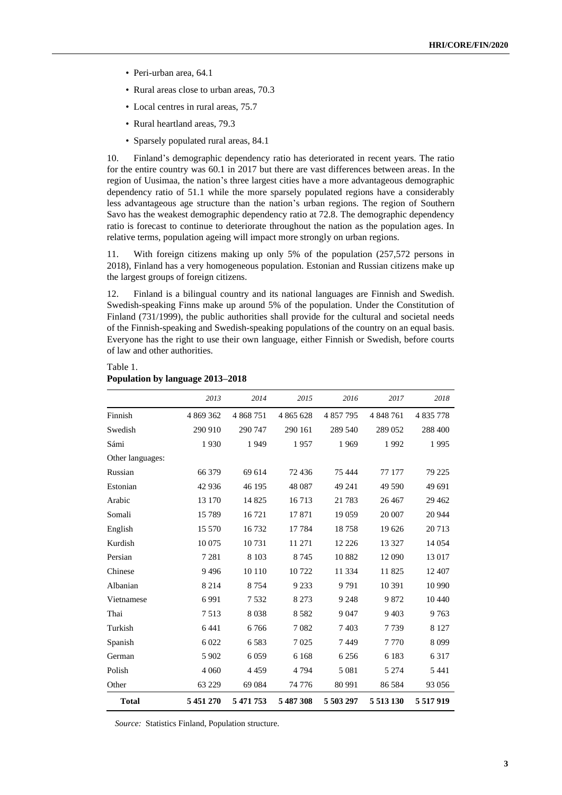- Peri-urban area, 64.1
- Rural areas close to urban areas, 70.3
- Local centres in rural areas, 75.7
- Rural heartland areas, 79.3
- Sparsely populated rural areas, 84.1

10. Finland's demographic dependency ratio has deteriorated in recent years. The ratio for the entire country was 60.1 in 2017 but there are vast differences between areas. In the region of Uusimaa, the nation's three largest cities have a more advantageous demographic dependency ratio of 51.1 while the more sparsely populated regions have a considerably less advantageous age structure than the nation's urban regions. The region of Southern Savo has the weakest demographic dependency ratio at 72.8. The demographic dependency ratio is forecast to continue to deteriorate throughout the nation as the population ages. In relative terms, population ageing will impact more strongly on urban regions.

11. With foreign citizens making up only 5% of the population (257,572 persons in 2018), Finland has a very homogeneous population. Estonian and Russian citizens make up the largest groups of foreign citizens.

12. Finland is a bilingual country and its national languages are Finnish and Swedish. Swedish-speaking Finns make up around 5% of the population. Under the Constitution of Finland (731/1999), the public authorities shall provide for the cultural and societal needs of the Finnish-speaking and Swedish-speaking populations of the country on an equal basis. Everyone has the right to use their own language, either Finnish or Swedish, before courts of law and other authorities.

|                  | 2013      | 2014      | 2015      | 2016      | 2017          | 2018          |
|------------------|-----------|-----------|-----------|-----------|---------------|---------------|
| Finnish          | 4 869 362 | 4 868 751 | 4 865 628 | 4 857 795 | 4 848 761     | 4835778       |
| Swedish          | 290 910   | 290 747   | 290 161   | 289 540   | 289 052       | 288 400       |
| Sámi             | 1930      | 1949      | 1957      | 1969      | 1992          | 1995          |
| Other languages: |           |           |           |           |               |               |
| Russian          | 66 379    | 69 614    | 72436     | 75 444    | 77 177        | 79 225        |
| Estonian         | 42 936    | 46 195    | 48 087    | 49 241    | 49 590        | 49 691        |
| Arabic           | 13 170    | 14 8 25   | 16713     | 21 783    | 26 4 67       | 29 4 62       |
| Somali           | 15789     | 16 721    | 17871     | 19 0 59   | 20 007        | 20 944        |
| English          | 15 570    | 16732     | 17784     | 18758     | 19 626        | 20713         |
| Kurdish          | 10 075    | 10731     | 11 271    | 12 2 2 6  | 13 3 27       | 14 0 54       |
| Persian          | 7 2 8 1   | 8 1 0 3   | 8 7 4 5   | 10882     | 12 090        | 13 017        |
| Chinese          | 9496      | 10 110    | 10722     | 11 3 3 4  | 11825         | 12 407        |
| Albanian         | 8 2 1 4   | 8754      | 9 2 3 3   | 9791      | 10 391        | 10 990        |
| Vietnamese       | 6991      | 7532      | 8 2 7 3   | 9 2 4 8   | 9872          | 10 440        |
| Thai             | 7513      | 8038      | 8582      | 9 0 4 7   | 9 4 0 3       | 9763          |
| Turkish          | 6 4 4 1   | 6766      | 7082      | 7403      | 7739          | 8 1 2 7       |
| Spanish          | 6 0 2 2   | 6583      | 7025      | 7449      | 7770          | 8099          |
| German           | 5 9 0 2   | 6 0 5 9   | 6 1 6 8   | 6 2 5 6   | 6 1 8 3       | 6 3 1 7       |
| Polish           | 4 0 6 0   | 4 4 5 9   | 4 7 9 4   | 5 0 8 1   | 5 2 7 4       | 5 4 4 1       |
| Other            | 63 229    | 69 0 84   | 74 776    | 80 991    | 86 5 84       | 93 056        |
| <b>Total</b>     | 5 451 270 | 5 471 753 | 5 487 308 | 5 503 297 | 5 5 1 3 1 3 0 | 5 5 1 7 9 1 9 |

# Table 1. **Population by language 2013–2018**

*Source:* Statistics Finland, Population structure.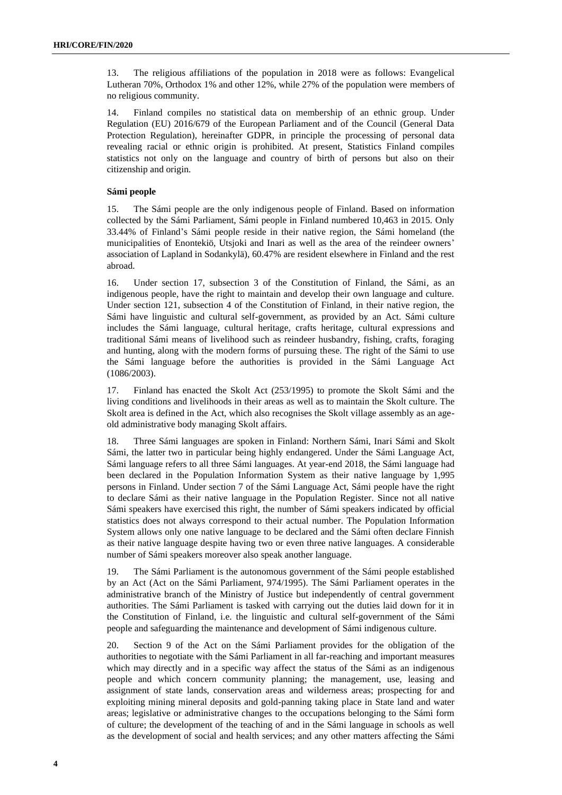13. The religious affiliations of the population in 2018 were as follows: Evangelical Lutheran 70%, Orthodox 1% and other 12%, while 27% of the population were members of no religious community.

14. Finland compiles no statistical data on membership of an ethnic group. Under Regulation (EU) 2016/679 of the European Parliament and of the Council (General Data Protection Regulation), hereinafter GDPR, in principle the processing of personal data revealing racial or ethnic origin is prohibited. At present, Statistics Finland compiles statistics not only on the language and country of birth of persons but also on their citizenship and origin.

# **Sámi people**

15. The Sámi people are the only indigenous people of Finland. Based on information collected by the Sámi Parliament, Sámi people in Finland numbered 10,463 in 2015. Only 33.44% of Finland's Sámi people reside in their native region, the Sámi homeland (the municipalities of Enontekiö, Utsjoki and Inari as well as the area of the reindeer owners' association of Lapland in Sodankylä), 60.47% are resident elsewhere in Finland and the rest abroad.

16. Under section 17, subsection 3 of the Constitution of Finland, the Sámi, as an indigenous people, have the right to maintain and develop their own language and culture. Under section 121, subsection 4 of the Constitution of Finland, in their native region, the Sámi have linguistic and cultural self-government, as provided by an Act. Sámi culture includes the Sámi language, cultural heritage, crafts heritage, cultural expressions and traditional Sámi means of livelihood such as reindeer husbandry, fishing, crafts, foraging and hunting, along with the modern forms of pursuing these. The right of the Sámi to use the Sámi language before the authorities is provided in the Sámi Language Act (1086/2003).

17. Finland has enacted the Skolt Act (253/1995) to promote the Skolt Sámi and the living conditions and livelihoods in their areas as well as to maintain the Skolt culture. The Skolt area is defined in the Act, which also recognises the Skolt village assembly as an ageold administrative body managing Skolt affairs.

18. Three Sámi languages are spoken in Finland: Northern Sámi, Inari Sámi and Skolt Sámi, the latter two in particular being highly endangered. Under the Sámi Language Act, Sámi language refers to all three Sámi languages. At year-end 2018, the Sámi language had been declared in the Population Information System as their native language by 1,995 persons in Finland. Under section 7 of the Sámi Language Act, Sámi people have the right to declare Sámi as their native language in the Population Register. Since not all native Sámi speakers have exercised this right, the number of Sámi speakers indicated by official statistics does not always correspond to their actual number. The Population Information System allows only one native language to be declared and the Sámi often declare Finnish as their native language despite having two or even three native languages. A considerable number of Sámi speakers moreover also speak another language.

19. The Sámi Parliament is the autonomous government of the Sámi people established by an Act (Act on the Sámi Parliament, 974/1995). The Sámi Parliament operates in the administrative branch of the Ministry of Justice but independently of central government authorities. The Sámi Parliament is tasked with carrying out the duties laid down for it in the Constitution of Finland, i.e. the linguistic and cultural self-government of the Sámi people and safeguarding the maintenance and development of Sámi indigenous culture.

20. Section 9 of the Act on the Sámi Parliament provides for the obligation of the authorities to negotiate with the Sámi Parliament in all far-reaching and important measures which may directly and in a specific way affect the status of the Sámi as an indigenous people and which concern community planning; the management, use, leasing and assignment of state lands, conservation areas and wilderness areas; prospecting for and exploiting mining mineral deposits and gold-panning taking place in State land and water areas; legislative or administrative changes to the occupations belonging to the Sámi form of culture; the development of the teaching of and in the Sámi language in schools as well as the development of social and health services; and any other matters affecting the Sámi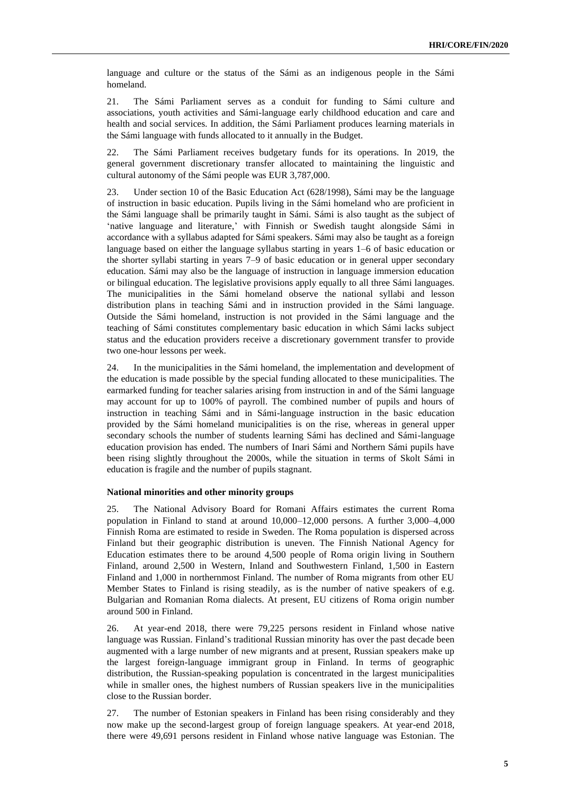language and culture or the status of the Sámi as an indigenous people in the Sámi homeland.

21. The Sámi Parliament serves as a conduit for funding to Sámi culture and associations, youth activities and Sámi-language early childhood education and care and health and social services. In addition, the Sámi Parliament produces learning materials in the Sámi language with funds allocated to it annually in the Budget.

22. The Sámi Parliament receives budgetary funds for its operations. In 2019, the general government discretionary transfer allocated to maintaining the linguistic and cultural autonomy of the Sámi people was EUR 3,787,000.

23. Under section 10 of the Basic Education Act (628/1998), Sámi may be the language of instruction in basic education. Pupils living in the Sámi homeland who are proficient in the Sámi language shall be primarily taught in Sámi. Sámi is also taught as the subject of 'native language and literature,' with Finnish or Swedish taught alongside Sámi in accordance with a syllabus adapted for Sámi speakers. Sámi may also be taught as a foreign language based on either the language syllabus starting in years 1–6 of basic education or the shorter syllabi starting in years 7–9 of basic education or in general upper secondary education. Sámi may also be the language of instruction in language immersion education or bilingual education. The legislative provisions apply equally to all three Sámi languages. The municipalities in the Sámi homeland observe the national syllabi and lesson distribution plans in teaching Sámi and in instruction provided in the Sámi language. Outside the Sámi homeland, instruction is not provided in the Sámi language and the teaching of Sámi constitutes complementary basic education in which Sámi lacks subject status and the education providers receive a discretionary government transfer to provide two one-hour lessons per week.

24. In the municipalities in the Sámi homeland, the implementation and development of the education is made possible by the special funding allocated to these municipalities. The earmarked funding for teacher salaries arising from instruction in and of the Sámi language may account for up to 100% of payroll. The combined number of pupils and hours of instruction in teaching Sámi and in Sámi-language instruction in the basic education provided by the Sámi homeland municipalities is on the rise, whereas in general upper secondary schools the number of students learning Sámi has declined and Sámi-language education provision has ended. The numbers of Inari Sámi and Northern Sámi pupils have been rising slightly throughout the 2000s, while the situation in terms of Skolt Sámi in education is fragile and the number of pupils stagnant.

#### **National minorities and other minority groups**

25. The National Advisory Board for Romani Affairs estimates the current Roma population in Finland to stand at around 10,000–12,000 persons. A further 3,000–4,000 Finnish Roma are estimated to reside in Sweden. The Roma population is dispersed across Finland but their geographic distribution is uneven. The Finnish National Agency for Education estimates there to be around 4,500 people of Roma origin living in Southern Finland, around 2,500 in Western, Inland and Southwestern Finland, 1,500 in Eastern Finland and 1,000 in northernmost Finland. The number of Roma migrants from other EU Member States to Finland is rising steadily, as is the number of native speakers of e.g. Bulgarian and Romanian Roma dialects. At present, EU citizens of Roma origin number around 500 in Finland.

26. At year-end 2018, there were 79,225 persons resident in Finland whose native language was Russian. Finland's traditional Russian minority has over the past decade been augmented with a large number of new migrants and at present, Russian speakers make up the largest foreign-language immigrant group in Finland. In terms of geographic distribution, the Russian-speaking population is concentrated in the largest municipalities while in smaller ones, the highest numbers of Russian speakers live in the municipalities close to the Russian border.

27. The number of Estonian speakers in Finland has been rising considerably and they now make up the second-largest group of foreign language speakers. At year-end 2018, there were 49,691 persons resident in Finland whose native language was Estonian. The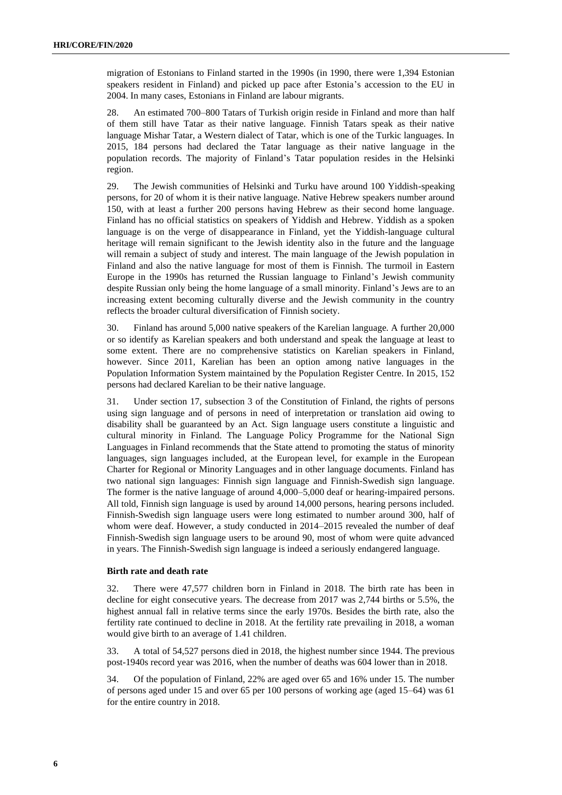migration of Estonians to Finland started in the 1990s (in 1990, there were 1,394 Estonian speakers resident in Finland) and picked up pace after Estonia's accession to the EU in 2004. In many cases, Estonians in Finland are labour migrants.

28. An estimated 700–800 Tatars of Turkish origin reside in Finland and more than half of them still have Tatar as their native language. Finnish Tatars speak as their native language Mishar Tatar, a Western dialect of Tatar, which is one of the Turkic languages. In 2015, 184 persons had declared the Tatar language as their native language in the population records. The majority of Finland's Tatar population resides in the Helsinki region.

29. The Jewish communities of Helsinki and Turku have around 100 Yiddish-speaking persons, for 20 of whom it is their native language. Native Hebrew speakers number around 150, with at least a further 200 persons having Hebrew as their second home language. Finland has no official statistics on speakers of Yiddish and Hebrew. Yiddish as a spoken language is on the verge of disappearance in Finland, yet the Yiddish-language cultural heritage will remain significant to the Jewish identity also in the future and the language will remain a subject of study and interest. The main language of the Jewish population in Finland and also the native language for most of them is Finnish. The turmoil in Eastern Europe in the 1990s has returned the Russian language to Finland's Jewish community despite Russian only being the home language of a small minority. Finland's Jews are to an increasing extent becoming culturally diverse and the Jewish community in the country reflects the broader cultural diversification of Finnish society.

30. Finland has around 5,000 native speakers of the Karelian language. A further 20,000 or so identify as Karelian speakers and both understand and speak the language at least to some extent. There are no comprehensive statistics on Karelian speakers in Finland, however. Since 2011, Karelian has been an option among native languages in the Population Information System maintained by the Population Register Centre. In 2015, 152 persons had declared Karelian to be their native language.

31. Under section 17, subsection 3 of the Constitution of Finland, the rights of persons using sign language and of persons in need of interpretation or translation aid owing to disability shall be guaranteed by an Act. Sign language users constitute a linguistic and cultural minority in Finland. The Language Policy Programme for the National Sign Languages in Finland recommends that the State attend to promoting the status of minority languages, sign languages included, at the European level, for example in the European Charter for Regional or Minority Languages and in other language documents. Finland has two national sign languages: Finnish sign language and Finnish-Swedish sign language. The former is the native language of around 4,000–5,000 deaf or hearing-impaired persons. All told, Finnish sign language is used by around 14,000 persons, hearing persons included. Finnish-Swedish sign language users were long estimated to number around 300, half of whom were deaf. However, a study conducted in 2014–2015 revealed the number of deaf Finnish-Swedish sign language users to be around 90, most of whom were quite advanced in years. The Finnish-Swedish sign language is indeed a seriously endangered language.

# **Birth rate and death rate**

32. There were 47,577 children born in Finland in 2018. The birth rate has been in decline for eight consecutive years. The decrease from 2017 was 2,744 births or 5.5%, the highest annual fall in relative terms since the early 1970s. Besides the birth rate, also the fertility rate continued to decline in 2018. At the fertility rate prevailing in 2018, a woman would give birth to an average of 1.41 children.

33. A total of 54,527 persons died in 2018, the highest number since 1944. The previous post-1940s record year was 2016, when the number of deaths was 604 lower than in 2018.

34. Of the population of Finland, 22% are aged over 65 and 16% under 15. The number of persons aged under 15 and over 65 per 100 persons of working age (aged 15–64) was 61 for the entire country in 2018.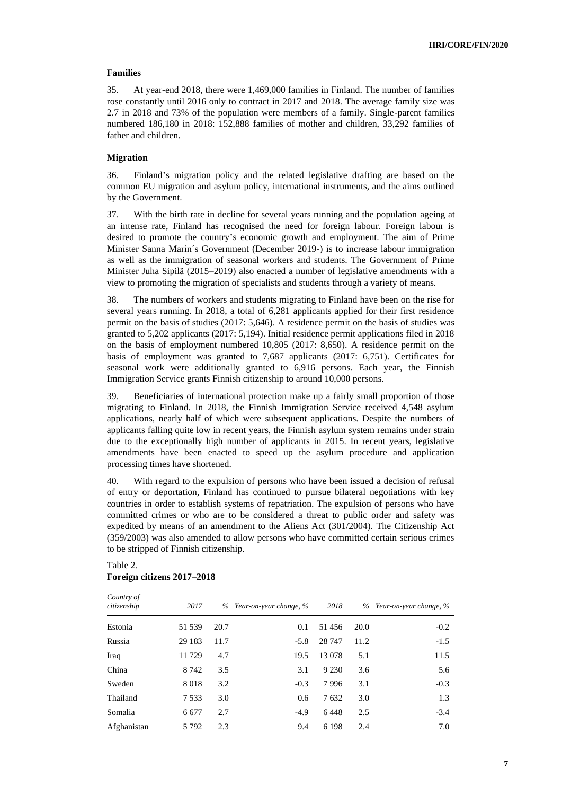# **Families**

35. At year-end 2018, there were 1,469,000 families in Finland. The number of families rose constantly until 2016 only to contract in 2017 and 2018. The average family size was 2.7 in 2018 and 73% of the population were members of a family. Single-parent families numbered 186,180 in 2018: 152,888 families of mother and children, 33,292 families of father and children.

# **Migration**

36. Finland's migration policy and the related legislative drafting are based on the common EU migration and asylum policy, international instruments, and the aims outlined by the Government.

37. With the birth rate in decline for several years running and the population ageing at an intense rate, Finland has recognised the need for foreign labour. Foreign labour is desired to promote the country's economic growth and employment. The aim of Prime Minister Sanna Marin´s Government (December 2019-) is to increase labour immigration as well as the immigration of seasonal workers and students. The Government of Prime Minister Juha Sipilä (2015–2019) also enacted a number of legislative amendments with a view to promoting the migration of specialists and students through a variety of means.

38. The numbers of workers and students migrating to Finland have been on the rise for several years running. In 2018, a total of 6,281 applicants applied for their first residence permit on the basis of studies (2017: 5,646). A residence permit on the basis of studies was granted to 5,202 applicants (2017: 5,194). Initial residence permit applications filed in 2018 on the basis of employment numbered 10,805 (2017: 8,650). A residence permit on the basis of employment was granted to 7,687 applicants (2017: 6,751). Certificates for seasonal work were additionally granted to 6,916 persons. Each year, the Finnish Immigration Service grants Finnish citizenship to around 10,000 persons.

39. Beneficiaries of international protection make up a fairly small proportion of those migrating to Finland. In 2018, the Finnish Immigration Service received 4,548 asylum applications, nearly half of which were subsequent applications. Despite the numbers of applicants falling quite low in recent years, the Finnish asylum system remains under strain due to the exceptionally high number of applicants in 2015. In recent years, legislative amendments have been enacted to speed up the asylum procedure and application processing times have shortened.

40. With regard to the expulsion of persons who have been issued a decision of refusal of entry or deportation, Finland has continued to pursue bilateral negotiations with key countries in order to establish systems of repatriation. The expulsion of persons who have committed crimes or who are to be considered a threat to public order and safety was expedited by means of an amendment to the Aliens Act (301/2004). The Citizenship Act (359/2003) was also amended to allow persons who have committed certain serious crimes to be stripped of Finnish citizenship.

| Country of<br>citizenship | 2017    |      | % Year-on-year change, % | 2018    |      | % Year-on-year change, % |
|---------------------------|---------|------|--------------------------|---------|------|--------------------------|
| Estonia                   | 51 539  | 20.7 | 0.1                      | 51456   | 20.0 | $-0.2$                   |
| Russia                    | 29 183  | 11.7 | $-5.8$                   | 28 747  | 11.2 | $-1.5$                   |
| Iraq                      | 11729   | 4.7  | 19.5                     | 13 078  | 5.1  | 11.5                     |
| China                     | 8 7 4 2 | 3.5  | 3.1                      | 9 2 3 0 | 3.6  | 5.6                      |
| Sweden                    | 8018    | 3.2  | $-0.3$                   | 7996    | 3.1  | $-0.3$                   |
| Thailand                  | 7533    | 3.0  | 0.6                      | 7632    | 3.0  | 1.3                      |
| Somalia                   | 6 6 7 7 | 2.7  | $-4.9$                   | 6448    | 2.5  | $-3.4$                   |
| Afghanistan               | 5 7 9 2 | 2.3  | 9.4                      | 6 1 9 8 | 2.4  | 7.0                      |

# Table 2. **Foreign citizens 2017–2018**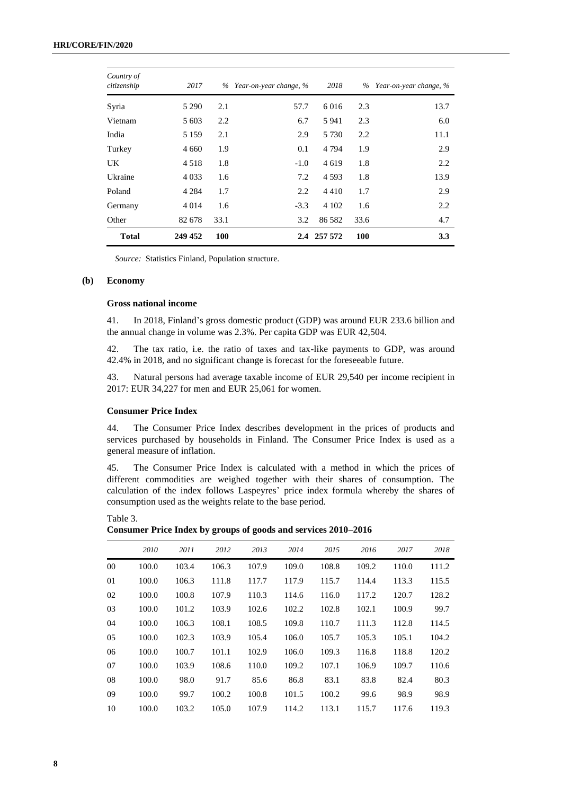| Country of<br>citizenship | 2017    |      | % Year-on-year change, % | 2018        |      | % Year-on-year change, % |
|---------------------------|---------|------|--------------------------|-------------|------|--------------------------|
| Syria                     | 5 2 9 0 | 2.1  | 57.7                     | 6016        | 2.3  | 13.7                     |
| Vietnam                   | 5 603   | 2.2  | 6.7                      | 5941        | 2.3  | 6.0                      |
| India                     | 5 1 5 9 | 2.1  | 2.9                      | 5 7 3 0     | 2.2  | 11.1                     |
| Turkey                    | 4 6 6 0 | 1.9  | 0.1                      | 4 7 9 4     | 1.9  | 2.9                      |
| UK                        | 4 5 1 8 | 1.8  | $-1.0$                   | 4619        | 1.8  | 2.2                      |
| Ukraine                   | 4 0 3 3 | 1.6  | 7.2                      | 4593        | 1.8  | 13.9                     |
| Poland                    | 4 2 8 4 | 1.7  | 2.2                      | 4410        | 1.7  | 2.9                      |
| Germany                   | 4 0 1 4 | 1.6  | $-3.3$                   | 4 1 0 2     | 1.6  | 2.2                      |
| Other                     | 82 678  | 33.1 | 3.2                      | 86 5 82     | 33.6 | 4.7                      |
| <b>Total</b>              | 249 452 | 100  |                          | 2.4 257 572 | 100  | 3.3                      |

*Source:* Statistics Finland, Population structure.

#### **(b) Economy**

# **Gross national income**

41. In 2018, Finland's gross domestic product (GDP) was around EUR 233.6 billion and the annual change in volume was 2.3%. Per capita GDP was EUR 42,504.

42. The tax ratio, i.e. the ratio of taxes and tax-like payments to GDP, was around 42.4% in 2018, and no significant change is forecast for the foreseeable future.

43. Natural persons had average taxable income of EUR 29,540 per income recipient in 2017: EUR 34,227 for men and EUR 25,061 for women.

# **Consumer Price Index**

44. The Consumer Price Index describes development in the prices of products and services purchased by households in Finland. The Consumer Price Index is used as a general measure of inflation.

45. The Consumer Price Index is calculated with a method in which the prices of different commodities are weighed together with their shares of consumption. The calculation of the index follows Laspeyres' price index formula whereby the shares of consumption used as the weights relate to the base period.

Table 3. **Consumer Price Index by groups of goods and services 2010–2016**

|    | 2010  | 2011  | 2012  | 2013  | 2014  | 2015  | 2016  | 2017  | 2018  |
|----|-------|-------|-------|-------|-------|-------|-------|-------|-------|
| 00 | 100.0 | 103.4 | 106.3 | 107.9 | 109.0 | 108.8 | 109.2 | 110.0 | 111.2 |
| 01 | 100.0 | 106.3 | 111.8 | 117.7 | 117.9 | 115.7 | 114.4 | 113.3 | 115.5 |
| 02 | 100.0 | 100.8 | 107.9 | 110.3 | 114.6 | 116.0 | 117.2 | 120.7 | 128.2 |
| 03 | 100.0 | 101.2 | 103.9 | 102.6 | 102.2 | 102.8 | 102.1 | 100.9 | 99.7  |
| 04 | 100.0 | 106.3 | 108.1 | 108.5 | 109.8 | 110.7 | 111.3 | 112.8 | 114.5 |
| 05 | 100.0 | 102.3 | 103.9 | 105.4 | 106.0 | 105.7 | 105.3 | 105.1 | 104.2 |
| 06 | 100.0 | 100.7 | 101.1 | 102.9 | 106.0 | 109.3 | 116.8 | 118.8 | 120.2 |
| 07 | 100.0 | 103.9 | 108.6 | 110.0 | 109.2 | 107.1 | 106.9 | 109.7 | 110.6 |
| 08 | 100.0 | 98.0  | 91.7  | 85.6  | 86.8  | 83.1  | 83.8  | 82.4  | 80.3  |
| 09 | 100.0 | 99.7  | 100.2 | 100.8 | 101.5 | 100.2 | 99.6  | 98.9  | 98.9  |
| 10 | 100.0 | 103.2 | 105.0 | 107.9 | 114.2 | 113.1 | 115.7 | 117.6 | 119.3 |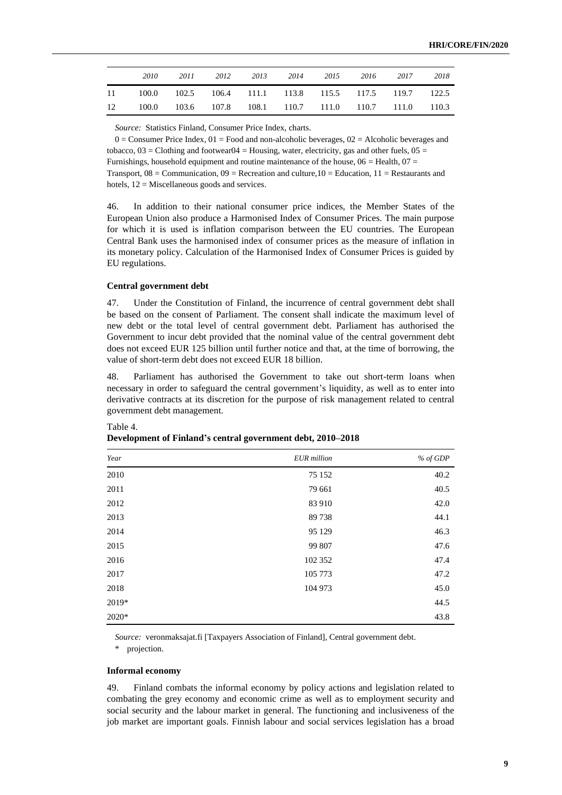|    | 2010                                                     | 2011 2012 2013 2014 2015 2016 2017 |  |  |  | 2018 |
|----|----------------------------------------------------------|------------------------------------|--|--|--|------|
|    | 11 100.0 102.5 106.4 111.1 113.8 115.5 117.5 119.7 122.5 |                                    |  |  |  |      |
| 12 | 100.0 103.6 107.8 108.1 110.7 111.0 110.7 111.0 110.3    |                                    |  |  |  |      |

*Source:* Statistics Finland, Consumer Price Index, charts.

 $0 =$  Consumer Price Index,  $01 =$  Food and non-alcoholic beverages,  $02 =$  Alcoholic beverages and tobacco,  $03 =$  Clothing and footwear $04 =$  Housing, water, electricity, gas and other fuels,  $05 =$ Furnishings, household equipment and routine maintenance of the house,  $06$  = Health,  $07$  = Transport,  $08 =$  Communication,  $09 =$  Recreation and culture,  $10 =$  Education,  $11 =$  Restaurants and hotels,  $12$  = Miscellaneous goods and services.

46. In addition to their national consumer price indices, the Member States of the European Union also produce a Harmonised Index of Consumer Prices. The main purpose for which it is used is inflation comparison between the EU countries. The European Central Bank uses the harmonised index of consumer prices as the measure of inflation in its monetary policy. Calculation of the Harmonised Index of Consumer Prices is guided by EU regulations.

#### **Central government debt**

47. Under the Constitution of Finland, the incurrence of central government debt shall be based on the consent of Parliament. The consent shall indicate the maximum level of new debt or the total level of central government debt. Parliament has authorised the Government to incur debt provided that the nominal value of the central government debt does not exceed EUR 125 billion until further notice and that, at the time of borrowing, the value of short-term debt does not exceed EUR 18 billion.

48. Parliament has authorised the Government to take out short-term loans when necessary in order to safeguard the central government's liquidity, as well as to enter into derivative contracts at its discretion for the purpose of risk management related to central government debt management.

| Year  | <b>EUR</b> million | $%$ of GDP |
|-------|--------------------|------------|
| 2010  | 75 152             | 40.2       |
| 2011  | 79 661             | 40.5       |
| 2012  | 83 910             | 42.0       |
| 2013  | 89738              | 44.1       |
| 2014  | 95 129             | 46.3       |
| 2015  | 99 807             | 47.6       |
| 2016  | 102 352            | 47.4       |
| 2017  | 105 773            | 47.2       |
| 2018  | 104 973            | 45.0       |
| 2019* |                    | 44.5       |
| 2020* |                    | 43.8       |

# Table 4.

### **Development of Finland's central government debt, 2010–2018**

*Source:* veronmaksajat.fi [Taxpayers Association of Finland], Central government debt.

\* projection.

## **Informal economy**

49. Finland combats the informal economy by policy actions and legislation related to combating the grey economy and economic crime as well as to employment security and social security and the labour market in general. The functioning and inclusiveness of the job market are important goals. Finnish labour and social services legislation has a broad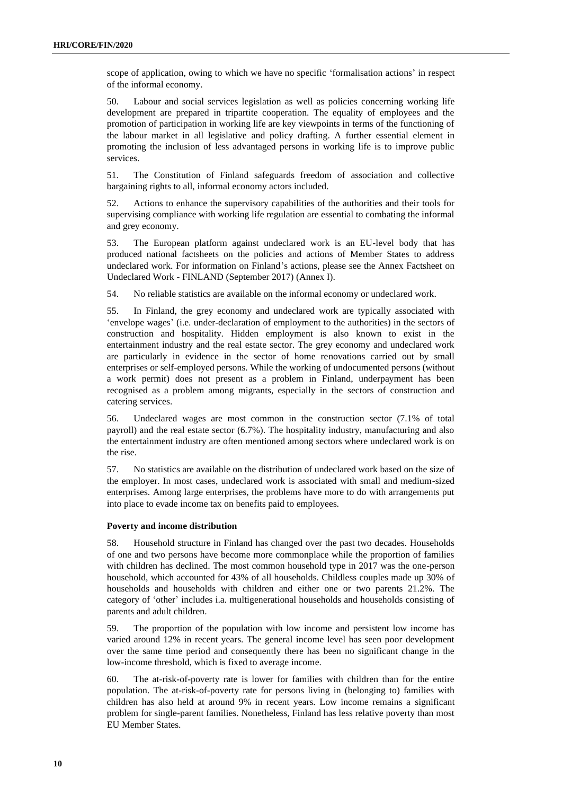scope of application, owing to which we have no specific 'formalisation actions' in respect of the informal economy.

50. Labour and social services legislation as well as policies concerning working life development are prepared in tripartite cooperation. The equality of employees and the promotion of participation in working life are key viewpoints in terms of the functioning of the labour market in all legislative and policy drafting. A further essential element in promoting the inclusion of less advantaged persons in working life is to improve public services.

51. The Constitution of Finland safeguards freedom of association and collective bargaining rights to all, informal economy actors included.

52. Actions to enhance the supervisory capabilities of the authorities and their tools for supervising compliance with working life regulation are essential to combating the informal and grey economy.

53. The European platform against undeclared work is an EU-level body that has produced national factsheets on the policies and actions of Member States to address undeclared work. For information on Finland's actions, please see the Annex Factsheet on Undeclared Work - FINLAND (September 2017) (Annex I).

54. No reliable statistics are available on the informal economy or undeclared work.

55. In Finland, the grey economy and undeclared work are typically associated with 'envelope wages' (i.e. under-declaration of employment to the authorities) in the sectors of construction and hospitality. Hidden employment is also known to exist in the entertainment industry and the real estate sector. The grey economy and undeclared work are particularly in evidence in the sector of home renovations carried out by small enterprises or self-employed persons. While the working of undocumented persons (without a work permit) does not present as a problem in Finland, underpayment has been recognised as a problem among migrants, especially in the sectors of construction and catering services.

56. Undeclared wages are most common in the construction sector (7.1% of total payroll) and the real estate sector (6.7%). The hospitality industry, manufacturing and also the entertainment industry are often mentioned among sectors where undeclared work is on the rise.

57. No statistics are available on the distribution of undeclared work based on the size of the employer. In most cases, undeclared work is associated with small and medium-sized enterprises. Among large enterprises, the problems have more to do with arrangements put into place to evade income tax on benefits paid to employees.

# **Poverty and income distribution**

58. Household structure in Finland has changed over the past two decades. Households of one and two persons have become more commonplace while the proportion of families with children has declined. The most common household type in 2017 was the one-person household, which accounted for 43% of all households. Childless couples made up 30% of households and households with children and either one or two parents 21.2%. The category of 'other' includes i.a. multigenerational households and households consisting of parents and adult children.

59. The proportion of the population with low income and persistent low income has varied around 12% in recent years. The general income level has seen poor development over the same time period and consequently there has been no significant change in the low-income threshold, which is fixed to average income.

60. The at-risk-of-poverty rate is lower for families with children than for the entire population. The at-risk-of-poverty rate for persons living in (belonging to) families with children has also held at around 9% in recent years. Low income remains a significant problem for single-parent families. Nonetheless, Finland has less relative poverty than most EU Member States.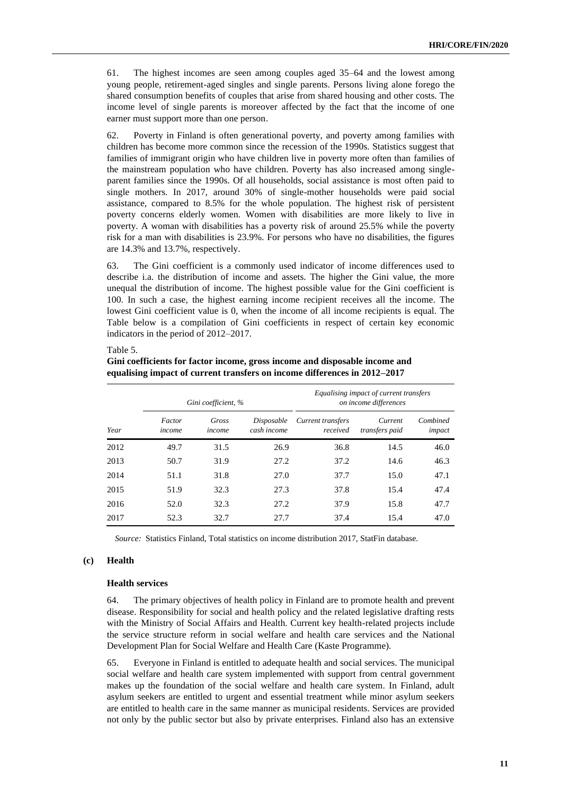61. The highest incomes are seen among couples aged 35–64 and the lowest among young people, retirement-aged singles and single parents. Persons living alone forego the shared consumption benefits of couples that arise from shared housing and other costs. The income level of single parents is moreover affected by the fact that the income of one earner must support more than one person.

62. Poverty in Finland is often generational poverty, and poverty among families with children has become more common since the recession of the 1990s. Statistics suggest that families of immigrant origin who have children live in poverty more often than families of the mainstream population who have children. Poverty has also increased among singleparent families since the 1990s. Of all households, social assistance is most often paid to single mothers. In 2017, around 30% of single-mother households were paid social assistance, compared to 8.5% for the whole population. The highest risk of persistent poverty concerns elderly women. Women with disabilities are more likely to live in poverty. A woman with disabilities has a poverty risk of around 25.5% while the poverty risk for a man with disabilities is 23.9%. For persons who have no disabilities, the figures are 14.3% and 13.7%, respectively.

63. The Gini coefficient is a commonly used indicator of income differences used to describe i.a. the distribution of income and assets. The higher the Gini value, the more unequal the distribution of income. The highest possible value for the Gini coefficient is 100. In such a case, the highest earning income recipient receives all the income. The lowest Gini coefficient value is 0, when the income of all income recipients is equal. The Table below is a compilation of Gini coefficients in respect of certain key economic indicators in the period of 2012–2017.

#### Table 5.

|      |                  | Gini coefficient, % |                           |                               | Equalising impact of current transfers<br>on income differences |                    |
|------|------------------|---------------------|---------------------------|-------------------------------|-----------------------------------------------------------------|--------------------|
| Year | Factor<br>income | Gross<br>income     | Disposable<br>cash income | Current transfers<br>received | Current<br>transfers paid                                       | Combined<br>impact |
| 2012 | 49.7             | 31.5                | 26.9                      | 36.8                          | 14.5                                                            | 46.0               |
| 2013 | 50.7             | 31.9                | 27.2                      | 37.2                          | 14.6                                                            | 46.3               |
| 2014 | 51.1             | 31.8                | 27.0                      | 37.7                          | 15.0                                                            | 47.1               |
| 2015 | 51.9             | 32.3                | 27.3                      | 37.8                          | 15.4                                                            | 47.4               |
| 2016 | 52.0             | 32.3                | 27.2                      | 37.9                          | 15.8                                                            | 47.7               |
| 2017 | 52.3             | 32.7                | 27.7                      | 37.4                          | 15.4                                                            | 47.0               |

**Gini coefficients for factor income, gross income and disposable income and equalising impact of current transfers on income differences in 2012–2017**

*Source:* Statistics Finland, Total statistics on income distribution 2017, StatFin database.

# **(c) Health**

# **Health services**

64. The primary objectives of health policy in Finland are to promote health and prevent disease. Responsibility for social and health policy and the related legislative drafting rests with the Ministry of Social Affairs and Health. Current key health-related projects include the service structure reform in social welfare and health care services and the National Development Plan for Social Welfare and Health Care (Kaste Programme).

65. Everyone in Finland is entitled to adequate health and social services. The municipal social welfare and health care system implemented with support from central government makes up the foundation of the social welfare and health care system. In Finland, adult asylum seekers are entitled to urgent and essential treatment while minor asylum seekers are entitled to health care in the same manner as municipal residents. Services are provided not only by the public sector but also by private enterprises. Finland also has an extensive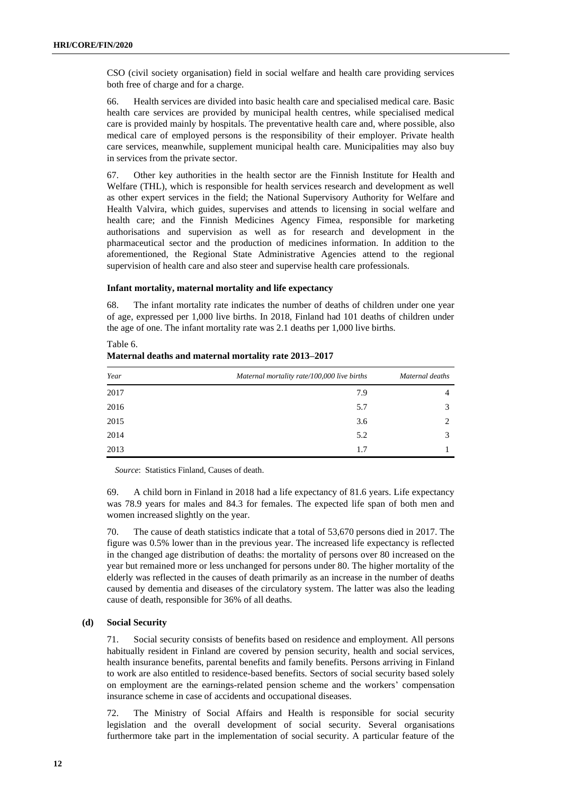CSO (civil society organisation) field in social welfare and health care providing services both free of charge and for a charge.

66. Health services are divided into basic health care and specialised medical care. Basic health care services are provided by municipal health centres, while specialised medical care is provided mainly by hospitals. The preventative health care and, where possible, also medical care of employed persons is the responsibility of their employer. Private health care services, meanwhile, supplement municipal health care. Municipalities may also buy in services from the private sector.

67. Other key authorities in the health sector are the Finnish Institute for Health and Welfare (THL), which is responsible for health services research and development as well as other expert services in the field; the National Supervisory Authority for Welfare and Health Valvira, which guides, supervises and attends to licensing in social welfare and health care; and the Finnish Medicines Agency Fimea, responsible for marketing authorisations and supervision as well as for research and development in the pharmaceutical sector and the production of medicines information. In addition to the aforementioned, the Regional State Administrative Agencies attend to the regional supervision of health care and also steer and supervise health care professionals.

#### **Infant mortality, maternal mortality and life expectancy**

68. The infant mortality rate indicates the number of deaths of children under one year of age, expressed per 1,000 live births. In 2018, Finland had 101 deaths of children under the age of one. The infant mortality rate was 2.1 deaths per 1,000 live births.

| Year | Maternal mortality rate/100,000 live births | Maternal deaths |
|------|---------------------------------------------|-----------------|
| 2017 | 7.9                                         |                 |
| 2016 | 5.7                                         |                 |
| 2015 | 3.6                                         |                 |
| 2014 | 5.2                                         |                 |
| 2013 | 1.7                                         |                 |

Table 6. **Maternal deaths and maternal mortality rate 2013–2017**

*Source*: Statistics Finland, Causes of death.

69. A child born in Finland in 2018 had a life expectancy of 81.6 years. Life expectancy was 78.9 years for males and 84.3 for females. The expected life span of both men and women increased slightly on the year.

70. The cause of death statistics indicate that a total of 53,670 persons died in 2017. The figure was 0.5% lower than in the previous year. The increased life expectancy is reflected in the changed age distribution of deaths: the mortality of persons over 80 increased on the year but remained more or less unchanged for persons under 80. The higher mortality of the elderly was reflected in the causes of death primarily as an increase in the number of deaths caused by dementia and diseases of the circulatory system. The latter was also the leading cause of death, responsible for 36% of all deaths.

# **(d) Social Security**

71. Social security consists of benefits based on residence and employment. All persons habitually resident in Finland are covered by pension security, health and social services, health insurance benefits, parental benefits and family benefits. Persons arriving in Finland to work are also entitled to residence-based benefits. Sectors of social security based solely on employment are the earnings-related pension scheme and the workers' compensation insurance scheme in case of accidents and occupational diseases.

72. The Ministry of Social Affairs and Health is responsible for social security legislation and the overall development of social security. Several organisations furthermore take part in the implementation of social security. A particular feature of the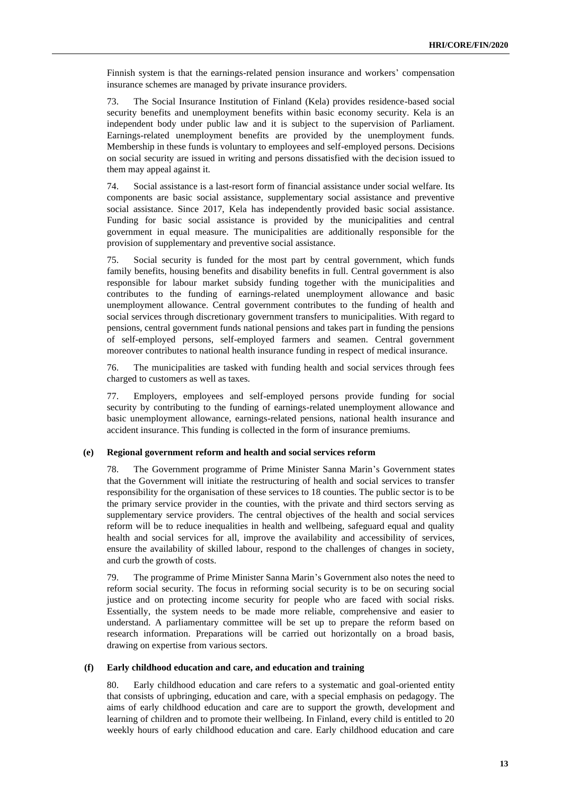Finnish system is that the earnings-related pension insurance and workers' compensation insurance schemes are managed by private insurance providers.

73. The Social Insurance Institution of Finland (Kela) provides residence-based social security benefits and unemployment benefits within basic economy security. Kela is an independent body under public law and it is subject to the supervision of Parliament. Earnings-related unemployment benefits are provided by the unemployment funds. Membership in these funds is voluntary to employees and self-employed persons. Decisions on social security are issued in writing and persons dissatisfied with the decision issued to them may appeal against it.

74. Social assistance is a last-resort form of financial assistance under social welfare. Its components are basic social assistance, supplementary social assistance and preventive social assistance. Since 2017, Kela has independently provided basic social assistance. Funding for basic social assistance is provided by the municipalities and central government in equal measure. The municipalities are additionally responsible for the provision of supplementary and preventive social assistance.

75. Social security is funded for the most part by central government, which funds family benefits, housing benefits and disability benefits in full. Central government is also responsible for labour market subsidy funding together with the municipalities and contributes to the funding of earnings-related unemployment allowance and basic unemployment allowance. Central government contributes to the funding of health and social services through discretionary government transfers to municipalities. With regard to pensions, central government funds national pensions and takes part in funding the pensions of self-employed persons, self-employed farmers and seamen. Central government moreover contributes to national health insurance funding in respect of medical insurance.

76. The municipalities are tasked with funding health and social services through fees charged to customers as well as taxes.

77. Employers, employees and self-employed persons provide funding for social security by contributing to the funding of earnings-related unemployment allowance and basic unemployment allowance, earnings-related pensions, national health insurance and accident insurance. This funding is collected in the form of insurance premiums.

# **(e) Regional government reform and health and social services reform**

78. The Government programme of Prime Minister Sanna Marin's Government states that the Government will initiate the restructuring of health and social services to transfer responsibility for the organisation of these services to 18 counties. The public sector is to be the primary service provider in the counties, with the private and third sectors serving as supplementary service providers. The central objectives of the health and social services reform will be to reduce inequalities in health and wellbeing, safeguard equal and quality health and social services for all, improve the availability and accessibility of services, ensure the availability of skilled labour, respond to the challenges of changes in society, and curb the growth of costs.

79. The programme of Prime Minister Sanna Marin's Government also notes the need to reform social security. The focus in reforming social security is to be on securing social justice and on protecting income security for people who are faced with social risks. Essentially, the system needs to be made more reliable, comprehensive and easier to understand. A parliamentary committee will be set up to prepare the reform based on research information. Preparations will be carried out horizontally on a broad basis, drawing on expertise from various sectors.

#### **(f) Early childhood education and care, and education and training**

80. Early childhood education and care refers to a systematic and goal-oriented entity that consists of upbringing, education and care, with a special emphasis on pedagogy. The aims of early childhood education and care are to support the growth, development and learning of children and to promote their wellbeing. In Finland, every child is entitled to 20 weekly hours of early childhood education and care. Early childhood education and care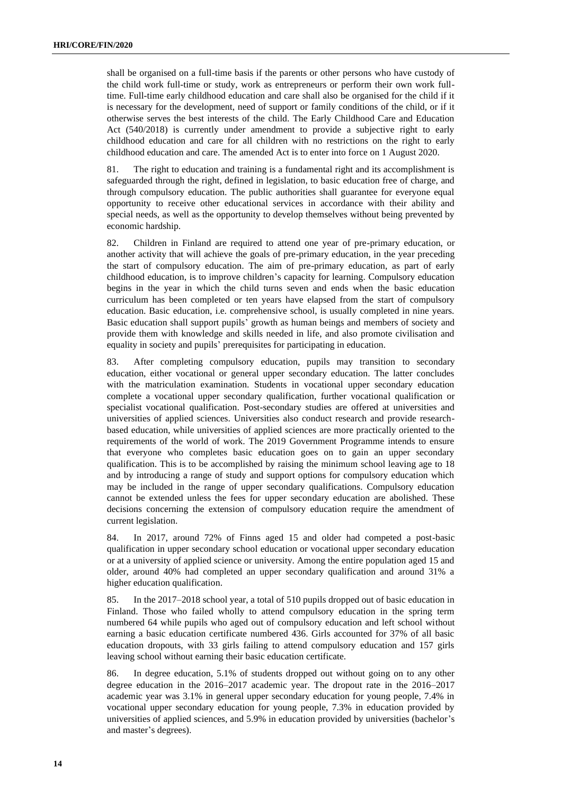shall be organised on a full-time basis if the parents or other persons who have custody of the child work full-time or study, work as entrepreneurs or perform their own work fulltime. Full-time early childhood education and care shall also be organised for the child if it is necessary for the development, need of support or family conditions of the child, or if it otherwise serves the best interests of the child. The Early Childhood Care and Education Act (540/2018) is currently under amendment to provide a subjective right to early childhood education and care for all children with no restrictions on the right to early childhood education and care. The amended Act is to enter into force on 1 August 2020.

81. The right to education and training is a fundamental right and its accomplishment is safeguarded through the right, defined in legislation, to basic education free of charge, and through compulsory education. The public authorities shall guarantee for everyone equal opportunity to receive other educational services in accordance with their ability and special needs, as well as the opportunity to develop themselves without being prevented by economic hardship.

82. Children in Finland are required to attend one year of pre-primary education, or another activity that will achieve the goals of pre-primary education, in the year preceding the start of compulsory education. The aim of pre-primary education, as part of early childhood education, is to improve children's capacity for learning. Compulsory education begins in the year in which the child turns seven and ends when the basic education curriculum has been completed or ten years have elapsed from the start of compulsory education. Basic education, i.e. comprehensive school, is usually completed in nine years. Basic education shall support pupils' growth as human beings and members of society and provide them with knowledge and skills needed in life, and also promote civilisation and equality in society and pupils' prerequisites for participating in education.

83. After completing compulsory education, pupils may transition to secondary education, either vocational or general upper secondary education. The latter concludes with the matriculation examination. Students in vocational upper secondary education complete a vocational upper secondary qualification, further vocational qualification or specialist vocational qualification. Post-secondary studies are offered at universities and universities of applied sciences. Universities also conduct research and provide researchbased education, while universities of applied sciences are more practically oriented to the requirements of the world of work. The 2019 Government Programme intends to ensure that everyone who completes basic education goes on to gain an upper secondary qualification. This is to be accomplished by raising the minimum school leaving age to 18 and by introducing a range of study and support options for compulsory education which may be included in the range of upper secondary qualifications. Compulsory education cannot be extended unless the fees for upper secondary education are abolished. These decisions concerning the extension of compulsory education require the amendment of current legislation.

84. In 2017, around 72% of Finns aged 15 and older had competed a post-basic qualification in upper secondary school education or vocational upper secondary education or at a university of applied science or university. Among the entire population aged 15 and older, around 40% had completed an upper secondary qualification and around 31% a higher education qualification.

85. In the 2017–2018 school year, a total of 510 pupils dropped out of basic education in Finland. Those who failed wholly to attend compulsory education in the spring term numbered 64 while pupils who aged out of compulsory education and left school without earning a basic education certificate numbered 436. Girls accounted for 37% of all basic education dropouts, with 33 girls failing to attend compulsory education and 157 girls leaving school without earning their basic education certificate.

86. In degree education, 5.1% of students dropped out without going on to any other degree education in the 2016–2017 academic year. The dropout rate in the 2016–2017 academic year was 3.1% in general upper secondary education for young people, 7.4% in vocational upper secondary education for young people, 7.3% in education provided by universities of applied sciences, and 5.9% in education provided by universities (bachelor's and master's degrees).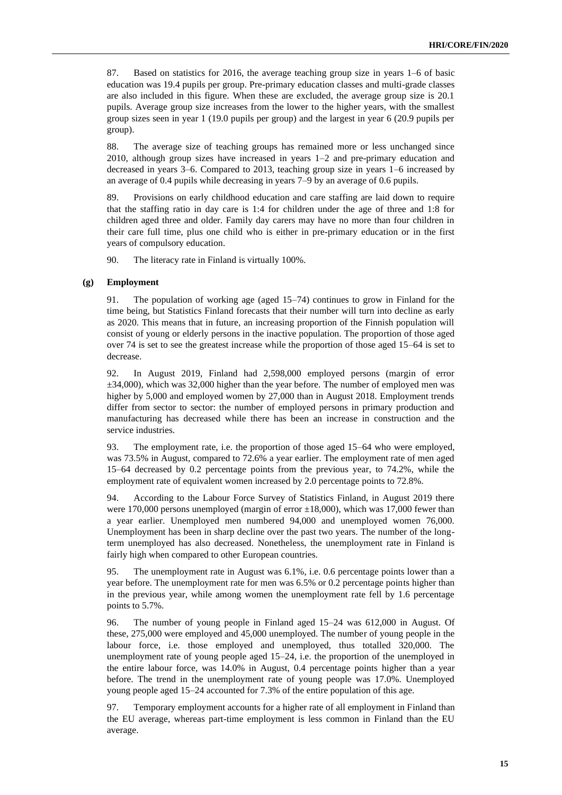87. Based on statistics for 2016, the average teaching group size in years 1–6 of basic education was 19.4 pupils per group. Pre-primary education classes and multi-grade classes are also included in this figure. When these are excluded, the average group size is 20.1 pupils. Average group size increases from the lower to the higher years, with the smallest group sizes seen in year 1 (19.0 pupils per group) and the largest in year 6 (20.9 pupils per group).

88. The average size of teaching groups has remained more or less unchanged since 2010, although group sizes have increased in years 1–2 and pre-primary education and decreased in years 3–6. Compared to 2013, teaching group size in years 1–6 increased by an average of 0.4 pupils while decreasing in years 7–9 by an average of 0.6 pupils.

89. Provisions on early childhood education and care staffing are laid down to require that the staffing ratio in day care is 1:4 for children under the age of three and 1:8 for children aged three and older. Family day carers may have no more than four children in their care full time, plus one child who is either in pre-primary education or in the first years of compulsory education.

90. The literacy rate in Finland is virtually 100%.

# **(g) Employment**

91. The population of working age (aged 15–74) continues to grow in Finland for the time being, but Statistics Finland forecasts that their number will turn into decline as early as 2020. This means that in future, an increasing proportion of the Finnish population will consist of young or elderly persons in the inactive population. The proportion of those aged over 74 is set to see the greatest increase while the proportion of those aged 15–64 is set to decrease.

92. In August 2019, Finland had 2,598,000 employed persons (margin of error ±34,000), which was 32,000 higher than the year before. The number of employed men was higher by 5,000 and employed women by 27,000 than in August 2018. Employment trends differ from sector to sector: the number of employed persons in primary production and manufacturing has decreased while there has been an increase in construction and the service industries.

93. The employment rate, i.e. the proportion of those aged 15–64 who were employed, was 73.5% in August, compared to 72.6% a year earlier. The employment rate of men aged 15–64 decreased by 0.2 percentage points from the previous year, to 74.2%, while the employment rate of equivalent women increased by 2.0 percentage points to 72.8%.

94. According to the Labour Force Survey of Statistics Finland, in August 2019 there were 170,000 persons unemployed (margin of error  $\pm 18,000$ ), which was 17,000 fewer than a year earlier. Unemployed men numbered 94,000 and unemployed women 76,000. Unemployment has been in sharp decline over the past two years. The number of the longterm unemployed has also decreased. Nonetheless, the unemployment rate in Finland is fairly high when compared to other European countries.

95. The unemployment rate in August was 6.1%, i.e. 0.6 percentage points lower than a year before. The unemployment rate for men was 6.5% or 0.2 percentage points higher than in the previous year, while among women the unemployment rate fell by 1.6 percentage points to 5.7%.

96. The number of young people in Finland aged 15–24 was 612,000 in August. Of these, 275,000 were employed and 45,000 unemployed. The number of young people in the labour force, i.e. those employed and unemployed, thus totalled 320,000. The unemployment rate of young people aged 15–24, i.e. the proportion of the unemployed in the entire labour force, was 14.0% in August, 0.4 percentage points higher than a year before. The trend in the unemployment rate of young people was 17.0%. Unemployed young people aged 15–24 accounted for 7.3% of the entire population of this age.

97. Temporary employment accounts for a higher rate of all employment in Finland than the EU average, whereas part-time employment is less common in Finland than the EU average.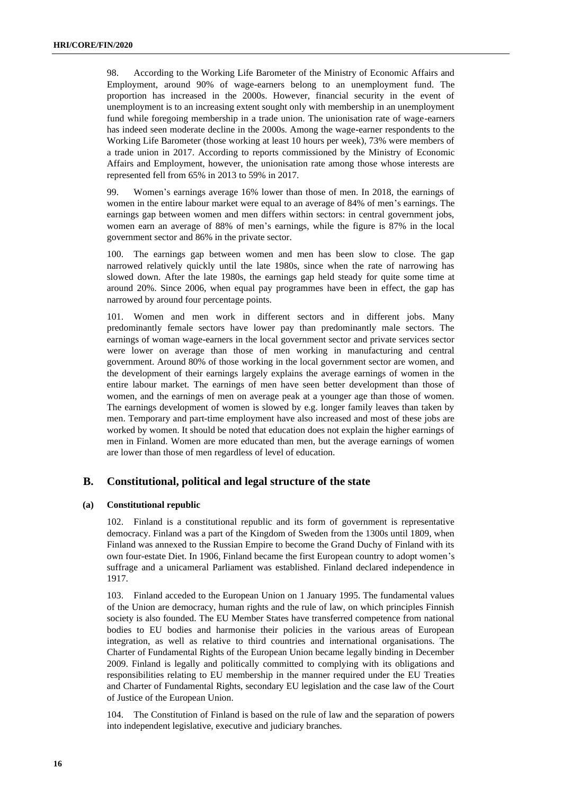98. According to the Working Life Barometer of the Ministry of Economic Affairs and Employment, around 90% of wage-earners belong to an unemployment fund. The proportion has increased in the 2000s. However, financial security in the event of unemployment is to an increasing extent sought only with membership in an unemployment fund while foregoing membership in a trade union. The unionisation rate of wage-earners has indeed seen moderate decline in the 2000s. Among the wage-earner respondents to the Working Life Barometer (those working at least 10 hours per week), 73% were members of a trade union in 2017. According to reports commissioned by the Ministry of Economic Affairs and Employment, however, the unionisation rate among those whose interests are represented fell from 65% in 2013 to 59% in 2017.

99. Women's earnings average 16% lower than those of men. In 2018, the earnings of women in the entire labour market were equal to an average of 84% of men's earnings. The earnings gap between women and men differs within sectors: in central government jobs, women earn an average of 88% of men's earnings, while the figure is 87% in the local government sector and 86% in the private sector.

100. The earnings gap between women and men has been slow to close. The gap narrowed relatively quickly until the late 1980s, since when the rate of narrowing has slowed down. After the late 1980s, the earnings gap held steady for quite some time at around 20%. Since 2006, when equal pay programmes have been in effect, the gap has narrowed by around four percentage points.

101. Women and men work in different sectors and in different jobs. Many predominantly female sectors have lower pay than predominantly male sectors. The earnings of woman wage-earners in the local government sector and private services sector were lower on average than those of men working in manufacturing and central government. Around 80% of those working in the local government sector are women, and the development of their earnings largely explains the average earnings of women in the entire labour market. The earnings of men have seen better development than those of women, and the earnings of men on average peak at a younger age than those of women. The earnings development of women is slowed by e.g. longer family leaves than taken by men. Temporary and part-time employment have also increased and most of these jobs are worked by women. It should be noted that education does not explain the higher earnings of men in Finland. Women are more educated than men, but the average earnings of women are lower than those of men regardless of level of education.

# **B. Constitutional, political and legal structure of the state**

# **(a) Constitutional republic**

102. Finland is a constitutional republic and its form of government is representative democracy. Finland was a part of the Kingdom of Sweden from the 1300s until 1809, when Finland was annexed to the Russian Empire to become the Grand Duchy of Finland with its own four-estate Diet. In 1906, Finland became the first European country to adopt women's suffrage and a unicameral Parliament was established. Finland declared independence in 1917.

103. Finland acceded to the European Union on 1 January 1995. The fundamental values of the Union are democracy, human rights and the rule of law, on which principles Finnish society is also founded. The EU Member States have transferred competence from national bodies to EU bodies and harmonise their policies in the various areas of European integration, as well as relative to third countries and international organisations. The Charter of Fundamental Rights of the European Union became legally binding in December 2009. Finland is legally and politically committed to complying with its obligations and responsibilities relating to EU membership in the manner required under the EU Treaties and Charter of Fundamental Rights, secondary EU legislation and the case law of the Court of Justice of the European Union.

104. The Constitution of Finland is based on the rule of law and the separation of powers into independent legislative, executive and judiciary branches.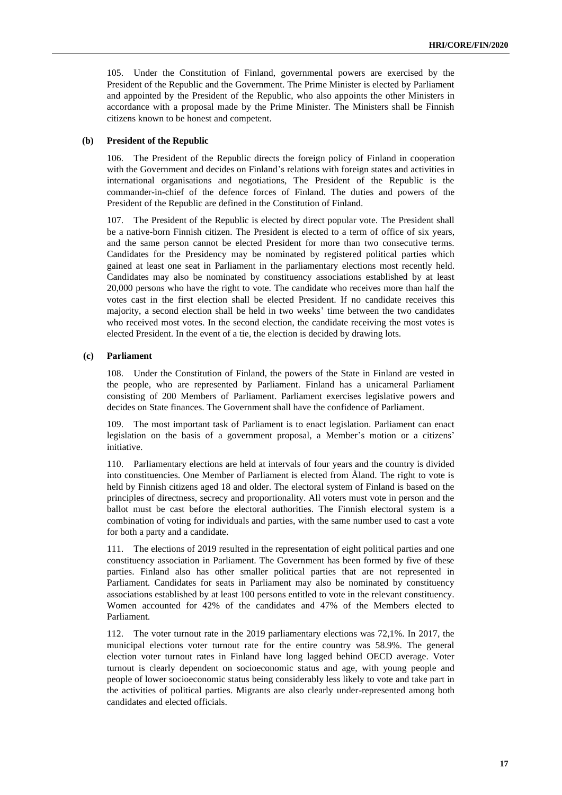105. Under the Constitution of Finland, governmental powers are exercised by the President of the Republic and the Government. The Prime Minister is elected by Parliament and appointed by the President of the Republic, who also appoints the other Ministers in accordance with a proposal made by the Prime Minister. The Ministers shall be Finnish citizens known to be honest and competent.

# **(b) President of the Republic**

106. The President of the Republic directs the foreign policy of Finland in cooperation with the Government and decides on Finland's relations with foreign states and activities in international organisations and negotiations, The President of the Republic is the commander-in-chief of the defence forces of Finland. The duties and powers of the President of the Republic are defined in the Constitution of Finland.

107. The President of the Republic is elected by direct popular vote. The President shall be a native-born Finnish citizen. The President is elected to a term of office of six years, and the same person cannot be elected President for more than two consecutive terms. Candidates for the Presidency may be nominated by registered political parties which gained at least one seat in Parliament in the parliamentary elections most recently held. Candidates may also be nominated by constituency associations established by at least 20,000 persons who have the right to vote. The candidate who receives more than half the votes cast in the first election shall be elected President. If no candidate receives this majority, a second election shall be held in two weeks' time between the two candidates who received most votes. In the second election, the candidate receiving the most votes is elected President. In the event of a tie, the election is decided by drawing lots.

# **(c) Parliament**

108. Under the Constitution of Finland, the powers of the State in Finland are vested in the people, who are represented by Parliament. Finland has a unicameral Parliament consisting of 200 Members of Parliament. Parliament exercises legislative powers and decides on State finances. The Government shall have the confidence of Parliament.

109. The most important task of Parliament is to enact legislation. Parliament can enact legislation on the basis of a government proposal, a Member's motion or a citizens' initiative.

110. Parliamentary elections are held at intervals of four years and the country is divided into constituencies. One Member of Parliament is elected from Åland. The right to vote is held by Finnish citizens aged 18 and older. The electoral system of Finland is based on the principles of directness, secrecy and proportionality. All voters must vote in person and the ballot must be cast before the electoral authorities. The Finnish electoral system is a combination of voting for individuals and parties, with the same number used to cast a vote for both a party and a candidate.

111. The elections of 2019 resulted in the representation of eight political parties and one constituency association in Parliament. The Government has been formed by five of these parties. Finland also has other smaller political parties that are not represented in Parliament. Candidates for seats in Parliament may also be nominated by constituency associations established by at least 100 persons entitled to vote in the relevant constituency. Women accounted for 42% of the candidates and 47% of the Members elected to Parliament.

112. The voter turnout rate in the 2019 parliamentary elections was 72,1%. In 2017, the municipal elections voter turnout rate for the entire country was 58.9%. The general election voter turnout rates in Finland have long lagged behind OECD average. Voter turnout is clearly dependent on socioeconomic status and age, with young people and people of lower socioeconomic status being considerably less likely to vote and take part in the activities of political parties. Migrants are also clearly under-represented among both candidates and elected officials.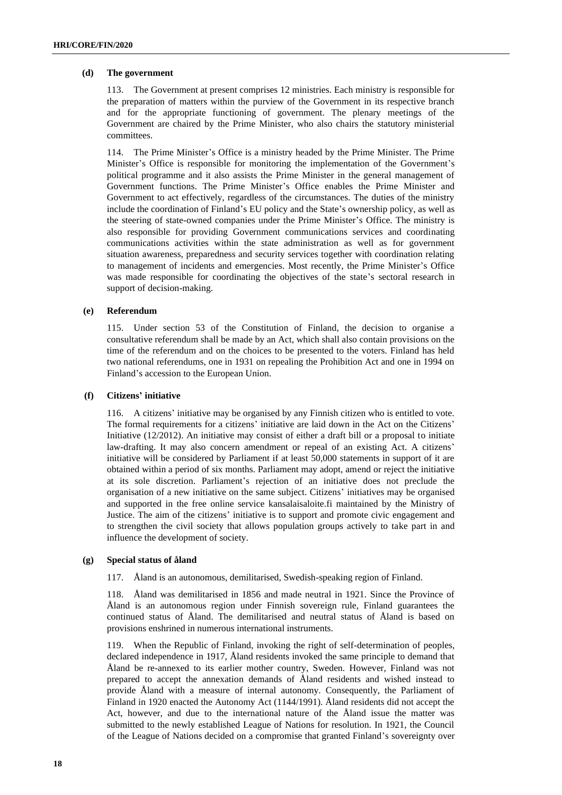# **(d) The government**

113. The Government at present comprises 12 ministries. Each ministry is responsible for the preparation of matters within the purview of the Government in its respective branch and for the appropriate functioning of government. The plenary meetings of the Government are chaired by the Prime Minister, who also chairs the statutory ministerial committees.

114. The Prime Minister's Office is a ministry headed by the Prime Minister. The Prime Minister's Office is responsible for monitoring the implementation of the Government's political programme and it also assists the Prime Minister in the general management of Government functions. The Prime Minister's Office enables the Prime Minister and Government to act effectively, regardless of the circumstances. The duties of the ministry include the coordination of Finland's EU policy and the State's ownership policy, as well as the steering of state-owned companies under the Prime Minister's Office. The ministry is also responsible for providing Government communications services and coordinating communications activities within the state administration as well as for government situation awareness, preparedness and security services together with coordination relating to management of incidents and emergencies. Most recently, the Prime Minister's Office was made responsible for coordinating the objectives of the state's sectoral research in support of decision-making.

# **(e) Referendum**

115. Under section 53 of the Constitution of Finland, the decision to organise a consultative referendum shall be made by an Act, which shall also contain provisions on the time of the referendum and on the choices to be presented to the voters. Finland has held two national referendums, one in 1931 on repealing the Prohibition Act and one in 1994 on Finland's accession to the European Union.

# **(f) Citizens' initiative**

116. A citizens' initiative may be organised by any Finnish citizen who is entitled to vote. The formal requirements for a citizens' initiative are laid down in the Act on the Citizens' Initiative (12/2012). An initiative may consist of either a draft bill or a proposal to initiate law-drafting. It may also concern amendment or repeal of an existing Act. A citizens' initiative will be considered by Parliament if at least 50,000 statements in support of it are obtained within a period of six months. Parliament may adopt, amend or reject the initiative at its sole discretion. Parliament's rejection of an initiative does not preclude the organisation of a new initiative on the same subject. Citizens' initiatives may be organised and supported in the free online service [kansalaisaloite.fi](http://www.kansalaisaloite.fi/) maintained by the Ministry of Justice. The aim of the citizens' initiative is to support and promote civic engagement and to strengthen the civil society that allows population groups actively to take part in and influence the development of society.

# **(g) Special status of åland**

117. Åland is an autonomous, demilitarised, Swedish-speaking region of Finland.

118. Åland was demilitarised in 1856 and made neutral in 1921. Since the Province of Åland is an autonomous region under Finnish sovereign rule, Finland guarantees the continued status of Åland. The demilitarised and neutral status of Åland is based on provisions enshrined in numerous international instruments.

119. When the Republic of Finland, invoking the right of self-determination of peoples, declared independence in 1917, Åland residents invoked the same principle to demand that Åland be re-annexed to its earlier mother country, Sweden. However, Finland was not prepared to accept the annexation demands of Åland residents and wished instead to provide Åland with a measure of internal autonomy. Consequently, the Parliament of Finland in 1920 enacted the Autonomy Act (1144/1991). Åland residents did not accept the Act, however, and due to the international nature of the Åland issue the matter was submitted to the newly established League of Nations for resolution. In 1921, the Council of the League of Nations decided on a compromise that granted Finland's sovereignty over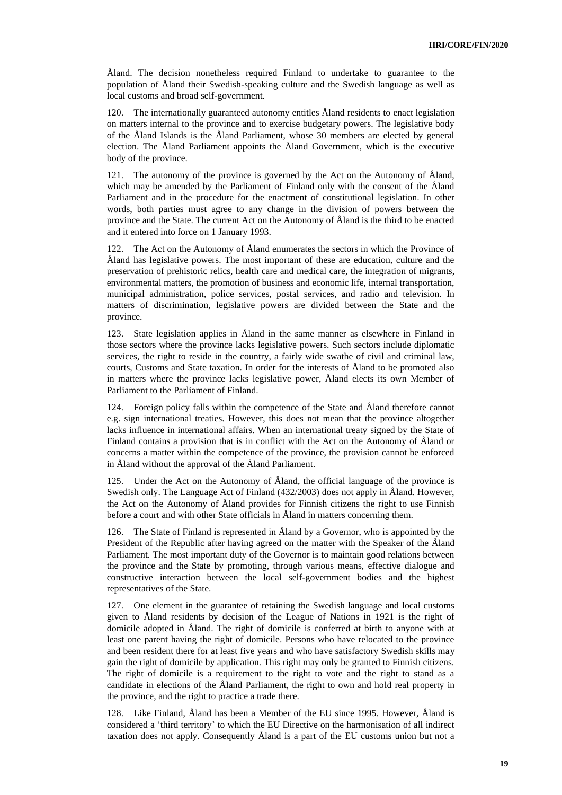Åland. The decision nonetheless required Finland to undertake to guarantee to the population of Åland their Swedish-speaking culture and the Swedish language as well as local customs and broad self-government.

120. The internationally guaranteed autonomy entitles Åland residents to enact legislation on matters internal to the province and to exercise budgetary powers. The legislative body of the Åland Islands is the Åland Parliament, whose 30 members are elected by general election. The Åland Parliament appoints the Åland Government, which is the executive body of the province.

121. The autonomy of the province is governed by the Act on the Autonomy of Åland, which may be amended by the Parliament of Finland only with the consent of the Åland Parliament and in the procedure for the enactment of constitutional legislation. In other words, both parties must agree to any change in the division of powers between the province and the State. The current Act on the Autonomy of Åland is the third to be enacted and it entered into force on 1 January 1993.

122. The Act on the Autonomy of Åland enumerates the sectors in which the Province of Åland has legislative powers. The most important of these are education, culture and the preservation of prehistoric relics, health care and medical care, the integration of migrants, environmental matters, the promotion of business and economic life, internal transportation, municipal administration, police services, postal services, and radio and television. In matters of discrimination, legislative powers are divided between the State and the province.

123. State legislation applies in Åland in the same manner as elsewhere in Finland in those sectors where the province lacks legislative powers. Such sectors include diplomatic services, the right to reside in the country, a fairly wide swathe of civil and criminal law, courts, Customs and State taxation. In order for the interests of Åland to be promoted also in matters where the province lacks legislative power, Åland elects its own Member of Parliament to the Parliament of Finland.

124. Foreign policy falls within the competence of the State and Åland therefore cannot e.g. sign international treaties. However, this does not mean that the province altogether lacks influence in international affairs. When an international treaty signed by the State of Finland contains a provision that is in conflict with the Act on the Autonomy of Åland or concerns a matter within the competence of the province, the provision cannot be enforced in Åland without the approval of the Åland Parliament.

125. Under the Act on the Autonomy of Åland, the official language of the province is Swedish only. The Language Act of Finland (432/2003) does not apply in Åland. However, the Act on the Autonomy of Åland provides for Finnish citizens the right to use Finnish before a court and with other State officials in Åland in matters concerning them.

126. The State of Finland is represented in Åland by a Governor, who is appointed by the President of the Republic after having agreed on the matter with the Speaker of the Åland Parliament. The most important duty of the Governor is to maintain good relations between the province and the State by promoting, through various means, effective dialogue and constructive interaction between the local self-government bodies and the highest representatives of the State.

127. One element in the guarantee of retaining the Swedish language and local customs given to Åland residents by decision of the League of Nations in 1921 is the right of domicile adopted in Åland. The right of domicile is conferred at birth to anyone with at least one parent having the right of domicile. Persons who have relocated to the province and been resident there for at least five years and who have satisfactory Swedish skills may gain the right of domicile by application. This right may only be granted to Finnish citizens. The right of domicile is a requirement to the right to vote and the right to stand as a candidate in elections of the Åland Parliament, the right to own and hold real property in the province, and the right to practice a trade there.

128. Like Finland, Åland has been a Member of the EU since 1995. However, Åland is considered a 'third territory' to which the EU Directive on the harmonisation of all indirect taxation does not apply. Consequently Åland is a part of the EU customs union but not a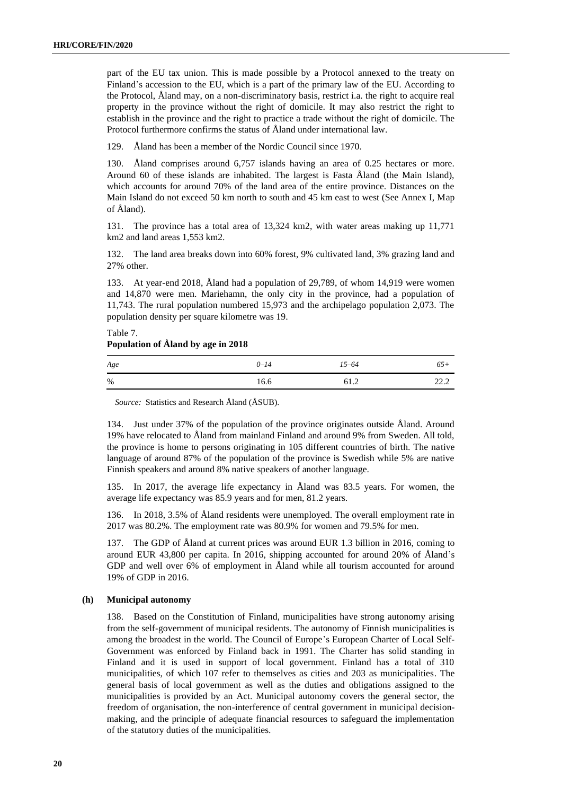part of the EU tax union. This is made possible by a Protocol annexed to the treaty on Finland's accession to the EU, which is a part of the primary law of the EU. According to the Protocol, Åland may, on a non-discriminatory basis, restrict i.a. the right to acquire real property in the province without the right of domicile. It may also restrict the right to establish in the province and the right to practice a trade without the right of domicile. The Protocol furthermore confirms the status of Åland under international law.

129. Åland has been a member of the Nordic Council since 1970.

130. Åland comprises around 6,757 islands having an area of 0.25 hectares or more. Around 60 of these islands are inhabited. The largest is Fasta Åland (the Main Island), which accounts for around 70% of the land area of the entire province. Distances on the Main Island do not exceed 50 km north to south and 45 km east to west (See Annex I, Map of Åland).

131. The province has a total area of 13,324 km2, with water areas making up 11,771 km2 and land areas 1,553 km2.

132. The land area breaks down into 60% forest, 9% cultivated land, 3% grazing land and 27% other.

133. At year-end 2018, Åland had a population of 29,789, of whom 14,919 were women and 14,870 were men. Mariehamn, the only city in the province, had a population of 11,743. The rural population numbered 15,973 and the archipelago population 2,073. The population density per square kilometre was 19.

Table 7. **Population of Åland by age in 2018**

| $Age$ | $0 - 14$ | $15 - 64$ | $65+$ |
|-------|----------|-----------|-------|
| $\%$  | 16.6     | 61.2      | 22.2  |

*Source:* Statistics and Research Åland (ÅSUB).

134. Just under 37% of the population of the province originates outside Åland. Around 19% have relocated to Åland from mainland Finland and around 9% from Sweden. All told, the province is home to persons originating in 105 different countries of birth. The native language of around 87% of the population of the province is Swedish while 5% are native Finnish speakers and around 8% native speakers of another language.

135. In 2017, the average life expectancy in Åland was 83.5 years. For women, the average life expectancy was 85.9 years and for men, 81.2 years.

136. In 2018, 3.5% of Åland residents were unemployed. The overall employment rate in 2017 was 80.2%. The employment rate was 80.9% for women and 79.5% for men.

137. The GDP of Åland at current prices was around EUR 1.3 billion in 2016, coming to around EUR 43,800 per capita. In 2016, shipping accounted for around 20% of Åland's GDP and well over 6% of employment in Åland while all tourism accounted for around 19% of GDP in 2016.

# **(h) Municipal autonomy**

138. Based on the Constitution of Finland, municipalities have strong autonomy arising from the self-government of municipal residents. The autonomy of Finnish municipalities is among the broadest in the world. The Council of Europe's European Charter of Local Self-Government was enforced by Finland back in 1991. The Charter has solid standing in Finland and it is used in support of local government. Finland has a total of 310 municipalities, of which 107 refer to themselves as cities and 203 as municipalities. The general basis of local government as well as the duties and obligations assigned to the municipalities is provided by an Act. Municipal autonomy covers the general sector, the freedom of organisation, the non-interference of central government in municipal decisionmaking, and the principle of adequate financial resources to safeguard the implementation of the statutory duties of the municipalities.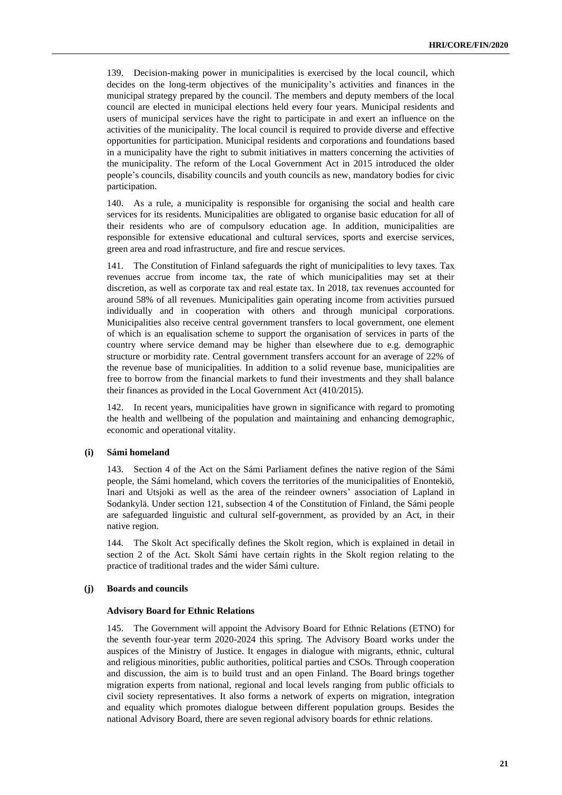139. Decision-making power in municipalities is exercised by the local council, which decides on the long-term objectives of the municipality's activities and finances in the municipal strategy prepared by the council. The members and deputy members of the local council are elected in municipal elections held every four years. Municipal residents and users of municipal services have the right to participate in and exert an influence on the activities of the municipality. The local council is required to provide diverse and effective opportunities for participation. Municipal residents and corporations and foundations based in a municipality have the right to submit initiatives in matters concerning the activities of the municipality. The reform of the Local Government Act in 2015 introduced the older people's councils, disability councils and youth councils as new, mandatory bodies for civic participation.

140. As a rule, a municipality is responsible for organising the social and health care services for its residents. Municipalities are obligated to organise basic education for all of their residents who are of compulsory education age. In addition, municipalities are responsible for extensive educational and cultural services, sports and exercise services, green area and road infrastructure, and fire and rescue services.

141. The Constitution of Finland safeguards the right of municipalities to levy taxes. Tax revenues accrue from income tax, the rate of which municipalities may set at their discretion, as well as corporate tax and real estate tax. In 2018, tax revenues accounted for around 58% of all revenues. Municipalities gain operating income from activities pursued individually and in cooperation with others and through municipal corporations. Municipalities also receive central government transfers to local government, one element of which is an equalisation scheme to support the organisation of services in parts of the country where service demand may be higher than elsewhere due to e.g. demographic structure or morbidity rate. Central government transfers account for an average of 22% of the revenue base of municipalities. In addition to a solid revenue base, municipalities are free to borrow from the financial markets to fund their investments and they shall balance their finances as provided in the Local Government Act (410/2015).

142. In recent years, municipalities have grown in significance with regard to promoting the health and wellbeing of the population and maintaining and enhancing demographic, economic and operational vitality.

# **(i) Sámi homeland**

143. Section 4 of the Act on the Sámi Parliament defines the native region of the Sámi people, the Sámi homeland, which covers the territories of the municipalities of Enontekiö, Inari and Utsjoki as well as the area of the reindeer owners' association of Lapland in Sodankylä. Under section 121, subsection 4 of the Constitution of Finland, the Sámi people are safeguarded linguistic and cultural self-government, as provided by an Act, in their native region.

144. The Skolt Act specifically defines the Skolt region, which is explained in detail in section 2 of the Act. Skolt Sámi have certain rights in the Skolt region relating to the practice of traditional trades and the wider Sámi culture.

# **(j) Boards and councils**

#### **Advisory Board for Ethnic Relations**

145. The Government will appoint the Advisory Board for Ethnic Relations (ETNO) for the seventh four-year term 2020-2024 this spring. The Advisory Board works under the auspices of the Ministry of Justice. It engages in dialogue with migrants, ethnic, cultural and religious minorities, public authorities, political parties and CSOs. Through cooperation and discussion, the aim is to build trust and an open Finland. The Board brings together migration experts from national, regional and local levels ranging from public officials to civil society representatives. It also forms a network of experts on migration, integration and equality which promotes dialogue between different population groups. Besides the national Advisory Board, there are seven regional advisory boards for ethnic relations.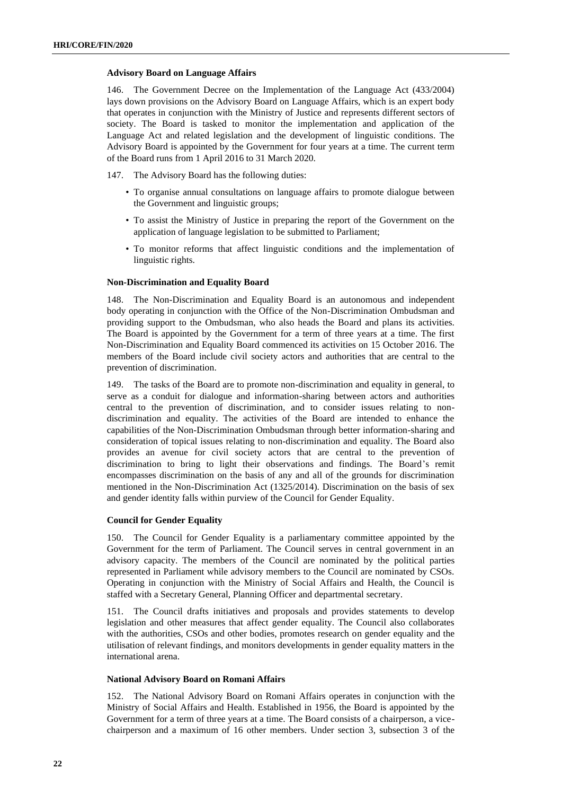# **Advisory Board on Language Affairs**

146. The Government Decree on the Implementation of the Language Act (433/2004) lays down provisions on the Advisory Board on Language Affairs, which is an expert body that operates in conjunction with the Ministry of Justice and represents different sectors of society. The Board is tasked to monitor the implementation and application of the Language Act and related legislation and the development of linguistic conditions. The Advisory Board is appointed by the Government for four years at a time. The current term of the Board runs from 1 April 2016 to 31 March 2020.

147. The Advisory Board has the following duties:

- To organise annual consultations on language affairs to promote dialogue between the Government and linguistic groups;
- To assist the Ministry of Justice in preparing the report of the Government on the application of language legislation to be submitted to Parliament;
- To monitor reforms that affect linguistic conditions and the implementation of linguistic rights.

# **Non-Discrimination and Equality Board**

148. The Non-Discrimination and Equality Board is an autonomous and independent body operating in conjunction with the Office of the Non-Discrimination Ombudsman and providing support to the Ombudsman, who also heads the Board and plans its activities. The Board is appointed by the Government for a term of three years at a time. The first Non-Discrimination and Equality Board commenced its activities on 15 October 2016. The members of the Board include civil society actors and authorities that are central to the prevention of discrimination.

149. The tasks of the Board are to promote non-discrimination and equality in general, to serve as a conduit for dialogue and information-sharing between actors and authorities central to the prevention of discrimination, and to consider issues relating to nondiscrimination and equality. The activities of the Board are intended to enhance the capabilities of the Non-Discrimination Ombudsman through better information-sharing and consideration of topical issues relating to non-discrimination and equality. The Board also provides an avenue for civil society actors that are central to the prevention of discrimination to bring to light their observations and findings. The Board's remit encompasses discrimination on the basis of any and all of the grounds for discrimination mentioned in the Non-Discrimination Act (1325/2014). Discrimination on the basis of sex and gender identity falls within purview of the Council for Gender Equality.

# **Council for Gender Equality**

150. The Council for Gender Equality is a parliamentary committee appointed by the Government for the term of Parliament. The Council serves in central government in an advisory capacity. The members of the Council are nominated by the political parties represented in Parliament while advisory members to the Council are nominated by CSOs. Operating in conjunction with the Ministry of Social Affairs and Health, the Council is staffed with a Secretary General, Planning Officer and departmental secretary.

151. The Council drafts initiatives and proposals and provides statements to develop legislation and other measures that affect gender equality. The Council also collaborates with the authorities, CSOs and other bodies, promotes research on gender equality and the utilisation of relevant findings, and monitors developments in gender equality matters in the international arena.

# **National Advisory Board on Romani Affairs**

152. The National Advisory Board on Romani Affairs operates in conjunction with the Ministry of Social Affairs and Health. Established in 1956, the Board is appointed by the Government for a term of three years at a time. The Board consists of a chairperson, a vicechairperson and a maximum of 16 other members. Under section 3, subsection 3 of the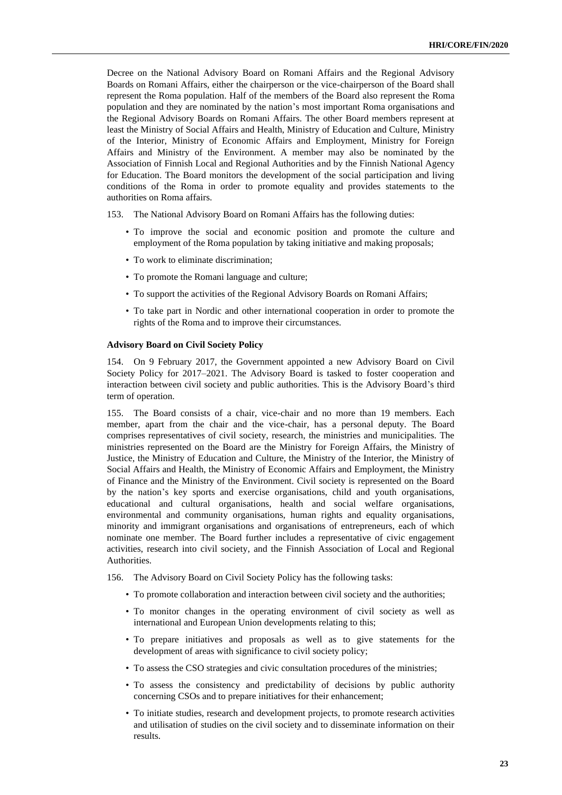Decree on the National Advisory Board on Romani Affairs and the Regional Advisory Boards on Romani Affairs, either the chairperson or the vice-chairperson of the Board shall represent the Roma population. Half of the members of the Board also represent the Roma population and they are nominated by the nation's most important Roma organisations and the Regional Advisory Boards on Romani Affairs. The other Board members represent at least the Ministry of Social Affairs and Health, Ministry of Education and Culture, Ministry of the Interior, Ministry of Economic Affairs and Employment, Ministry for Foreign Affairs and Ministry of the Environment. A member may also be nominated by the Association of Finnish Local and Regional Authorities and by the Finnish National Agency for Education. The Board monitors the development of the social participation and living conditions of the Roma in order to promote equality and provides statements to the authorities on Roma affairs.

153. The National Advisory Board on Romani Affairs has the following duties:

- To improve the social and economic position and promote the culture and employment of the Roma population by taking initiative and making proposals;
- To work to eliminate discrimination;
- To promote the Romani language and culture;
- To support the activities of the Regional Advisory Boards on Romani Affairs;
- To take part in Nordic and other international cooperation in order to promote the rights of the Roma and to improve their circumstances.

#### **Advisory Board on Civil Society Policy**

154. On 9 February 2017, the Government appointed a new Advisory Board on Civil Society Policy for 2017–2021. The Advisory Board is tasked to foster cooperation and interaction between civil society and public authorities. This is the Advisory Board's third term of operation.

155. The Board consists of a chair, vice-chair and no more than 19 members. Each member, apart from the chair and the vice-chair, has a personal deputy. The Board comprises representatives of civil society, research, the ministries and municipalities. The ministries represented on the Board are the Ministry for Foreign Affairs, the Ministry of Justice, the Ministry of Education and Culture, the Ministry of the Interior, the Ministry of Social Affairs and Health, the Ministry of Economic Affairs and Employment, the Ministry of Finance and the Ministry of the Environment. Civil society is represented on the Board by the nation's key sports and exercise organisations, child and youth organisations, educational and cultural organisations, health and social welfare organisations, environmental and community organisations, human rights and equality organisations, minority and immigrant organisations and organisations of entrepreneurs, each of which nominate one member. The Board further includes a representative of civic engagement activities, research into civil society, and the Finnish Association of Local and Regional Authorities.

156. The Advisory Board on Civil Society Policy has the following tasks:

- To promote collaboration and interaction between civil society and the authorities;
- To monitor changes in the operating environment of civil society as well as international and European Union developments relating to this;
- To prepare initiatives and proposals as well as to give statements for the development of areas with significance to civil society policy;
- To assess the CSO strategies and civic consultation procedures of the ministries;
- To assess the consistency and predictability of decisions by public authority concerning CSOs and to prepare initiatives for their enhancement;
- To initiate studies, research and development projects, to promote research activities and utilisation of studies on the civil society and to disseminate information on their results.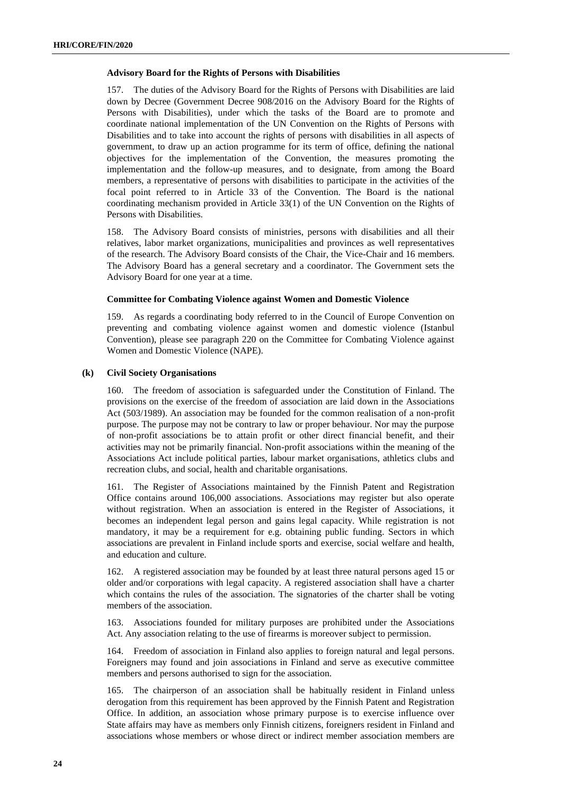# **Advisory Board for the Rights of Persons with Disabilities**

157. The duties of the Advisory Board for the Rights of Persons with Disabilities are laid down by Decree (Government Decree 908/2016 on the Advisory Board for the Rights of Persons with Disabilities), under which the tasks of the Board are to promote and coordinate national implementation of the UN Convention on the Rights of Persons with Disabilities and to take into account the rights of persons with disabilities in all aspects of government, to draw up an action programme for its term of office, defining the national objectives for the implementation of the Convention, the measures promoting the implementation and the follow-up measures, and to designate, from among the Board members, a representative of persons with disabilities to participate in the activities of the focal point referred to in Article 33 of the Convention. The Board is the national coordinating mechanism provided in Article 33(1) of the UN Convention on the Rights of Persons with Disabilities.

158. The Advisory Board consists of ministries, persons with disabilities and all their relatives, labor market organizations, municipalities and provinces as well representatives of the research. The Advisory Board consists of the Chair, the Vice-Chair and 16 members. The Advisory Board has a general secretary and a coordinator. The Government sets the Advisory Board for one year at a time.

# **Committee for Combating Violence against Women and Domestic Violence**

159. As regards a coordinating body referred to in the Council of Europe Convention on preventing and combating violence against women and domestic violence (Istanbul Convention), please see paragraph 220 on the Committee for Combating Violence against Women and Domestic Violence (NAPE).

# **(k) Civil Society Organisations**

160. The freedom of association is safeguarded under the Constitution of Finland. The provisions on the exercise of the freedom of association are laid down in the Associations Act (503/1989). An association may be founded for the common realisation of a non-profit purpose. The purpose may not be contrary to law or proper behaviour. Nor may the purpose of non-profit associations be to attain profit or other direct financial benefit, and their activities may not be primarily financial. Non-profit associations within the meaning of the Associations Act include political parties, labour market organisations, athletics clubs and recreation clubs, and social, health and charitable organisations.

The Register of Associations maintained by the Finnish Patent and Registration Office contains around 106,000 associations. Associations may register but also operate without registration. When an association is entered in the Register of Associations, it becomes an independent legal person and gains legal capacity. While registration is not mandatory, it may be a requirement for e.g. obtaining public funding. Sectors in which associations are prevalent in Finland include sports and exercise, social welfare and health, and education and culture.

162. A registered association may be founded by at least three natural persons aged 15 or older and/or corporations with legal capacity. A registered association shall have a charter which contains the rules of the association. The signatories of the charter shall be voting members of the association.

163. Associations founded for military purposes are prohibited under the Associations Act. Any association relating to the use of firearms is moreover subject to permission.

164. Freedom of association in Finland also applies to foreign natural and legal persons. Foreigners may found and join associations in Finland and serve as executive committee members and persons authorised to sign for the association.

165. The chairperson of an association shall be habitually resident in Finland unless derogation from this requirement has been approved by the Finnish Patent and Registration Office. In addition, an association whose primary purpose is to exercise influence over State affairs may have as members only Finnish citizens, foreigners resident in Finland and associations whose members or whose direct or indirect member association members are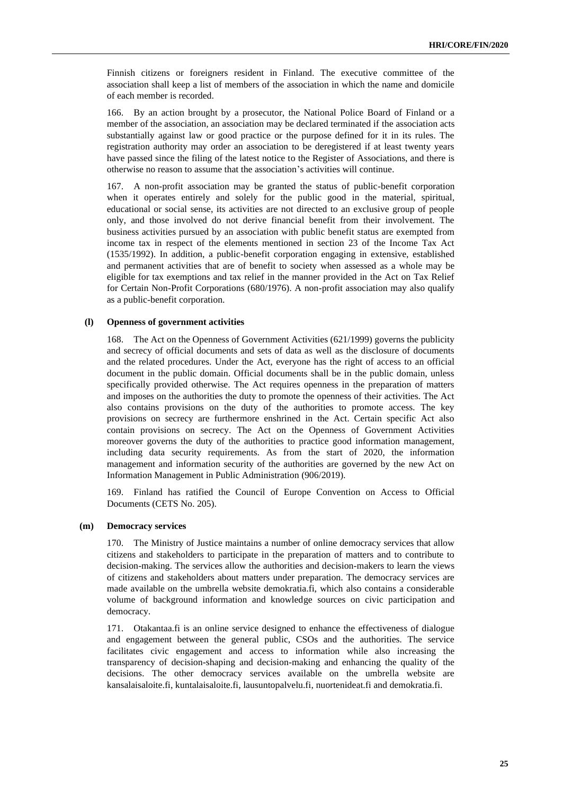Finnish citizens or foreigners resident in Finland. The executive committee of the association shall keep a list of members of the association in which the name and domicile of each member is recorded.

166. By an action brought by a prosecutor, the National Police Board of Finland or a member of the association, an association may be declared terminated if the association acts substantially against law or good practice or the purpose defined for it in its rules. The registration authority may order an association to be deregistered if at least twenty years have passed since the filing of the latest notice to the Register of Associations, and there is otherwise no reason to assume that the association's activities will continue.

167. A non-profit association may be granted the status of public-benefit corporation when it operates entirely and solely for the public good in the material, spiritual, educational or social sense, its activities are not directed to an exclusive group of people only, and those involved do not derive financial benefit from their involvement. The business activities pursued by an association with public benefit status are exempted from income tax in respect of the elements mentioned in section 23 of the Income Tax Act (1535/1992). In addition, a public-benefit corporation engaging in extensive, established and permanent activities that are of benefit to society when assessed as a whole may be eligible for tax exemptions and tax relief in the manner provided in the Act on Tax Relief for Certain Non-Profit Corporations (680/1976). A non-profit association may also qualify as a public-benefit corporation.

# **(l) Openness of government activities**

168. The Act on the Openness of Government Activities (621/1999) governs the publicity and secrecy of official documents and sets of data as well as the disclosure of documents and the related procedures. Under the Act, everyone has the right of access to an official document in the public domain. Official documents shall be in the public domain, unless specifically provided otherwise. The Act requires openness in the preparation of matters and imposes on the authorities the duty to promote the openness of their activities. The Act also contains provisions on the duty of the authorities to promote access. The key provisions on secrecy are furthermore enshrined in the Act. Certain specific Act also contain provisions on secrecy. The Act on the Openness of Government Activities moreover governs the duty of the authorities to practice good information management, including data security requirements. As from the start of 2020, the information management and information security of the authorities are governed by the new Act on Information Management in Public Administration (906/2019).

169. Finland has ratified the Council of Europe Convention on Access to Official Documents (CETS No. 205).

# **(m) Democracy services**

170. The Ministry of Justice maintains a number of online democracy services that allow citizens and stakeholders to participate in the preparation of matters and to contribute to decision-making. The services allow the authorities and decision-makers to learn the views of citizens and stakeholders about matters under preparation. The democracy services are made available on the umbrella website demokratia.fi, which also contains a considerable volume of background information and knowledge sources on civic participation and democracy.

171. Otakantaa.fi is an online service designed to enhance the effectiveness of dialogue and engagement between the general public, CSOs and the authorities. The service facilitates civic engagement and access to information while also increasing the transparency of decision-shaping and decision-making and enhancing the quality of the decisions. The other democracy services available on the umbrella website are [kansalaisaloite.fi,](http://www.kansalaisaloite.fi/) [kuntalaisaloite.fi,](http://www.kuntalaisaloite.fi/) [lausuntopalvelu.fi,](http://www.lausuntopalvelu.fi/) [nuortenideat.fi](http://www.nuortenideat.fi/) and [demokratia.fi.](http://www.demokratia.fi/)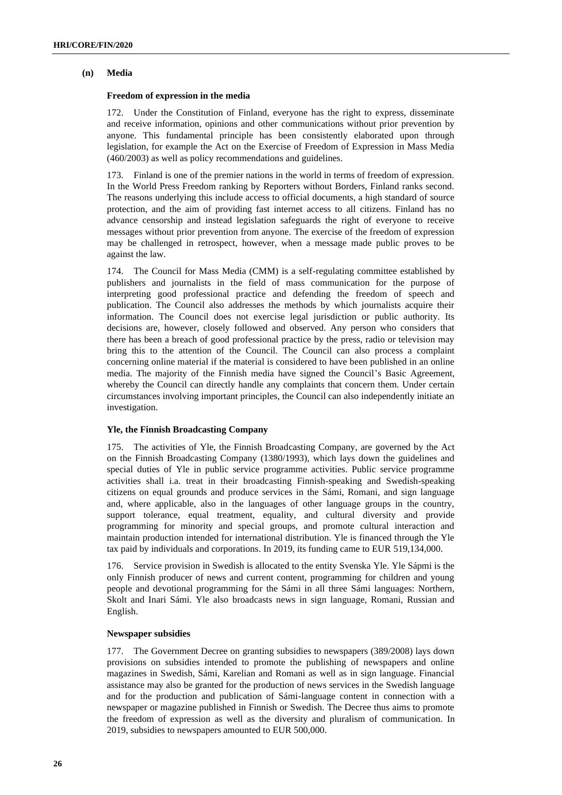# **(n) Media**

# **Freedom of expression in the media**

172. Under the Constitution of Finland, everyone has the right to express, disseminate and receive information, opinions and other communications without prior prevention by anyone. This fundamental principle has been consistently elaborated upon through legislation, for example the Act on the Exercise of Freedom of Expression in Mass Media (460/2003) as well as policy recommendations and guidelines.

173. Finland is one of the premier nations in the world in terms of freedom of expression. In the World Press Freedom ranking by Reporters without Borders, Finland ranks second. The reasons underlying this include access to official documents, a high standard of source protection, and the aim of providing fast internet access to all citizens. Finland has no advance censorship and instead legislation safeguards the right of everyone to receive messages without prior prevention from anyone. The exercise of the freedom of expression may be challenged in retrospect, however, when a message made public proves to be against the law.

174. The Council for Mass Media (CMM) is a self-regulating committee established by publishers and journalists in the field of mass communication for the purpose of interpreting good professional practice and defending the freedom of speech and publication. The Council also addresses the methods by which journalists acquire their information. The Council does not exercise legal jurisdiction or public authority. Its decisions are, however, closely followed and observed. Any person who considers that there has been a breach of good professional practice by the press, radio or television may bring this to the attention of the Council. The Council can also process a complaint concerning online material if the material is considered to have been published in an online media. The majority of the Finnish media have signed the Council's Basic Agreement, whereby the Council can directly handle any complaints that concern them. Under certain circumstances involving important principles, the Council can also independently initiate an investigation.

# **Yle, the Finnish Broadcasting Company**

175. The activities of Yle, the Finnish Broadcasting Company, are governed by the Act on the Finnish Broadcasting Company (1380/1993), which lays down the guidelines and special duties of Yle in public service programme activities. Public service programme activities shall i.a. treat in their broadcasting Finnish-speaking and Swedish-speaking citizens on equal grounds and produce services in the Sámi, Romani, and sign language and, where applicable, also in the languages of other language groups in the country, support tolerance, equal treatment, equality, and cultural diversity and provide programming for minority and special groups, and promote cultural interaction and maintain production intended for international distribution. Yle is financed through the Yle tax paid by individuals and corporations. In 2019, its funding came to EUR 519,134,000.

176. Service provision in Swedish is allocated to the entity Svenska Yle. Yle Sápmi is the only Finnish producer of news and current content, programming for children and young people and devotional programming for the Sámi in all three Sámi languages: Northern, Skolt and Inari Sámi. Yle also broadcasts news in sign language, Romani, Russian and English.

# **Newspaper subsidies**

177. The Government Decree on granting subsidies to newspapers (389/2008) lays down provisions on subsidies intended to promote the publishing of newspapers and online magazines in Swedish, Sámi, Karelian and Romani as well as in sign language. Financial assistance may also be granted for the production of news services in the Swedish language and for the production and publication of Sámi-language content in connection with a newspaper or magazine published in Finnish or Swedish. The Decree thus aims to promote the freedom of expression as well as the diversity and pluralism of communication. In 2019, subsidies to newspapers amounted to EUR 500,000.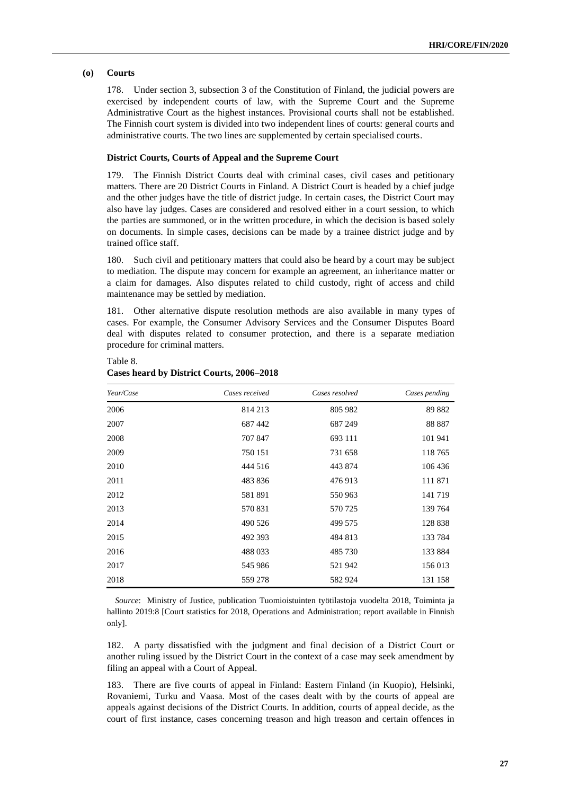# **(o) Courts**

Table 8.

178. Under section 3, subsection 3 of the Constitution of Finland, the judicial powers are exercised by independent courts of law, with the Supreme Court and the Supreme Administrative Court as the highest instances. Provisional courts shall not be established. The Finnish court system is divided into two independent lines of courts: general courts and administrative courts. The two lines are supplemented by certain specialised courts.

#### **District Courts, Courts of Appeal and the Supreme Court**

179. The Finnish District Courts deal with criminal cases, civil cases and petitionary matters. There are 20 District Courts in Finland. A District Court is headed by a chief judge and the other judges have the title of district judge. In certain cases, the District Court may also have lay judges. Cases are considered and resolved either in a court session, to which the parties are summoned, or in the written procedure, in which the decision is based solely on documents. In simple cases, decisions can be made by a trainee district judge and by trained office staff.

180. Such civil and petitionary matters that could also be heard by a court may be subject to mediation. The dispute may concern for example an agreement, an inheritance matter or a claim for damages. Also disputes related to child custody, right of access and child maintenance may be settled by mediation.

181. Other alternative dispute resolution methods are also available in many types of cases. For example, the Consumer Advisory Services and the Consumer Disputes Board deal with disputes related to consumer protection, and there is a separate mediation procedure for criminal matters.

| Year/Case | Cases received | Cases resolved | Cases pending |
|-----------|----------------|----------------|---------------|
| 2006      | 814 213        | 805 982        | 89 882        |
| 2007      | 687442         | 687 249        | 88 887        |
| 2008      | 707847         | 693 111        | 101 941       |
| 2009      | 750 151        | 731 658        | 118765        |
| 2010      | 444 516        | 443 874        | 106 436       |
| 2011      | 483 836        | 476 913        | 111 871       |
| 2012      | 581891         | 550 963        | 141719        |
| 2013      | 570831         | 570 725        | 139 764       |
| 2014      | 490 526        | 499 575        | 128 838       |
| 2015      | 492 393        | 484 813        | 133 784       |
| 2016      | 488 033        | 485 730        | 133 884       |
| 2017      | 545 986        | 521942         | 156 013       |
| 2018      | 559 278        | 582 924        | 131 158       |

# **Cases heard by District Courts, 2006–2018**

*Source*: Ministry of Justice, publication Tuomioistuinten työtilastoja vuodelta 2018, Toiminta ja hallinto 2019:8 [Court statistics for 2018, Operations and Administration; report available in Finnish only].

182. A party dissatisfied with the judgment and final decision of a District Court or another ruling issued by the District Court in the context of a case may seek amendment by filing an appeal with a Court of Appeal.

183. There are five courts of appeal in Finland: Eastern Finland (in Kuopio), Helsinki, Rovaniemi, Turku and Vaasa. Most of the cases dealt with by the courts of appeal are appeals against decisions of the District Courts. In addition, courts of appeal decide, as the court of first instance, cases concerning treason and high treason and certain offences in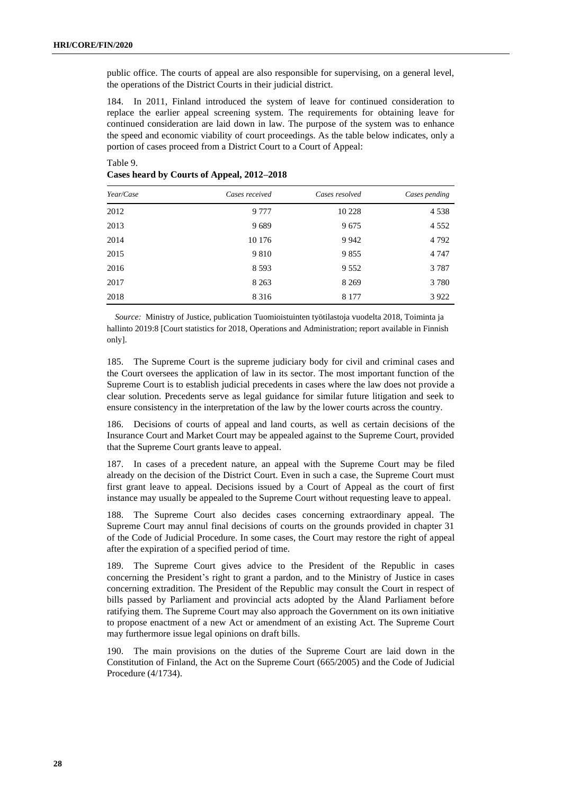public office. The courts of appeal are also responsible for supervising, on a general level, the operations of the District Courts in their judicial district.

184. In 2011, Finland introduced the system of leave for continued consideration to replace the earlier appeal screening system. The requirements for obtaining leave for continued consideration are laid down in law. The purpose of the system was to enhance the speed and economic viability of court proceedings. As the table below indicates, only a portion of cases proceed from a District Court to a Court of Appeal:

| Year/Case | Cases received | Cases resolved | Cases pending |
|-----------|----------------|----------------|---------------|
| 2012      | 9 7 7 7        | 10 228         | 4538          |
| 2013      | 9689           | 9675           | 4 5 5 2       |
| 2014      | 10 176         | 9 9 4 2        | 4 7 9 2       |
| 2015      | 9 8 1 0        | 9855           | 4 7 4 7       |
| 2016      | 8 5 9 3        | 9 5 5 2        | 3787          |
| 2017      | 8 2 6 3        | 8 2 6 9        | 3 7 8 0       |
| 2018      | 8 3 1 6        | 8 1 7 7        | 3922          |

# Table 9. **Cases heard by Courts of Appeal, 2012–2018**

*Source:* Ministry of Justice, publication Tuomioistuinten työtilastoja vuodelta 2018, Toiminta ja hallinto 2019:8 [Court statistics for 2018, Operations and Administration; report available in Finnish only].

185. The Supreme Court is the supreme judiciary body for civil and criminal cases and the Court oversees the application of law in its sector. The most important function of the Supreme Court is to establish judicial precedents in cases where the law does not provide a clear solution. Precedents serve as legal guidance for similar future litigation and seek to ensure consistency in the interpretation of the law by the lower courts across the country.

186. Decisions of courts of appeal and land courts, as well as certain decisions of the Insurance Court and Market Court may be appealed against to the Supreme Court, provided that the Supreme Court grants leave to appeal.

187. In cases of a precedent nature, an appeal with the Supreme Court may be filed already on the decision of the District Court. Even in such a case, the Supreme Court must first grant leave to appeal. Decisions issued by a Court of Appeal as the court of first instance may usually be appealed to the Supreme Court without requesting leave to appeal.

188. The Supreme Court also decides cases concerning extraordinary appeal. The Supreme Court may annul final decisions of courts on the grounds provided in chapter 31 of the Code of Judicial Procedure. In some cases, the Court may restore the right of appeal after the expiration of a specified period of time.

189. The Supreme Court gives advice to the President of the Republic in cases concerning the President's right to grant a pardon, and to the Ministry of Justice in cases concerning extradition. The President of the Republic may consult the Court in respect of bills passed by Parliament and provincial acts adopted by the Åland Parliament before ratifying them. The Supreme Court may also approach the Government on its own initiative to propose enactment of a new Act or amendment of an existing Act. The Supreme Court may furthermore issue legal opinions on draft bills.

190. The main provisions on the duties of the Supreme Court are laid down in the Constitution of Finland, the Act on the Supreme Court (665/2005) and the Code of Judicial Procedure (4/1734).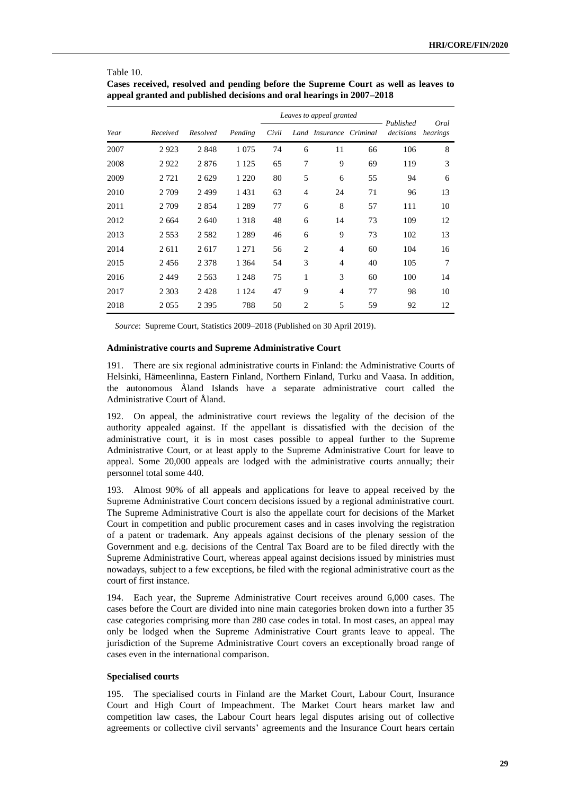|      |          |          |         |       | Leaves to appeal granted |                         |    |                        |                  |
|------|----------|----------|---------|-------|--------------------------|-------------------------|----|------------------------|------------------|
| Year | Received | Resolved | Pending | Civil |                          | Land Insurance Criminal |    | Published<br>decisions | Oral<br>hearings |
| 2007 | 2923     | 2848     | 1 0 7 5 | 74    | 6                        | 11                      | 66 | 106                    | 8                |
| 2008 | 2922     | 2876     | 1 1 2 5 | 65    | 7                        | 9                       | 69 | 119                    | 3                |
| 2009 | 2 7 2 1  | 2629     | 1 2 2 0 | 80    | 5                        | 6                       | 55 | 94                     | 6                |
| 2010 | 2 7 0 9  | 2499     | 1431    | 63    | 4                        | 24                      | 71 | 96                     | 13               |
| 2011 | 2 7 0 9  | 2854     | 1 2 8 9 | 77    | 6                        | 8                       | 57 | 111                    | 10               |
| 2012 | 2 6 6 4  | 2640     | 1 3 1 8 | 48    | 6                        | 14                      | 73 | 109                    | 12               |
| 2013 | 2 5 5 3  | 2582     | 1 2 8 9 | 46    | 6                        | 9                       | 73 | 102                    | 13               |
| 2014 | 2 6 1 1  | 2617     | 1 271   | 56    | $\overline{c}$           | 4                       | 60 | 104                    | 16               |
| 2015 | 2456     | 2 3 7 8  | 1 3 6 4 | 54    | 3                        | 4                       | 40 | 105                    | 7                |
| 2016 | 2449     | 2 5 6 3  | 1 2 4 8 | 75    | 1                        | 3                       | 60 | 100                    | 14               |
| 2017 | 2 3 0 3  | 2428     | 1 1 2 4 | 47    | 9                        | 4                       | 77 | 98                     | 10               |
| 2018 | 2 0 5 5  | 2 3 9 5  | 788     | 50    | 2                        | 5                       | 59 | 92                     | 12               |

Table 10. **Cases received, resolved and pending before the Supreme Court as well as leaves to appeal granted and published decisions and oral hearings in 2007–2018**

*Source*: Supreme Court, Statistics 2009–2018 (Published on 30 April 2019).

#### **Administrative courts and Supreme Administrative Court**

191. There are six regional administrative courts in Finland: the Administrative Courts of Helsinki, Hämeenlinna, Eastern Finland, Northern Finland, Turku and Vaasa. In addition, the autonomous Åland Islands have a separate administrative court called the Administrative Court of Åland.

192. On appeal, the administrative court reviews the legality of the decision of the authority appealed against. If the appellant is dissatisfied with the decision of the administrative court, it is in most cases possible to appeal further to the Supreme Administrative Court, or at least apply to the Supreme Administrative Court for leave to appeal. Some 20,000 appeals are lodged with the administrative courts annually; their personnel total some 440.

193. Almost 90% of all appeals and applications for leave to appeal received by the Supreme Administrative Court concern decisions issued by a regional administrative court. The Supreme Administrative Court is also the appellate court for decisions of the Market Court in competition and public procurement cases and in cases involving the registration of a patent or trademark. Any appeals against decisions of the plenary session of the Government and e.g. decisions of the Central Tax Board are to be filed directly with the Supreme Administrative Court, whereas appeal against decisions issued by ministries must nowadays, subject to a few exceptions, be filed with the regional administrative court as the court of first instance.

194. Each year, the Supreme Administrative Court receives around 6,000 cases. The cases before the Court are divided into nine main categories broken down into a further 35 case categories comprising more than 280 case codes in total. In most cases, an appeal may only be lodged when the Supreme Administrative Court grants leave to appeal. The jurisdiction of the Supreme Administrative Court covers an exceptionally broad range of cases even in the international comparison.

# **Specialised courts**

195. The specialised courts in Finland are the Market Court, Labour Court, Insurance Court and High Court of Impeachment. The Market Court hears market law and competition law cases, the Labour Court hears legal disputes arising out of collective agreements or collective civil servants' agreements and the Insurance Court hears certain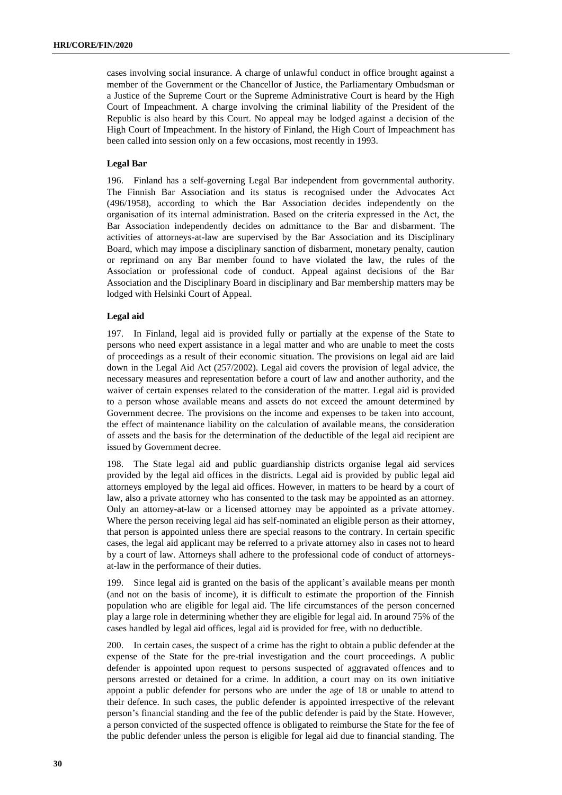cases involving social insurance. A charge of unlawful conduct in office brought against a member of the Government or the Chancellor of Justice, the Parliamentary Ombudsman or a Justice of the Supreme Court or the Supreme Administrative Court is heard by the High Court of Impeachment. A charge involving the criminal liability of the President of the Republic is also heard by this Court. No appeal may be lodged against a decision of the High Court of Impeachment. In the history of Finland, the High Court of Impeachment has been called into session only on a few occasions, most recently in 1993.

# **Legal Bar**

196. Finland has a self-governing Legal Bar independent from governmental authority. The Finnish Bar Association and its status is recognised under the Advocates Act (496/1958), according to which the Bar Association decides independently on the organisation of its internal administration. Based on the criteria expressed in the Act, the Bar Association independently decides on admittance to the Bar and disbarment. The activities of attorneys-at-law are supervised by the Bar Association and its Disciplinary Board, which may impose a disciplinary sanction of disbarment, monetary penalty, caution or reprimand on any Bar member found to have violated the law, the rules of the Association or professional code of conduct. Appeal against decisions of the Bar Association and the Disciplinary Board in disciplinary and Bar membership matters may be lodged with Helsinki Court of Appeal.

# **Legal aid**

197. In Finland, legal aid is provided fully or partially at the expense of the State to persons who need expert assistance in a legal matter and who are unable to meet the costs of proceedings as a result of their economic situation. The provisions on legal aid are laid down in the Legal Aid Act (257/2002). Legal aid covers the provision of legal advice, the necessary measures and representation before a court of law and another authority, and the waiver of certain expenses related to the consideration of the matter. Legal aid is provided to a person whose available means and assets do not exceed the amount determined by Government decree. The provisions on the income and expenses to be taken into account, the effect of maintenance liability on the calculation of available means, the consideration of assets and the basis for the determination of the deductible of the legal aid recipient are issued by Government decree.

198. The State legal aid and public guardianship districts organise legal aid services provided by the legal aid offices in the districts. Legal aid is provided by public legal aid attorneys employed by the legal aid offices. However, in matters to be heard by a court of law, also a private attorney who has consented to the task may be appointed as an attorney. Only an attorney-at-law or a licensed attorney may be appointed as a private attorney. Where the person receiving legal aid has self-nominated an eligible person as their attorney, that person is appointed unless there are special reasons to the contrary. In certain specific cases, the legal aid applicant may be referred to a private attorney also in cases not to heard by a court of law. Attorneys shall adhere to the professional code of conduct of attorneysat-law in the performance of their duties.

199. Since legal aid is granted on the basis of the applicant's available means per month (and not on the basis of income), it is difficult to estimate the proportion of the Finnish population who are eligible for legal aid. The life circumstances of the person concerned play a large role in determining whether they are eligible for legal aid. In around 75% of the cases handled by legal aid offices, legal aid is provided for free, with no deductible.

200. In certain cases, the suspect of a crime has the right to obtain a public defender at the expense of the State for the pre-trial investigation and the court proceedings. A public defender is appointed upon request to persons suspected of aggravated offences and to persons arrested or detained for a crime. In addition, a court may on its own initiative appoint a public defender for persons who are under the age of 18 or unable to attend to their defence. In such cases, the public defender is appointed irrespective of the relevant person's financial standing and the fee of the public defender is paid by the State. However, a person convicted of the suspected offence is obligated to reimburse the State for the fee of the public defender unless the person is eligible for legal aid due to financial standing. The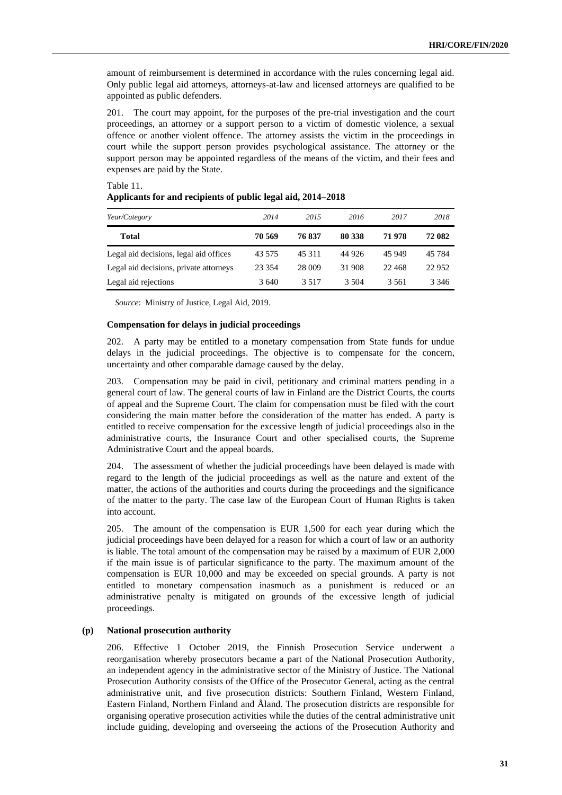amount of reimbursement is determined in accordance with the rules concerning legal aid. Only public legal aid attorneys, attorneys-at-law and licensed attorneys are qualified to be appointed as public defenders.

201. The court may appoint, for the purposes of the pre-trial investigation and the court proceedings, an attorney or a support person to a victim of domestic violence, a sexual offence or another violent offence. The attorney assists the victim in the proceedings in court while the support person provides psychological assistance. The attorney or the support person may be appointed regardless of the means of the victim, and their fees and expenses are paid by the State.

| Year/Category                          | 2014     | 2015   | 2016    | 2017     | 2018    |
|----------------------------------------|----------|--------|---------|----------|---------|
| Total                                  | 70 569   | 76837  | 80 338  | 71 978   | 72 082  |
| Legal aid decisions, legal aid offices | 43 575   | 45 311 | 44 9 26 | 45 949   | 45 7 84 |
| Legal aid decisions, private attorneys | 23 3 5 4 | 28 009 | 31 908  | 22 4 6 8 | 22 9 52 |
| Legal aid rejections                   | 3640     | 3.517  | 3.504   | 3.561    | 3 3 4 6 |

# Table 11. **Applicants for and recipients of public legal aid, 2014–2018**

*Source*: Ministry of Justice, Legal Aid, 2019.

# **Compensation for delays in judicial proceedings**

202. A party may be entitled to a monetary compensation from State funds for undue delays in the judicial proceedings. The objective is to compensate for the concern, uncertainty and other comparable damage caused by the delay.

203. Compensation may be paid in civil, petitionary and criminal matters pending in a general court of law. The general courts of law in Finland are the District Courts, the courts of appeal and the Supreme Court. The claim for compensation must be filed with the court considering the main matter before the consideration of the matter has ended. A party is entitled to receive compensation for the excessive length of judicial proceedings also in the administrative courts, the Insurance Court and other specialised courts, the Supreme Administrative Court and the appeal boards.

204. The assessment of whether the judicial proceedings have been delayed is made with regard to the length of the judicial proceedings as well as the nature and extent of the matter, the actions of the authorities and courts during the proceedings and the significance of the matter to the party. The case law of the European Court of Human Rights is taken into account.

205. The amount of the compensation is EUR 1,500 for each year during which the judicial proceedings have been delayed for a reason for which a court of law or an authority is liable. The total amount of the compensation may be raised by a maximum of EUR 2,000 if the main issue is of particular significance to the party. The maximum amount of the compensation is EUR 10,000 and may be exceeded on special grounds. A party is not entitled to monetary compensation inasmuch as a punishment is reduced or an administrative penalty is mitigated on grounds of the excessive length of judicial proceedings.

# **(p) National prosecution authority**

206. Effective 1 October 2019, the Finnish Prosecution Service underwent a reorganisation whereby prosecutors became a part of the National Prosecution Authority, an independent agency in the administrative sector of the Ministry of Justice. The National Prosecution Authority consists of the Office of the Prosecutor General, acting as the central administrative unit, and five prosecution districts: Southern Finland, Western Finland, Eastern Finland, Northern Finland and Åland. The prosecution districts are responsible for organising operative prosecution activities while the duties of the central administrative unit include guiding, developing and overseeing the actions of the Prosecution Authority and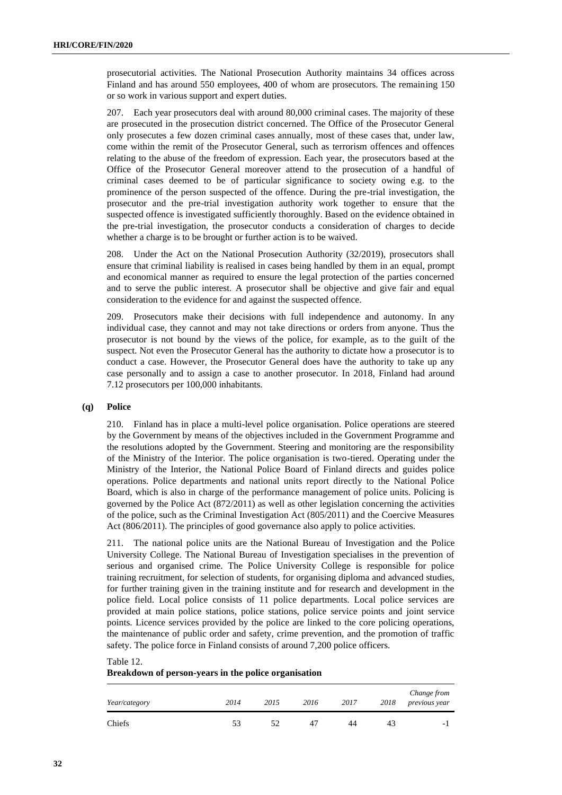prosecutorial activities. The National Prosecution Authority maintains 34 offices across Finland and has around 550 employees, 400 of whom are prosecutors. The remaining 150 or so work in various support and expert duties.

207. Each year prosecutors deal with around 80,000 criminal cases. The majority of these are prosecuted in the prosecution district concerned. The Office of the Prosecutor General only prosecutes a few dozen criminal cases annually, most of these cases that, under law, come within the remit of the Prosecutor General, such as terrorism offences and offences relating to the abuse of the freedom of expression. Each year, the prosecutors based at the Office of the Prosecutor General moreover attend to the prosecution of a handful of criminal cases deemed to be of particular significance to society owing e.g. to the prominence of the person suspected of the offence. During the pre-trial investigation, the prosecutor and the pre-trial investigation authority work together to ensure that the suspected offence is investigated sufficiently thoroughly. Based on the evidence obtained in the pre-trial investigation, the prosecutor conducts a consideration of charges to decide whether a charge is to be brought or further action is to be waived.

208. Under the Act on the National Prosecution Authority (32/2019), prosecutors shall ensure that criminal liability is realised in cases being handled by them in an equal, prompt and economical manner as required to ensure the legal protection of the parties concerned and to serve the public interest. A prosecutor shall be objective and give fair and equal consideration to the evidence for and against the suspected offence.

209. Prosecutors make their decisions with full independence and autonomy. In any individual case, they cannot and may not take directions or orders from anyone. Thus the prosecutor is not bound by the views of the police, for example, as to the guilt of the suspect. Not even the Prosecutor General has the authority to dictate how a prosecutor is to conduct a case. However, the Prosecutor General does have the authority to take up any case personally and to assign a case to another prosecutor. In 2018, Finland had around 7.12 prosecutors per 100,000 inhabitants.

# **(q) Police**

210. Finland has in place a multi-level police organisation. Police operations are steered by the Government by means of the objectives included in the Government Programme and the resolutions adopted by the Government. Steering and monitoring are the responsibility of the Ministry of the Interior. The police organisation is two-tiered. Operating under the Ministry of the Interior, the National Police Board of Finland directs and guides police operations. Police departments and national units report directly to the National Police Board, which is also in charge of the performance management of police units. Policing is governed by the Police Act (872/2011) as well as other legislation concerning the activities of the police, such as the Criminal Investigation Act (805/2011) and the Coercive Measures Act (806/2011). The principles of good governance also apply to police activities.

211. The national police units are the National Bureau of Investigation and the Police University College. The National Bureau of Investigation specialises in the prevention of serious and organised crime. The Police University College is responsible for police training recruitment, for selection of students, for organising diploma and advanced studies, for further training given in the training institute and for research and development in the police field. Local police consists of 11 police departments. Local police services are provided at main police stations, police stations, police service points and joint service points. Licence services provided by the police are linked to the core policing operations, the maintenance of public order and safety, crime prevention, and the promotion of traffic safety. The police force in Finland consists of around 7,200 police officers.

Table 12.

#### **Breakdown of person-years in the police organisation**

| Year/category | 2014 | 2015 | 2016 | 2017 | 2018 | Change from<br>previous year |
|---------------|------|------|------|------|------|------------------------------|
| Chiefs        | 53   | 52   | 47   | 44   | 43   | $\overline{\phantom{0}}$     |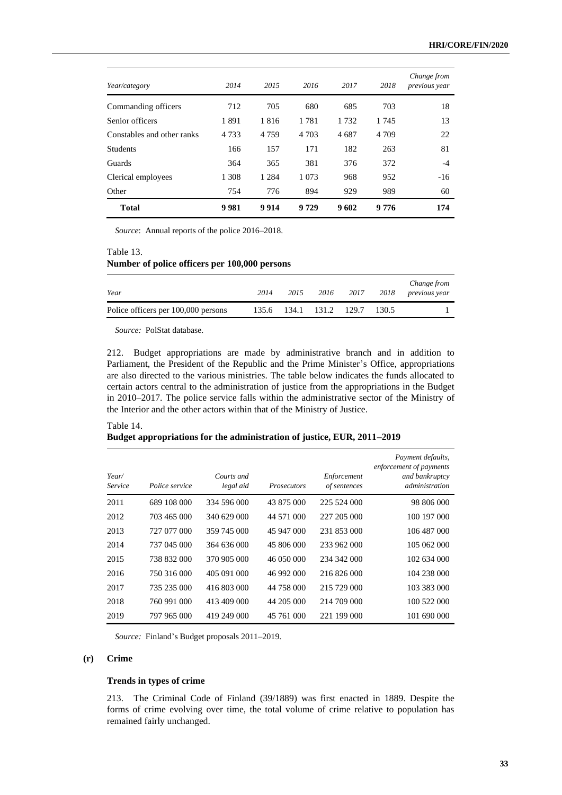| Year/category              | 2014    | 2015    | 2016    | 2017 | 2018    | Change from<br>previous year |
|----------------------------|---------|---------|---------|------|---------|------------------------------|
| Commanding officers        | 712     | 705     | 680     | 685  | 703     | 18                           |
| Senior officers            | 1891    | 1816    | 1781    | 1732 | 1 745   | 13                           |
| Constables and other ranks | 4 7 3 3 | 4 7 5 9 | 4 7 0 3 | 4687 | 4 7 0 9 | 22                           |
| <b>Students</b>            | 166     | 157     | 171     | 182  | 263     | 81                           |
| Guards                     | 364     | 365     | 381     | 376  | 372     | $-4$                         |
| Clerical employees         | 1 3 0 8 | 1 2 8 4 | 1 0 7 3 | 968  | 952     | $-16$                        |
| Other                      | 754     | 776     | 894     | 929  | 989     | 60                           |
| <b>Total</b>               | 9981    | 9914    | 9729    | 9602 | 9776    | 174                          |

*Source*: Annual reports of the police 2016–2018.

# Table 13. **Number of police officers per 100,000 persons**

| Year                                | 2014 | 2015        | 2016  | 2017  | 2018  | Change from<br><i>previous year</i> |
|-------------------------------------|------|-------------|-------|-------|-------|-------------------------------------|
| Police officers per 100,000 persons |      | 135.6 134.1 | 131.2 | 129.7 | 130.5 |                                     |

*Source:* PolStat database.

212. Budget appropriations are made by administrative branch and in addition to Parliament, the President of the Republic and the Prime Minister's Office, appropriations are also directed to the various ministries. The table below indicates the funds allocated to certain actors central to the administration of justice from the appropriations in the Budget in 2010–2017. The police service falls within the administrative sector of the Ministry of the Interior and the other actors within that of the Ministry of Justice.

#### Table 14.

**Budget appropriations for the administration of justice, EUR, 2011–2019**

| Year/<br>Service | Police service | Courts and<br>legal aid | <b>Prosecutors</b> | Enforcement<br>of sentences | Payment defaults,<br>enforcement of payments<br>and bankruptcy<br>administration |
|------------------|----------------|-------------------------|--------------------|-----------------------------|----------------------------------------------------------------------------------|
| 2011             | 689 108 000    | 334 596 000             | 43 875 000         | 225 524 000                 | 98 806 000                                                                       |
| 2012             | 703 465 000    | 340 629 000             | 44 571 000         | 227 205 000                 | 100 197 000                                                                      |
| 2013             | 727 077 000    | 359 745 000             | 45 947 000         | 231 853 000                 | 106 487 000                                                                      |
| 2014             | 737 045 000    | 364 636 000             | 45 806 000         | 233 962 000                 | 105 062 000                                                                      |
| 2015             | 738 832 000    | 370 905 000             | 46 050 000         | 234 342 000                 | 102 634 000                                                                      |
| 2016             | 750 316 000    | 405 091 000             | 46 992 000         | 216 826 000                 | 104 238 000                                                                      |
| 2017             | 735 235 000    | 416 803 000             | 44 758 000         | 215 729 000                 | 103 383 000                                                                      |
| 2018             | 760 991 000    | 413 409 000             | 44 205 000         | 214 709 000                 | 100 522 000                                                                      |
| 2019             | 797 965 000    | 419 249 000             | 45 761 000         | 221 199 000                 | 101 690 000                                                                      |

*Source:* Finland's Budget proposals 2011–2019.

# **(r) Crime**

#### **Trends in types of crime**

213. The Criminal Code of Finland (39/1889) was first enacted in 1889. Despite the forms of crime evolving over time, the total volume of crime relative to population has remained fairly unchanged.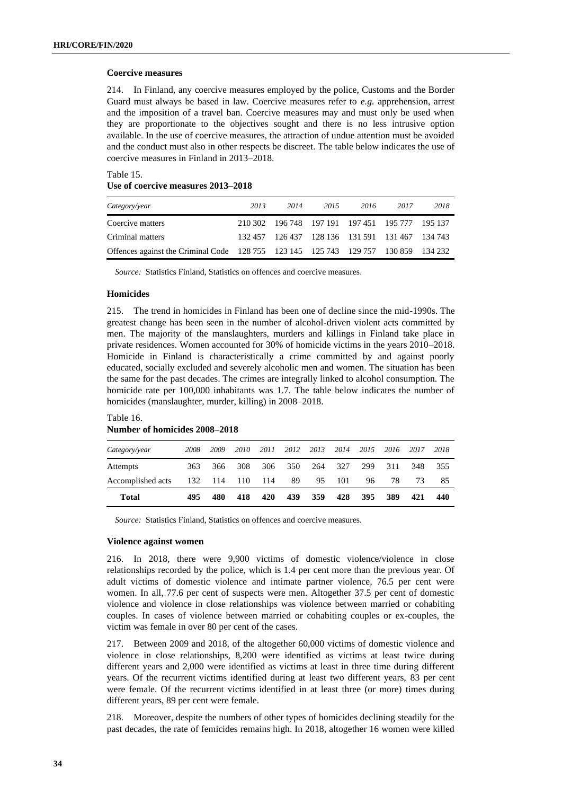## **Coercive measures**

214. In Finland, any coercive measures employed by the police, Customs and the Border Guard must always be based in law. Coercive measures refer to *e.g.* apprehension, arrest and the imposition of a travel ban. Coercive measures may and must only be used when they are proportionate to the objectives sought and there is no less intrusive option available. In the use of coercive measures, the attraction of undue attention must be avoided and the conduct must also in other respects be discreet. The table below indicates the use of coercive measures in Finland in 2013–2018.

Table 15. **Use of coercive measures 2013–2018**

| Category/year                                                                      | 2013 | 2014                                            | 2015 | 2016 | 2017 | 2018 |
|------------------------------------------------------------------------------------|------|-------------------------------------------------|------|------|------|------|
| Coercive matters                                                                   |      | 210 302 196 748 197 191 197 451 195 777 195 137 |      |      |      |      |
| Criminal matters                                                                   |      | 132 457 126 437 128 136 131 591 131 467 134 743 |      |      |      |      |
| Offences against the Criminal Code 128 755 123 145 125 743 129 757 130 859 134 232 |      |                                                 |      |      |      |      |

*Source:* Statistics Finland, Statistics on offences and coercive measures.

#### **Homicides**

215. The trend in homicides in Finland has been one of decline since the mid-1990s. The greatest change has been seen in the number of alcohol-driven violent acts committed by men. The majority of the manslaughters, murders and killings in Finland take place in private residences. Women accounted for 30% of homicide victims in the years 2010–2018. Homicide in Finland is characteristically a crime committed by and against poorly educated, socially excluded and severely alcoholic men and women. The situation has been the same for the past decades. The crimes are integrally linked to alcohol consumption. The homicide rate per 100,000 inhabitants was 1.7. The table below indicates the number of homicides (manslaughter, murder, killing) in 2008–2018.

# Table 16. **Number of homicides 2008–2018**

| Category/year     | 2008 | 2009            | 2010 | 2011 | 2012 | 2013 2014 |         | 2015 | 2016 | 2017 | 2018 |
|-------------------|------|-----------------|------|------|------|-----------|---------|------|------|------|------|
| Attempts          | 363  | 366             | 308  | 306  | 350  |           | 264 327 | 299  | 311  | 348  | 355  |
| Accomplished acts |      | 132 114 110 114 |      |      | 89   | 95        | 101     | 96   | 78.  | 73   | 85   |
| <b>Total</b>      | 495  | 480             | 418  | 420  | 439  | 359       | 428     | 395  | 389  | 421  | 440  |

*Source:* Statistics Finland, Statistics on offences and coercive measures.

## **Violence against women**

216. In 2018, there were 9,900 victims of domestic violence/violence in close relationships recorded by the police, which is 1.4 per cent more than the previous year. Of adult victims of domestic violence and intimate partner violence, 76.5 per cent were women. In all, 77.6 per cent of suspects were men. Altogether 37.5 per cent of domestic violence and violence in close relationships was violence between married or cohabiting couples. In cases of violence between married or cohabiting couples or ex-couples, the victim was female in over 80 per cent of the cases.

217. Between 2009 and 2018, of the altogether 60,000 victims of domestic violence and violence in close relationships, 8,200 were identified as victims at least twice during different years and 2,000 were identified as victims at least in three time during different years. Of the recurrent victims identified during at least two different years, 83 per cent were female. Of the recurrent victims identified in at least three (or more) times during different years, 89 per cent were female.

218. Moreover, despite the numbers of other types of homicides declining steadily for the past decades, the rate of femicides remains high. In 2018, altogether 16 women were killed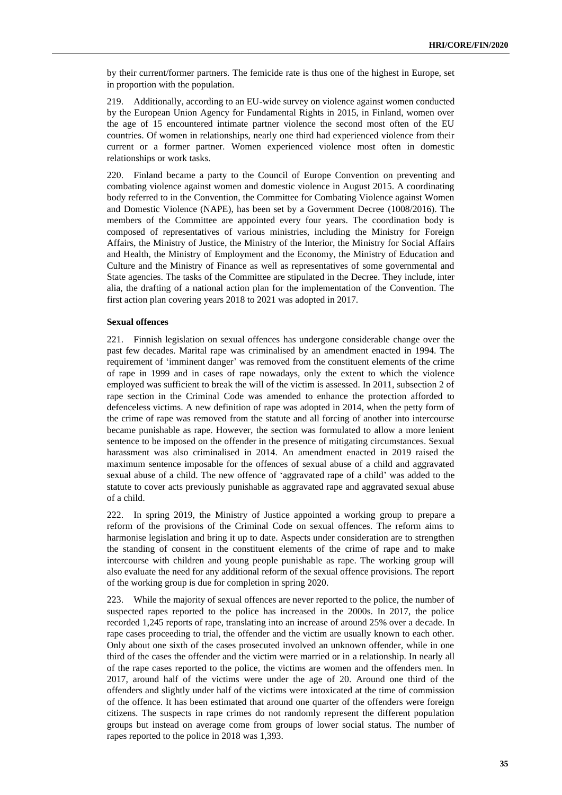by their current/former partners. The femicide rate is thus one of the highest in Europe, set in proportion with the population.

219. Additionally, according to an EU-wide survey on violence against women conducted by the European Union Agency for Fundamental Rights in 2015, in Finland, women over the age of 15 encountered intimate partner violence the second most often of the EU countries. Of women in relationships, nearly one third had experienced violence from their current or a former partner. Women experienced violence most often in domestic relationships or work tasks.

220. Finland became a party to the Council of Europe Convention on preventing and combating violence against women and domestic violence in August 2015. A coordinating body referred to in the Convention, the Committee for Combating Violence against Women and Domestic Violence (NAPE), has been set by a Government Decree (1008/2016). The members of the Committee are appointed every four years. The coordination body is composed of representatives of various ministries, including the Ministry for Foreign Affairs, the Ministry of Justice, the Ministry of the Interior, the Ministry for Social Affairs and Health, the Ministry of Employment and the Economy, the Ministry of Education and Culture and the Ministry of Finance as well as representatives of some governmental and State agencies. The tasks of the Committee are stipulated in the Decree. They include, inter alia, the drafting of a national action plan for the implementation of the Convention. The first action plan covering years 2018 to 2021 was adopted in 2017.

### **Sexual offences**

221. Finnish legislation on sexual offences has undergone considerable change over the past few decades. Marital rape was criminalised by an amendment enacted in 1994. The requirement of 'imminent danger' was removed from the constituent elements of the crime of rape in 1999 and in cases of rape nowadays, only the extent to which the violence employed was sufficient to break the will of the victim is assessed. In 2011, subsection 2 of rape section in the Criminal Code was amended to enhance the protection afforded to defenceless victims. A new definition of rape was adopted in 2014, when the petty form of the crime of rape was removed from the statute and all forcing of another into intercourse became punishable as rape. However, the section was formulated to allow a more lenient sentence to be imposed on the offender in the presence of mitigating circumstances. Sexual harassment was also criminalised in 2014. An amendment enacted in 2019 raised the maximum sentence imposable for the offences of sexual abuse of a child and aggravated sexual abuse of a child. The new offence of 'aggravated rape of a child' was added to the statute to cover acts previously punishable as aggravated rape and aggravated sexual abuse of a child.

222. In spring 2019, the Ministry of Justice appointed a working group to prepare a reform of the provisions of the Criminal Code on sexual offences. The reform aims to harmonise legislation and bring it up to date. Aspects under consideration are to strengthen the standing of consent in the constituent elements of the crime of rape and to make intercourse with children and young people punishable as rape. The working group will also evaluate the need for any additional reform of the sexual offence provisions. The report of the working group is due for completion in spring 2020.

223. While the majority of sexual offences are never reported to the police, the number of suspected rapes reported to the police has increased in the 2000s. In 2017, the police recorded 1,245 reports of rape, translating into an increase of around 25% over a decade. In rape cases proceeding to trial, the offender and the victim are usually known to each other. Only about one sixth of the cases prosecuted involved an unknown offender, while in one third of the cases the offender and the victim were married or in a relationship. In nearly all of the rape cases reported to the police, the victims are women and the offenders men. In 2017, around half of the victims were under the age of 20. Around one third of the offenders and slightly under half of the victims were intoxicated at the time of commission of the offence. It has been estimated that around one quarter of the offenders were foreign citizens. The suspects in rape crimes do not randomly represent the different population groups but instead on average come from groups of lower social status. The number of rapes reported to the police in 2018 was 1,393.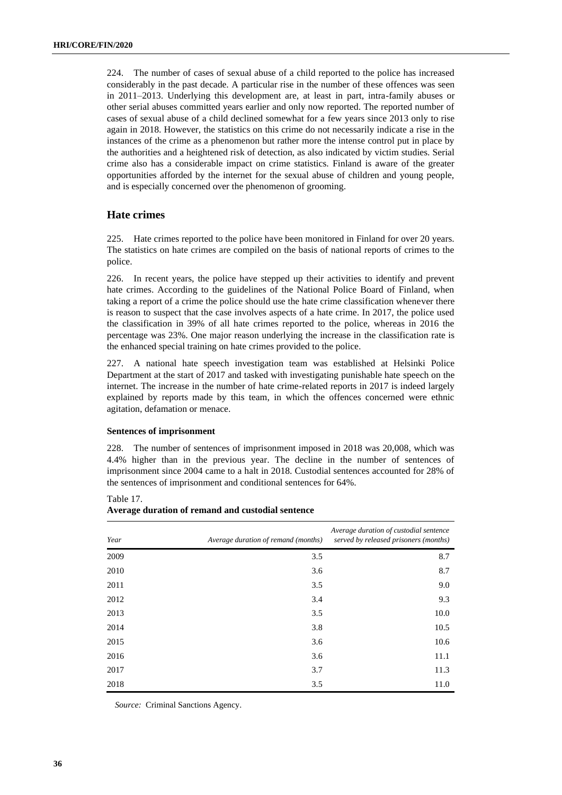224. The number of cases of sexual abuse of a child reported to the police has increased considerably in the past decade. A particular rise in the number of these offences was seen in 2011–2013. Underlying this development are, at least in part, intra-family abuses or other serial abuses committed years earlier and only now reported. The reported number of cases of sexual abuse of a child declined somewhat for a few years since 2013 only to rise again in 2018. However, the statistics on this crime do not necessarily indicate a rise in the instances of the crime as a phenomenon but rather more the intense control put in place by the authorities and a heightened risk of detection, as also indicated by victim studies. Serial crime also has a considerable impact on crime statistics. Finland is aware of the greater opportunities afforded by the internet for the sexual abuse of children and young people, and is especially concerned over the phenomenon of grooming.

# **Hate crimes**

225. Hate crimes reported to the police have been monitored in Finland for over 20 years. The statistics on hate crimes are compiled on the basis of national reports of crimes to the police.

226. In recent years, the police have stepped up their activities to identify and prevent hate crimes. According to the guidelines of the National Police Board of Finland, when taking a report of a crime the police should use the hate crime classification whenever there is reason to suspect that the case involves aspects of a hate crime. In 2017, the police used the classification in 39% of all hate crimes reported to the police, whereas in 2016 the percentage was 23%. One major reason underlying the increase in the classification rate is the enhanced special training on hate crimes provided to the police.

227. A national hate speech investigation team was established at Helsinki Police Department at the start of 2017 and tasked with investigating punishable hate speech on the internet. The increase in the number of hate crime-related reports in 2017 is indeed largely explained by reports made by this team, in which the offences concerned were ethnic agitation, defamation or menace.

# **Sentences of imprisonment**

228. The number of sentences of imprisonment imposed in 2018 was 20,008, which was 4.4% higher than in the previous year. The decline in the number of sentences of imprisonment since 2004 came to a halt in 2018. Custodial sentences accounted for 28% of the sentences of imprisonment and conditional sentences for 64%.

Table 17.

| Year | Average duration of remand (months) | Average duration of custodial sentence<br>served by released prisoners (months) |
|------|-------------------------------------|---------------------------------------------------------------------------------|
| 2009 | 3.5                                 | 8.7                                                                             |
| 2010 | 3.6                                 | 8.7                                                                             |
| 2011 | 3.5                                 | 9.0                                                                             |
| 2012 | 3.4                                 | 9.3                                                                             |
| 2013 | 3.5                                 | 10.0                                                                            |
| 2014 | 3.8                                 | 10.5                                                                            |
| 2015 | 3.6                                 | 10.6                                                                            |
| 2016 | 3.6                                 | 11.1                                                                            |
| 2017 | 3.7                                 | 11.3                                                                            |
| 2018 | 3.5                                 | 11.0                                                                            |

**Average duration of remand and custodial sentence**

*Source:* Criminal Sanctions Agency.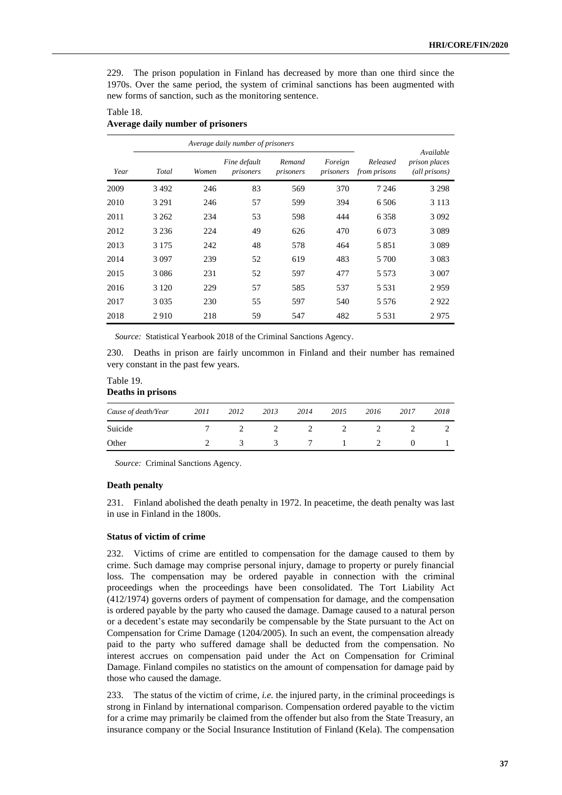229. The prison population in Finland has decreased by more than one third since the 1970s. Over the same period, the system of criminal sanctions has been augmented with new forms of sanction, such as the monitoring sentence.

# Table 18.

# **Average daily number of prisoners**

|      |         |       | Available                 |                     |                      |                          |                                       |
|------|---------|-------|---------------------------|---------------------|----------------------|--------------------------|---------------------------------------|
| Year | Total   | Women | Fine default<br>prisoners | Remand<br>prisoners | Foreign<br>prisoners | Released<br>from prisons | <i>prison places</i><br>(all prisons) |
| 2009 | 3492    | 246   | 83                        | 569                 | 370                  | 7 2 4 6                  | 3 2 9 8                               |
| 2010 | 3 2 9 1 | 246   | 57                        | 599                 | 394                  | 6 50 6                   | 3 1 1 3                               |
| 2011 | 3 2 6 2 | 234   | 53                        | 598                 | 444                  | 6 3 5 8                  | 3 0 9 2                               |
| 2012 | 3 2 3 6 | 224   | 49                        | 626                 | 470                  | 6 0 73                   | 3 0 8 9                               |
| 2013 | 3 1 7 5 | 242   | 48                        | 578                 | 464                  | 5851                     | 3 0 8 9                               |
| 2014 | 3 0 9 7 | 239   | 52                        | 619                 | 483                  | 5 700                    | 3 0 8 3                               |
| 2015 | 3 0 8 6 | 231   | 52                        | 597                 | 477                  | 5 5 7 3                  | 3 0 0 7                               |
| 2016 | 3 1 2 0 | 229   | 57                        | 585                 | 537                  | 5 5 3 1                  | 2959                                  |
| 2017 | 3 0 3 5 | 230   | 55                        | 597                 | 540                  | 5 5 7 6                  | 2922                                  |
| 2018 | 2910    | 218   | 59                        | 547                 | 482                  | 5 5 3 1                  | 2975                                  |

*Source:* Statistical Yearbook 2018 of the Criminal Sanctions Agency.

230. Deaths in prison are fairly uncommon in Finland and their number has remained very constant in the past few years.

| Table 19. |                   |
|-----------|-------------------|
|           | Deaths in prisons |

| Cause of death/Year | 2011 | 2012 | 2013 | 2014 | 2015 | 2016 | 2017 | 2018 |
|---------------------|------|------|------|------|------|------|------|------|
| Suicide             |      |      |      |      |      |      |      |      |
| Other               |      |      |      |      |      |      |      |      |

*Source:* Criminal Sanctions Agency.

# **Death penalty**

231. Finland abolished the death penalty in 1972. In peacetime, the death penalty was last in use in Finland in the 1800s.

# **Status of victim of crime**

232. Victims of crime are entitled to compensation for the damage caused to them by crime. Such damage may comprise personal injury, damage to property or purely financial loss. The compensation may be ordered payable in connection with the criminal proceedings when the proceedings have been consolidated. The Tort Liability Act (412/1974) governs orders of payment of compensation for damage, and the compensation is ordered payable by the party who caused the damage. Damage caused to a natural person or a decedent's estate may secondarily be compensable by the State pursuant to the Act on Compensation for Crime Damage (1204/2005). In such an event, the compensation already paid to the party who suffered damage shall be deducted from the compensation. No interest accrues on compensation paid under the Act on Compensation for Criminal Damage. Finland compiles no statistics on the amount of compensation for damage paid by those who caused the damage.

233. The status of the victim of crime, *i.e.* the injured party, in the criminal proceedings is strong in Finland by international comparison. Compensation ordered payable to the victim for a crime may primarily be claimed from the offender but also from the State Treasury, an insurance company or the Social Insurance Institution of Finland (Kela). The compensation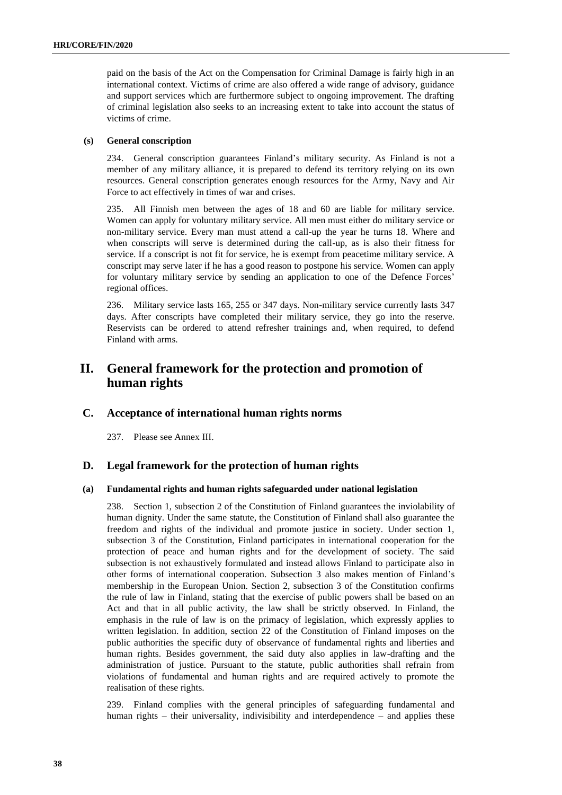paid on the basis of the Act on the Compensation for Criminal Damage is fairly high in an international context. Victims of crime are also offered a wide range of advisory, guidance and support services which are furthermore subject to ongoing improvement. The drafting of criminal legislation also seeks to an increasing extent to take into account the status of victims of crime.

# **(s) General conscription**

234. General conscription guarantees Finland's military security. As Finland is not a member of any military alliance, it is prepared to defend its territory relying on its own resources. General conscription generates enough resources for the Army, Navy and Air Force to act effectively in times of war and crises.

235. All Finnish men between the ages of 18 and 60 are liable for military service. Women can apply for voluntary military service. All men must either do military service or non-military service. Every man must attend a call-up the year he turns 18. Where and when conscripts will serve is determined during the call-up, as is also their fitness for service. If a conscript is not fit for service, he is exempt from peacetime military service. A conscript may serve later if he has a good reason to postpone his service. Women can apply for voluntary military service by sending an application to one of the Defence Forces' regional offices.

236. Military service lasts 165, 255 or 347 days. Non-military service currently lasts 347 days. After conscripts have completed their military service, they go into the reserve. Reservists can be ordered to attend refresher trainings and, when required, to defend Finland with arms.

# **II. General framework for the protection and promotion of human rights**

# **C. Acceptance of international human rights norms**

237. Please see Annex III.

# **D. Legal framework for the protection of human rights**

# **(a) Fundamental rights and human rights safeguarded under national legislation**

238. Section 1, subsection 2 of the Constitution of Finland guarantees the inviolability of human dignity. Under the same statute, the Constitution of Finland shall also guarantee the freedom and rights of the individual and promote justice in society. Under section 1, subsection 3 of the Constitution, Finland participates in international cooperation for the protection of peace and human rights and for the development of society. The said subsection is not exhaustively formulated and instead allows Finland to participate also in other forms of international cooperation. Subsection 3 also makes mention of Finland's membership in the European Union. Section 2, subsection 3 of the Constitution confirms the rule of law in Finland, stating that the exercise of public powers shall be based on an Act and that in all public activity, the law shall be strictly observed. In Finland, the emphasis in the rule of law is on the primacy of legislation, which expressly applies to written legislation. In addition, section 22 of the Constitution of Finland imposes on the public authorities the specific duty of observance of fundamental rights and liberties and human rights. Besides government, the said duty also applies in law-drafting and the administration of justice. Pursuant to the statute, public authorities shall refrain from violations of fundamental and human rights and are required actively to promote the realisation of these rights.

239. Finland complies with the general principles of safeguarding fundamental and human rights – their universality, indivisibility and interdependence – and applies these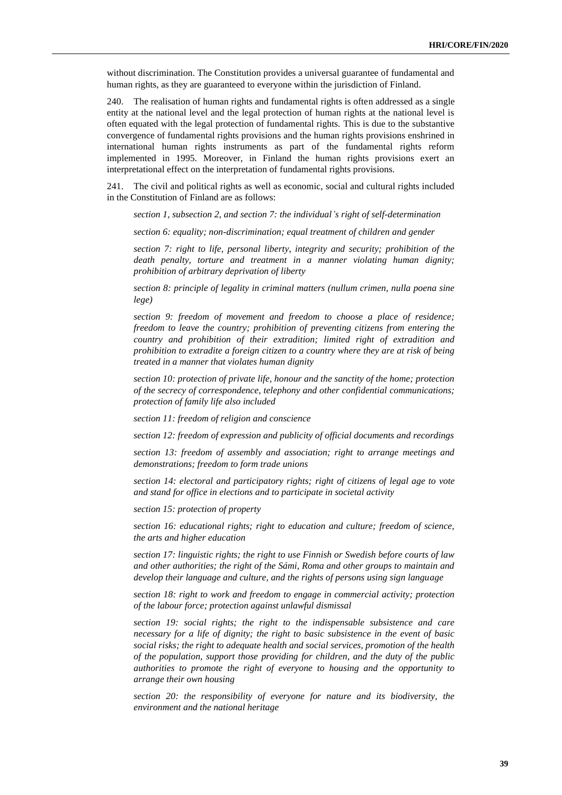without discrimination. The Constitution provides a universal guarantee of fundamental and human rights, as they are guaranteed to everyone within the jurisdiction of Finland.

240. The realisation of human rights and fundamental rights is often addressed as a single entity at the national level and the legal protection of human rights at the national level is often equated with the legal protection of fundamental rights. This is due to the substantive convergence of fundamental rights provisions and the human rights provisions enshrined in international human rights instruments as part of the fundamental rights reform implemented in 1995. Moreover, in Finland the human rights provisions exert an interpretational effect on the interpretation of fundamental rights provisions.

241. The civil and political rights as well as economic, social and cultural rights included in the Constitution of Finland are as follows:

*section 1, subsection 2, and section 7: the individual's right of self-determination*

*section 6: equality; non-discrimination; equal treatment of children and gender* 

*section 7: right to life, personal liberty, integrity and security; prohibition of the death penalty, torture and treatment in a manner violating human dignity; prohibition of arbitrary deprivation of liberty*

*section 8: principle of legality in criminal matters (nullum crimen, nulla poena sine lege)*

*section 9: freedom of movement and freedom to choose a place of residence; freedom to leave the country; prohibition of preventing citizens from entering the country and prohibition of their extradition; limited right of extradition and prohibition to extradite a foreign citizen to a country where they are at risk of being treated in a manner that violates human dignity*

*section 10: protection of private life, honour and the sanctity of the home; protection of the secrecy of correspondence, telephony and other confidential communications; protection of family life also included*

*section 11: freedom of religion and conscience*

*section 12: freedom of expression and publicity of official documents and recordings*

*section 13: freedom of assembly and association; right to arrange meetings and demonstrations; freedom to form trade unions*

*section 14: electoral and participatory rights; right of citizens of legal age to vote and stand for office in elections and to participate in societal activity*

*section 15: protection of property*

*section 16: educational rights; right to education and culture; freedom of science, the arts and higher education*

*section 17: linguistic rights; the right to use Finnish or Swedish before courts of law and other authorities; the right of the Sámi, Roma and other groups to maintain and develop their language and culture, and the rights of persons using sign language*

*section 18: right to work and freedom to engage in commercial activity; protection of the labour force; protection against unlawful dismissal*

*section 19: social rights; the right to the indispensable subsistence and care necessary for a life of dignity; the right to basic subsistence in the event of basic social risks; the right to adequate health and social services, promotion of the health of the population, support those providing for children, and the duty of the public authorities to promote the right of everyone to housing and the opportunity to arrange their own housing*

*section 20: the responsibility of everyone for nature and its biodiversity, the environment and the national heritage*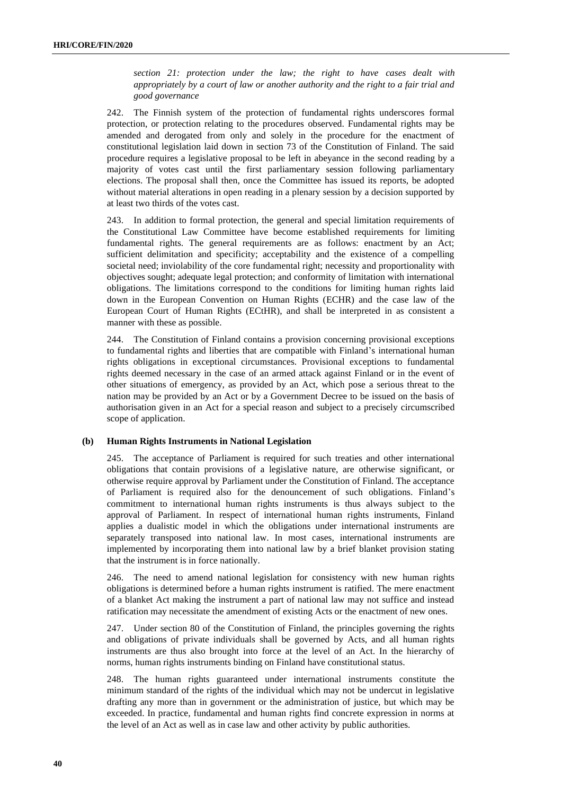*section 21: protection under the law; the right to have cases dealt with appropriately by a court of law or another authority and the right to a fair trial and good governance*

242. The Finnish system of the protection of fundamental rights underscores formal protection, or protection relating to the procedures observed. Fundamental rights may be amended and derogated from only and solely in the procedure for the enactment of constitutional legislation laid down in section 73 of the Constitution of Finland. The said procedure requires a legislative proposal to be left in abeyance in the second reading by a majority of votes cast until the first parliamentary session following parliamentary elections. The proposal shall then, once the Committee has issued its reports, be adopted without material alterations in open reading in a plenary session by a decision supported by at least two thirds of the votes cast.

243. In addition to formal protection, the general and special limitation requirements of the Constitutional Law Committee have become established requirements for limiting fundamental rights. The general requirements are as follows: enactment by an Act; sufficient delimitation and specificity; acceptability and the existence of a compelling societal need; inviolability of the core fundamental right; necessity and proportionality with objectives sought; adequate legal protection; and conformity of limitation with international obligations. The limitations correspond to the conditions for limiting human rights laid down in the European Convention on Human Rights (ECHR) and the case law of the European Court of Human Rights (ECtHR), and shall be interpreted in as consistent a manner with these as possible.

244. The Constitution of Finland contains a provision concerning provisional exceptions to fundamental rights and liberties that are compatible with Finland's international human rights obligations in exceptional circumstances. Provisional exceptions to fundamental rights deemed necessary in the case of an armed attack against Finland or in the event of other situations of emergency, as provided by an Act, which pose a serious threat to the nation may be provided by an Act or by a Government Decree to be issued on the basis of authorisation given in an Act for a special reason and subject to a precisely circumscribed scope of application.

# **(b) Human Rights Instruments in National Legislation**

245. The acceptance of Parliament is required for such treaties and other international obligations that contain provisions of a legislative nature, are otherwise significant, or otherwise require approval by Parliament under the Constitution of Finland. The acceptance of Parliament is required also for the denouncement of such obligations. Finland's commitment to international human rights instruments is thus always subject to the approval of Parliament. In respect of international human rights instruments, Finland applies a dualistic model in which the obligations under international instruments are separately transposed into national law. In most cases, international instruments are implemented by incorporating them into national law by a brief blanket provision stating that the instrument is in force nationally.

246. The need to amend national legislation for consistency with new human rights obligations is determined before a human rights instrument is ratified. The mere enactment of a blanket Act making the instrument a part of national law may not suffice and instead ratification may necessitate the amendment of existing Acts or the enactment of new ones.

247. Under section 80 of the Constitution of Finland, the principles governing the rights and obligations of private individuals shall be governed by Acts, and all human rights instruments are thus also brought into force at the level of an Act. In the hierarchy of norms, human rights instruments binding on Finland have constitutional status.

248. The human rights guaranteed under international instruments constitute the minimum standard of the rights of the individual which may not be undercut in legislative drafting any more than in government or the administration of justice, but which may be exceeded. In practice, fundamental and human rights find concrete expression in norms at the level of an Act as well as in case law and other activity by public authorities.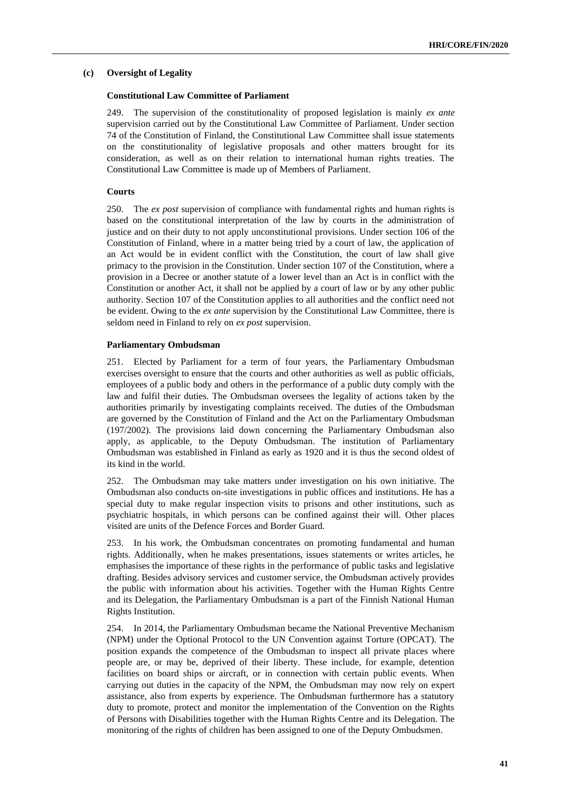# **(c) Oversight of Legality**

# **Constitutional Law Committee of Parliament**

249. The supervision of the constitutionality of proposed legislation is mainly *ex ante* supervision carried out by the Constitutional Law Committee of Parliament. Under section 74 of the Constitution of Finland, the Constitutional Law Committee shall issue statements on the constitutionality of legislative proposals and other matters brought for its consideration, as well as on their relation to international human rights treaties. The Constitutional Law Committee is made up of Members of Parliament.

# **Courts**

250. The *ex post* supervision of compliance with fundamental rights and human rights is based on the constitutional interpretation of the law by courts in the administration of justice and on their duty to not apply unconstitutional provisions. Under section 106 of the Constitution of Finland, where in a matter being tried by a court of law, the application of an Act would be in evident conflict with the Constitution, the court of law shall give primacy to the provision in the Constitution. Under section 107 of the Constitution, where a provision in a Decree or another statute of a lower level than an Act is in conflict with the Constitution or another Act, it shall not be applied by a court of law or by any other public authority. Section 107 of the Constitution applies to all authorities and the conflict need not be evident. Owing to the *ex ante* supervision by the Constitutional Law Committee, there is seldom need in Finland to rely on *ex post* supervision.

#### **Parliamentary Ombudsman**

251. Elected by Parliament for a term of four years, the Parliamentary Ombudsman exercises oversight to ensure that the courts and other authorities as well as public officials, employees of a public body and others in the performance of a public duty comply with the law and fulfil their duties. The Ombudsman oversees the legality of actions taken by the authorities primarily by investigating complaints received. The duties of the Ombudsman are governed by the Constitution of Finland and the Act on the Parliamentary Ombudsman (197/2002). The provisions laid down concerning the Parliamentary Ombudsman also apply, as applicable, to the Deputy Ombudsman. The institution of Parliamentary Ombudsman was established in Finland as early as 1920 and it is thus the second oldest of its kind in the world.

252. The Ombudsman may take matters under investigation on his own initiative. The Ombudsman also conducts on-site investigations in public offices and institutions. He has a special duty to make regular inspection visits to prisons and other institutions, such as psychiatric hospitals, in which persons can be confined against their will. Other places visited are units of the Defence Forces and Border Guard.

253. In his work, the Ombudsman concentrates on promoting fundamental and human rights. Additionally, when he makes presentations, issues statements or writes articles, he emphasises the importance of these rights in the performance of public tasks and legislative drafting. Besides advisory services and customer service, the Ombudsman actively provides the public with information about his activities. Together with the Human Rights Centre and its Delegation, the Parliamentary Ombudsman is a part of the Finnish National Human Rights Institution.

254. In 2014, the Parliamentary Ombudsman became the National Preventive Mechanism (NPM) under the Optional Protocol to the UN Convention against Torture (OPCAT). The position expands the competence of the Ombudsman to inspect all private places where people are, or may be, deprived of their liberty. These include, for example, detention facilities on board ships or aircraft, or in connection with certain public events. When carrying out duties in the capacity of the NPM, the Ombudsman may now rely on expert assistance, also from experts by experience. The Ombudsman furthermore has a statutory duty to promote, protect and monitor the implementation of the Convention on the Rights of Persons with Disabilities together with the Human Rights Centre and its Delegation. The monitoring of the rights of children has been assigned to one of the Deputy Ombudsmen.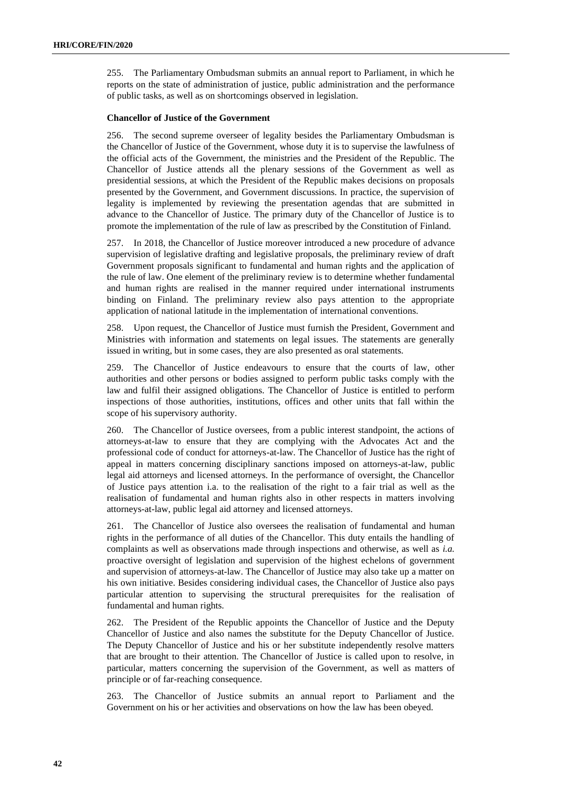255. The Parliamentary Ombudsman submits an annual report to Parliament, in which he reports on the state of administration of justice, public administration and the performance of public tasks, as well as on shortcomings observed in legislation.

# **Chancellor of Justice of the Government**

256. The second supreme overseer of legality besides the Parliamentary Ombudsman is the Chancellor of Justice of the Government, whose duty it is to supervise the lawfulness of the official acts of the Government, the ministries and the President of the Republic. The Chancellor of Justice attends all the plenary sessions of the Government as well as presidential sessions, at which the President of the Republic makes decisions on proposals presented by the Government, and Government discussions. In practice, the supervision of legality is implemented by reviewing the presentation agendas that are submitted in advance to the Chancellor of Justice. The primary duty of the Chancellor of Justice is to promote the implementation of the rule of law as prescribed by the Constitution of Finland.

257. In 2018, the Chancellor of Justice moreover introduced a new procedure of advance supervision of legislative drafting and legislative proposals, the preliminary review of draft Government proposals significant to fundamental and human rights and the application of the rule of law. One element of the preliminary review is to determine whether fundamental and human rights are realised in the manner required under international instruments binding on Finland. The preliminary review also pays attention to the appropriate application of national latitude in the implementation of international conventions.

258. Upon request, the Chancellor of Justice must furnish the President, Government and Ministries with information and statements on legal issues. The statements are generally issued in writing, but in some cases, they are also presented as oral statements.

259. The Chancellor of Justice endeavours to ensure that the courts of law, other authorities and other persons or bodies assigned to perform public tasks comply with the law and fulfil their assigned obligations. The Chancellor of Justice is entitled to perform inspections of those authorities, institutions, offices and other units that fall within the scope of his supervisory authority.

260. The Chancellor of Justice oversees, from a public interest standpoint, the actions of attorneys-at-law to ensure that they are complying with the Advocates Act and the professional code of conduct for attorneys-at-law. The Chancellor of Justice has the right of appeal in matters concerning disciplinary sanctions imposed on attorneys-at-law, public legal aid attorneys and licensed attorneys. In the performance of oversight, the Chancellor of Justice pays attention i.a. to the realisation of the right to a fair trial as well as the realisation of fundamental and human rights also in other respects in matters involving attorneys-at-law, public legal aid attorney and licensed attorneys.

261. The Chancellor of Justice also oversees the realisation of fundamental and human rights in the performance of all duties of the Chancellor. This duty entails the handling of complaints as well as observations made through inspections and otherwise, as well as *i.a.* proactive oversight of legislation and supervision of the highest echelons of government and supervision of attorneys-at-law. The Chancellor of Justice may also take up a matter on his own initiative. Besides considering individual cases, the Chancellor of Justice also pays particular attention to supervising the structural prerequisites for the realisation of fundamental and human rights.

262. The President of the Republic appoints the Chancellor of Justice and the Deputy Chancellor of Justice and also names the substitute for the Deputy Chancellor of Justice. The Deputy Chancellor of Justice and his or her substitute independently resolve matters that are brought to their attention. The Chancellor of Justice is called upon to resolve, in particular, matters concerning the supervision of the Government, as well as matters of principle or of far-reaching consequence.

263. The Chancellor of Justice submits an annual report to Parliament and the Government on his or her activities and observations on how the law has been obeyed.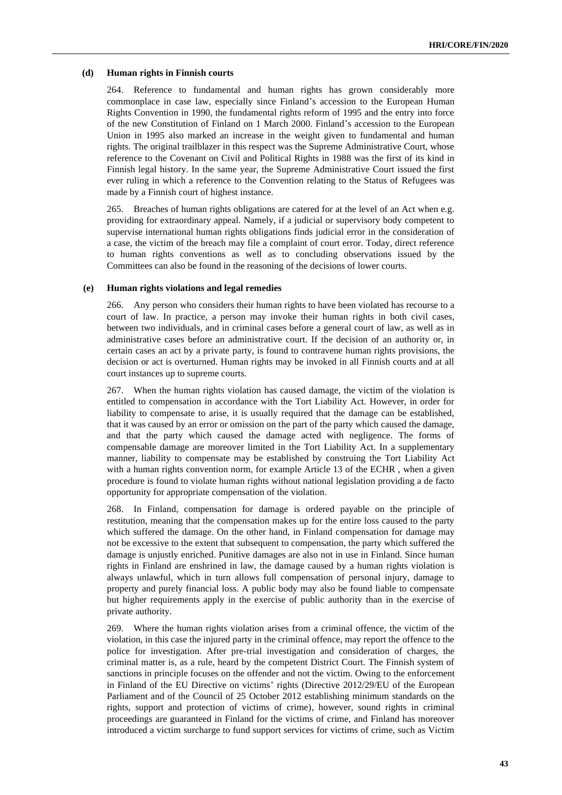#### **(d) Human rights in Finnish courts**

264. Reference to fundamental and human rights has grown considerably more commonplace in case law, especially since Finland's accession to the European Human Rights Convention in 1990, the fundamental rights reform of 1995 and the entry into force of the new Constitution of Finland on 1 March 2000. Finland's accession to the European Union in 1995 also marked an increase in the weight given to fundamental and human rights. The original trailblazer in this respect was the Supreme Administrative Court, whose reference to the Covenant on Civil and Political Rights in 1988 was the first of its kind in Finnish legal history. In the same year, the Supreme Administrative Court issued the first ever ruling in which a reference to the Convention relating to the Status of Refugees was made by a Finnish court of highest instance.

265. Breaches of human rights obligations are catered for at the level of an Act when e.g. providing for extraordinary appeal. Namely, if a judicial or supervisory body competent to supervise international human rights obligations finds judicial error in the consideration of a case, the victim of the breach may file a complaint of court error. Today, direct reference to human rights conventions as well as to concluding observations issued by the Committees can also be found in the reasoning of the decisions of lower courts.

### **(e) Human rights violations and legal remedies**

266. Any person who considers their human rights to have been violated has recourse to a court of law. In practice, a person may invoke their human rights in both civil cases, between two individuals, and in criminal cases before a general court of law, as well as in administrative cases before an administrative court. If the decision of an authority or, in certain cases an act by a private party, is found to contravene human rights provisions, the decision or act is overturned. Human rights may be invoked in all Finnish courts and at all court instances up to supreme courts.

267. When the human rights violation has caused damage, the victim of the violation is entitled to compensation in accordance with the Tort Liability Act. However, in order for liability to compensate to arise, it is usually required that the damage can be established, that it was caused by an error or omission on the part of the party which caused the damage, and that the party which caused the damage acted with negligence. The forms of compensable damage are moreover limited in the Tort Liability Act. In a supplementary manner, liability to compensate may be established by construing the Tort Liability Act with a human rights convention norm, for example Article 13 of the ECHR , when a given procedure is found to violate human rights without national legislation providing a de facto opportunity for appropriate compensation of the violation.

268. In Finland, compensation for damage is ordered payable on the principle of restitution, meaning that the compensation makes up for the entire loss caused to the party which suffered the damage. On the other hand, in Finland compensation for damage may not be excessive to the extent that subsequent to compensation, the party which suffered the damage is unjustly enriched. Punitive damages are also not in use in Finland. Since human rights in Finland are enshrined in law, the damage caused by a human rights violation is always unlawful, which in turn allows full compensation of personal injury, damage to property and purely financial loss. A public body may also be found liable to compensate but higher requirements apply in the exercise of public authority than in the exercise of private authority.

269. Where the human rights violation arises from a criminal offence, the victim of the violation, in this case the injured party in the criminal offence, may report the offence to the police for investigation. After pre-trial investigation and consideration of charges, the criminal matter is, as a rule, heard by the competent District Court. The Finnish system of sanctions in principle focuses on the offender and not the victim. Owing to the enforcement in Finland of the EU Directive on victims' rights (Directive 2012/29/EU of the European Parliament and of the Council of 25 October 2012 establishing minimum standards on the rights, support and protection of victims of crime), however, sound rights in criminal proceedings are guaranteed in Finland for the victims of crime, and Finland has moreover introduced a victim surcharge to fund support services for victims of crime, such as Victim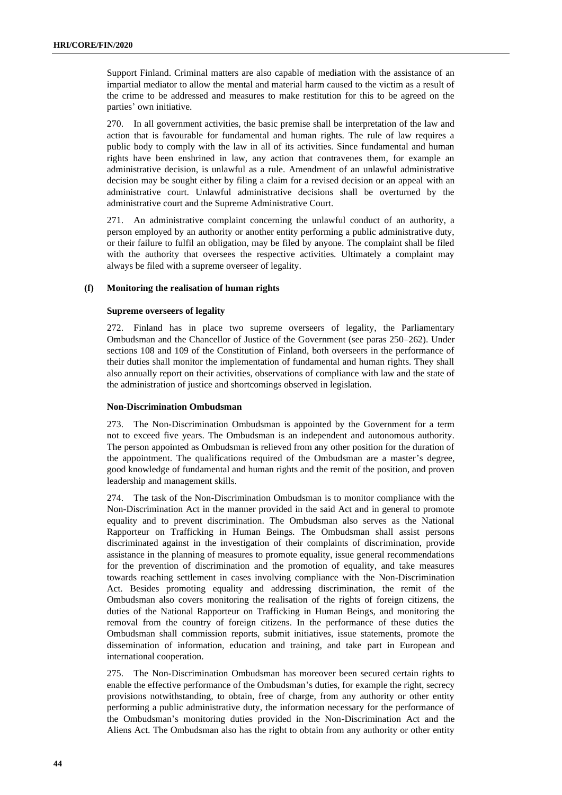Support Finland. Criminal matters are also capable of mediation with the assistance of an impartial mediator to allow the mental and material harm caused to the victim as a result of the crime to be addressed and measures to make restitution for this to be agreed on the parties' own initiative.

270. In all government activities, the basic premise shall be interpretation of the law and action that is favourable for fundamental and human rights. The rule of law requires a public body to comply with the law in all of its activities. Since fundamental and human rights have been enshrined in law, any action that contravenes them, for example an administrative decision, is unlawful as a rule. Amendment of an unlawful administrative decision may be sought either by filing a claim for a revised decision or an appeal with an administrative court. Unlawful administrative decisions shall be overturned by the administrative court and the Supreme Administrative Court.

271. An administrative complaint concerning the unlawful conduct of an authority, a person employed by an authority or another entity performing a public administrative duty, or their failure to fulfil an obligation, may be filed by anyone. The complaint shall be filed with the authority that oversees the respective activities. Ultimately a complaint may always be filed with a supreme overseer of legality.

# **(f) Monitoring the realisation of human rights**

# **Supreme overseers of legality**

272. Finland has in place two supreme overseers of legality, the Parliamentary Ombudsman and the Chancellor of Justice of the Government (see paras 250–262). Under sections 108 and 109 of the Constitution of Finland, both overseers in the performance of their duties shall monitor the implementation of fundamental and human rights. They shall also annually report on their activities, observations of compliance with law and the state of the administration of justice and shortcomings observed in legislation.

# **Non-Discrimination Ombudsman**

273. The Non-Discrimination Ombudsman is appointed by the Government for a term not to exceed five years. The Ombudsman is an independent and autonomous authority. The person appointed as Ombudsman is relieved from any other position for the duration of the appointment. The qualifications required of the Ombudsman are a master's degree, good knowledge of fundamental and human rights and the remit of the position, and proven leadership and management skills.

274. The task of the Non-Discrimination Ombudsman is to monitor compliance with the Non-Discrimination Act in the manner provided in the said Act and in general to promote equality and to prevent discrimination. The Ombudsman also serves as the National Rapporteur on Trafficking in Human Beings. The Ombudsman shall assist persons discriminated against in the investigation of their complaints of discrimination, provide assistance in the planning of measures to promote equality, issue general recommendations for the prevention of discrimination and the promotion of equality, and take measures towards reaching settlement in cases involving compliance with the Non-Discrimination Act. Besides promoting equality and addressing discrimination, the remit of the Ombudsman also covers monitoring the realisation of the rights of foreign citizens, the duties of the National Rapporteur on Trafficking in Human Beings, and monitoring the removal from the country of foreign citizens. In the performance of these duties the Ombudsman shall commission reports, submit initiatives, issue statements, promote the dissemination of information, education and training, and take part in European and international cooperation.

275. The Non-Discrimination Ombudsman has moreover been secured certain rights to enable the effective performance of the Ombudsman's duties, for example the right, secrecy provisions notwithstanding, to obtain, free of charge, from any authority or other entity performing a public administrative duty, the information necessary for the performance of the Ombudsman's monitoring duties provided in the Non-Discrimination Act and the Aliens Act. The Ombudsman also has the right to obtain from any authority or other entity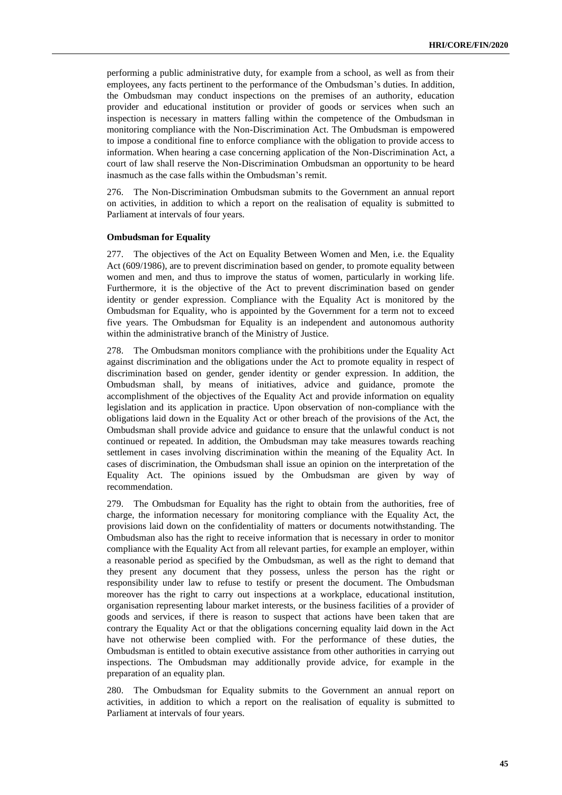performing a public administrative duty, for example from a school, as well as from their employees, any facts pertinent to the performance of the Ombudsman's duties. In addition, the Ombudsman may conduct inspections on the premises of an authority, education provider and educational institution or provider of goods or services when such an inspection is necessary in matters falling within the competence of the Ombudsman in monitoring compliance with the Non-Discrimination Act. The Ombudsman is empowered to impose a conditional fine to enforce compliance with the obligation to provide access to information. When hearing a case concerning application of the Non-Discrimination Act, a court of law shall reserve the Non-Discrimination Ombudsman an opportunity to be heard inasmuch as the case falls within the Ombudsman's remit.

276. The Non-Discrimination Ombudsman submits to the Government an annual report on activities, in addition to which a report on the realisation of equality is submitted to Parliament at intervals of four years.

#### **Ombudsman for Equality**

277. The objectives of the Act on Equality Between Women and Men, i.e. the Equality Act (609/1986), are to prevent discrimination based on gender, to promote equality between women and men, and thus to improve the status of women, particularly in working life. Furthermore, it is the objective of the Act to prevent discrimination based on gender identity or gender expression. Compliance with the Equality Act is monitored by the Ombudsman for Equality, who is appointed by the Government for a term not to exceed five years. The Ombudsman for Equality is an independent and autonomous authority within the administrative branch of the Ministry of Justice.

278. The Ombudsman monitors compliance with the prohibitions under the Equality Act against discrimination and the obligations under the Act to promote equality in respect of discrimination based on gender, gender identity or gender expression. In addition, the Ombudsman shall, by means of initiatives, advice and guidance, promote the accomplishment of the objectives of the Equality Act and provide information on equality legislation and its application in practice. Upon observation of non-compliance with the obligations laid down in the Equality Act or other breach of the provisions of the Act, the Ombudsman shall provide advice and guidance to ensure that the unlawful conduct is not continued or repeated. In addition, the Ombudsman may take measures towards reaching settlement in cases involving discrimination within the meaning of the Equality Act. In cases of discrimination, the Ombudsman shall issue an opinion on the interpretation of the Equality Act. The opinions issued by the Ombudsman are given by way of recommendation.

279. The Ombudsman for Equality has the right to obtain from the authorities, free of charge, the information necessary for monitoring compliance with the Equality Act, the provisions laid down on the confidentiality of matters or documents notwithstanding. The Ombudsman also has the right to receive information that is necessary in order to monitor compliance with the Equality Act from all relevant parties, for example an employer, within a reasonable period as specified by the Ombudsman, as well as the right to demand that they present any document that they possess, unless the person has the right or responsibility under law to refuse to testify or present the document. The Ombudsman moreover has the right to carry out inspections at a workplace, educational institution, organisation representing labour market interests, or the business facilities of a provider of goods and services, if there is reason to suspect that actions have been taken that are contrary the Equality Act or that the obligations concerning equality laid down in the Act have not otherwise been complied with. For the performance of these duties, the Ombudsman is entitled to obtain executive assistance from other authorities in carrying out inspections. The Ombudsman may additionally provide advice, for example in the preparation of an equality plan.

280. The Ombudsman for Equality submits to the Government an annual report on activities, in addition to which a report on the realisation of equality is submitted to Parliament at intervals of four years.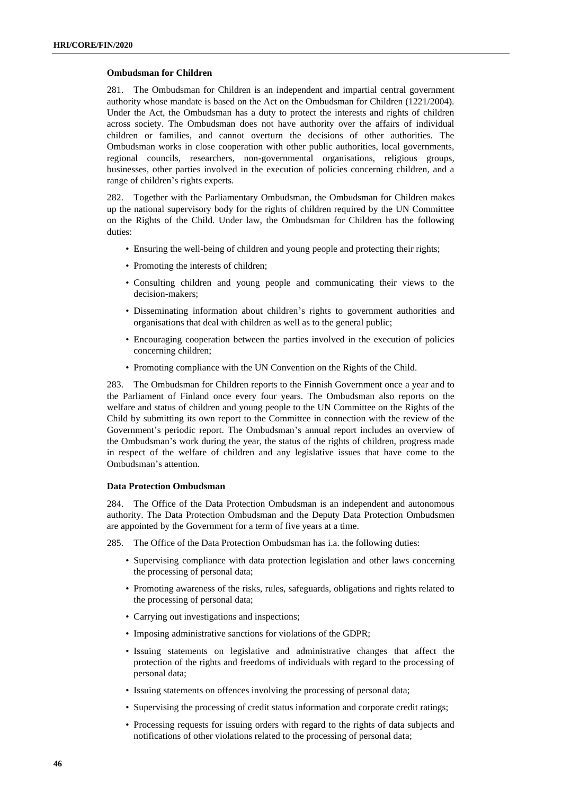# **Ombudsman for Children**

281. The Ombudsman for Children is an independent and impartial central government authority whose mandate is based on the Act on the Ombudsman for Children (1221/2004). Under the Act, the Ombudsman has a duty to protect the interests and rights of children across society. The Ombudsman does not have authority over the affairs of individual children or families, and cannot overturn the decisions of other authorities. The Ombudsman works in close cooperation with other public authorities, local governments, regional councils, researchers, non-governmental organisations, religious groups, businesses, other parties involved in the execution of policies concerning children, and a range of children's rights experts.

282. Together with the Parliamentary Ombudsman, the Ombudsman for Children makes up the national supervisory body for the rights of children required by the UN Committee on the Rights of the Child. Under law, the Ombudsman for Children has the following duties:

- Ensuring the well-being of children and young people and protecting their rights;
- Promoting the interests of children;
- Consulting children and young people and communicating their views to the decision-makers;
- Disseminating information about children's rights to government authorities and organisations that deal with children as well as to the general public;
- Encouraging cooperation between the parties involved in the execution of policies concerning children;
- Promoting compliance with the UN Convention on the Rights of the Child.

283. The Ombudsman for Children reports to the Finnish Government once a year and to the Parliament of Finland once every four years. The Ombudsman also reports on the welfare and status of children and young people to the UN Committee on the Rights of the Child by submitting its own report to the Committee in connection with the review of the Government's periodic report. The Ombudsman's annual report includes an overview of the Ombudsman's work during the year, the status of the rights of children, progress made in respect of the welfare of children and any legislative issues that have come to the Ombudsman's attention.

# **Data Protection Ombudsman**

284. The Office of the Data Protection Ombudsman is an independent and autonomous authority. The Data Protection Ombudsman and the Deputy Data Protection Ombudsmen are appointed by the Government for a term of five years at a time.

285. The Office of the Data Protection Ombudsman has i.a. the following duties:

- Supervising compliance with data protection legislation and other laws concerning the processing of personal data;
- Promoting awareness of the risks, rules, safeguards, obligations and rights related to the processing of personal data;
- Carrying out investigations and inspections;
- Imposing administrative sanctions for violations of the GDPR;
- Issuing statements on legislative and administrative changes that affect the protection of the rights and freedoms of individuals with regard to the processing of personal data;
- Issuing statements on offences involving the processing of personal data;
- Supervising the processing of credit status information and corporate credit ratings;
- Processing requests for issuing orders with regard to the rights of data subjects and notifications of other violations related to the processing of personal data;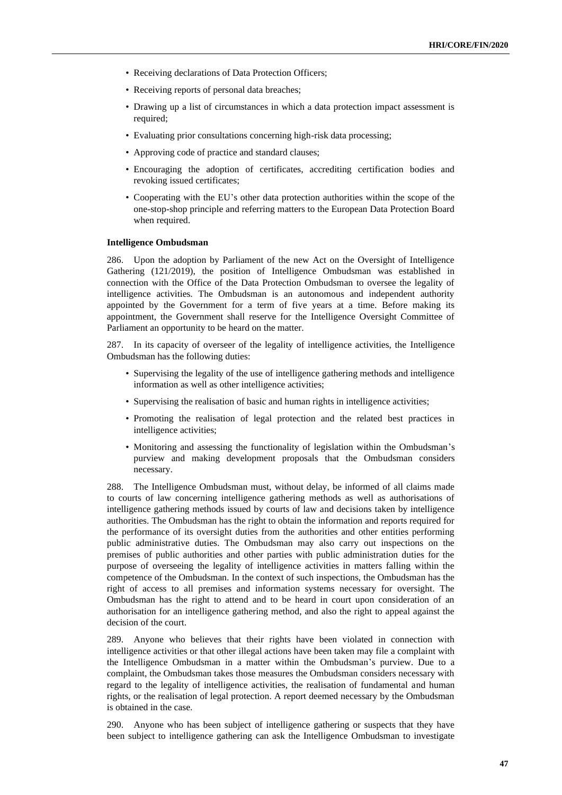- Receiving declarations of Data Protection Officers;
- Receiving reports of personal data breaches;
- Drawing up a list of circumstances in which a data protection impact assessment is required;
- Evaluating prior consultations concerning high-risk data processing;
- Approving code of practice and standard clauses;
- Encouraging the adoption of certificates, accrediting certification bodies and revoking issued certificates;
- Cooperating with the EU's other data protection authorities within the scope of the one-stop-shop principle and referring matters to the European Data Protection Board when required.

# **Intelligence Ombudsman**

286. Upon the adoption by Parliament of the new Act on the Oversight of Intelligence Gathering (121/2019), the position of Intelligence Ombudsman was established in connection with the Office of the Data Protection Ombudsman to oversee the legality of intelligence activities. The Ombudsman is an autonomous and independent authority appointed by the Government for a term of five years at a time. Before making its appointment, the Government shall reserve for the Intelligence Oversight Committee of Parliament an opportunity to be heard on the matter.

287. In its capacity of overseer of the legality of intelligence activities, the Intelligence Ombudsman has the following duties:

- Supervising the legality of the use of intelligence gathering methods and intelligence information as well as other intelligence activities;
- Supervising the realisation of basic and human rights in intelligence activities;
- Promoting the realisation of legal protection and the related best practices in intelligence activities;
- Monitoring and assessing the functionality of legislation within the Ombudsman's purview and making development proposals that the Ombudsman considers necessary.

288. The Intelligence Ombudsman must, without delay, be informed of all claims made to courts of law concerning intelligence gathering methods as well as authorisations of intelligence gathering methods issued by courts of law and decisions taken by intelligence authorities. The Ombudsman has the right to obtain the information and reports required for the performance of its oversight duties from the authorities and other entities performing public administrative duties. The Ombudsman may also carry out inspections on the premises of public authorities and other parties with public administration duties for the purpose of overseeing the legality of intelligence activities in matters falling within the competence of the Ombudsman. In the context of such inspections, the Ombudsman has the right of access to all premises and information systems necessary for oversight. The Ombudsman has the right to attend and to be heard in court upon consideration of an authorisation for an intelligence gathering method, and also the right to appeal against the decision of the court.

289. Anyone who believes that their rights have been violated in connection with intelligence activities or that other illegal actions have been taken may file a complaint with the Intelligence Ombudsman in a matter within the Ombudsman's purview. Due to a complaint, the Ombudsman takes those measures the Ombudsman considers necessary with regard to the legality of intelligence activities, the realisation of fundamental and human rights, or the realisation of legal protection. A report deemed necessary by the Ombudsman is obtained in the case.

290. Anyone who has been subject of intelligence gathering or suspects that they have been subject to intelligence gathering can ask the Intelligence Ombudsman to investigate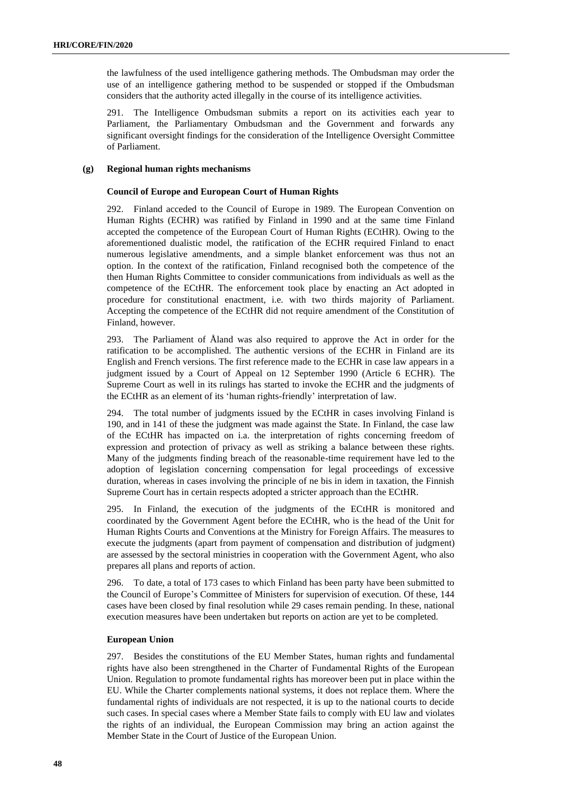the lawfulness of the used intelligence gathering methods. The Ombudsman may order the use of an intelligence gathering method to be suspended or stopped if the Ombudsman considers that the authority acted illegally in the course of its intelligence activities.

291. The Intelligence Ombudsman submits a report on its activities each year to Parliament, the Parliamentary Ombudsman and the Government and forwards any significant oversight findings for the consideration of the Intelligence Oversight Committee of Parliament.

# **(g) Regional human rights mechanisms**

# **Council of Europe and European Court of Human Rights**

292. Finland acceded to the Council of Europe in 1989. The European Convention on Human Rights (ECHR) was ratified by Finland in 1990 and at the same time Finland accepted the competence of the European Court of Human Rights (ECtHR). Owing to the aforementioned dualistic model, the ratification of the ECHR required Finland to enact numerous legislative amendments, and a simple blanket enforcement was thus not an option. In the context of the ratification, Finland recognised both the competence of the then Human Rights Committee to consider communications from individuals as well as the competence of the ECtHR. The enforcement took place by enacting an Act adopted in procedure for constitutional enactment, i.e. with two thirds majority of Parliament. Accepting the competence of the ECtHR did not require amendment of the Constitution of Finland, however.

293. The Parliament of Åland was also required to approve the Act in order for the ratification to be accomplished. The authentic versions of the ECHR in Finland are its English and French versions. The first reference made to the ECHR in case law appears in a judgment issued by a Court of Appeal on 12 September 1990 (Article 6 ECHR). The Supreme Court as well in its rulings has started to invoke the ECHR and the judgments of the ECtHR as an element of its 'human rights-friendly' interpretation of law.

294. The total number of judgments issued by the ECtHR in cases involving Finland is 190, and in 141 of these the judgment was made against the State. In Finland, the case law of the ECtHR has impacted on i.a. the interpretation of rights concerning freedom of expression and protection of privacy as well as striking a balance between these rights. Many of the judgments finding breach of the reasonable-time requirement have led to the adoption of legislation concerning compensation for legal proceedings of excessive duration, whereas in cases involving the principle of ne bis in idem in taxation, the Finnish Supreme Court has in certain respects adopted a stricter approach than the ECtHR.

295. In Finland, the execution of the judgments of the ECtHR is monitored and coordinated by the Government Agent before the ECtHR, who is the head of the Unit for Human Rights Courts and Conventions at the Ministry for Foreign Affairs. The measures to execute the judgments (apart from payment of compensation and distribution of judgment) are assessed by the sectoral ministries in cooperation with the Government Agent, who also prepares all plans and reports of action.

296. To date, a total of 173 cases to which Finland has been party have been submitted to the Council of Europe's Committee of Ministers for supervision of execution. Of these, 144 cases have been closed by final resolution while 29 cases remain pending. In these, national execution measures have been undertaken but reports on action are yet to be completed.

# **European Union**

297. Besides the constitutions of the EU Member States, human rights and fundamental rights have also been strengthened in the Charter of Fundamental Rights of the European Union. Regulation to promote fundamental rights has moreover been put in place within the EU. While the Charter complements national systems, it does not replace them. Where the fundamental rights of individuals are not respected, it is up to the national courts to decide such cases. In special cases where a Member State fails to comply with EU law and violates the rights of an individual, the European Commission may bring an action against the Member State in the Court of Justice of the European Union.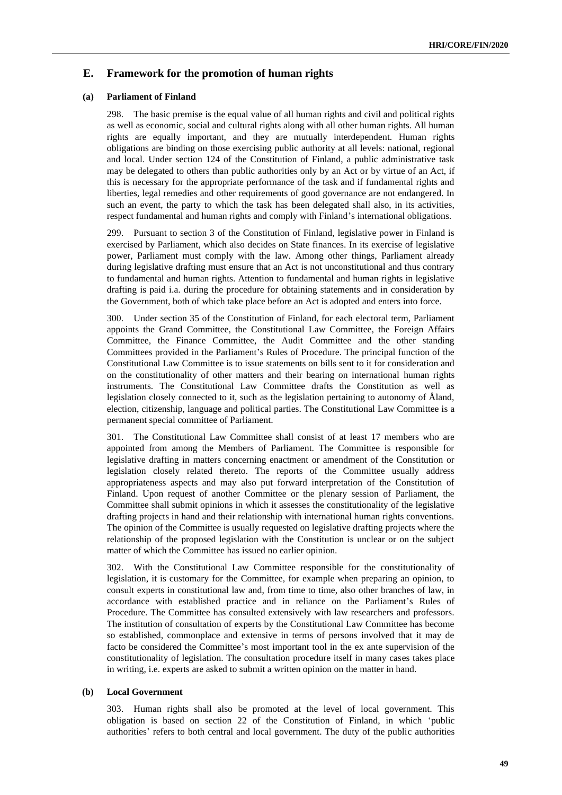# **E. Framework for the promotion of human rights**

## **(a) Parliament of Finland**

298. The basic premise is the equal value of all human rights and civil and political rights as well as economic, social and cultural rights along with all other human rights. All human rights are equally important, and they are mutually interdependent. Human rights obligations are binding on those exercising public authority at all levels: national, regional and local. Under section 124 of the Constitution of Finland, a public administrative task may be delegated to others than public authorities only by an Act or by virtue of an Act, if this is necessary for the appropriate performance of the task and if fundamental rights and liberties, legal remedies and other requirements of good governance are not endangered. In such an event, the party to which the task has been delegated shall also, in its activities, respect fundamental and human rights and comply with Finland's international obligations.

299. Pursuant to section 3 of the Constitution of Finland, legislative power in Finland is exercised by Parliament, which also decides on State finances. In its exercise of legislative power, Parliament must comply with the law. Among other things, Parliament already during legislative drafting must ensure that an Act is not unconstitutional and thus contrary to fundamental and human rights. Attention to fundamental and human rights in legislative drafting is paid i.a. during the procedure for obtaining statements and in consideration by the Government, both of which take place before an Act is adopted and enters into force.

300. Under section 35 of the Constitution of Finland, for each electoral term, Parliament appoints the Grand Committee, the Constitutional Law Committee, the Foreign Affairs Committee, the Finance Committee, the Audit Committee and the other standing Committees provided in the Parliament's Rules of Procedure. The principal function of the Constitutional Law Committee is to issue statements on bills sent to it for consideration and on the constitutionality of other matters and their bearing on international human rights instruments. The Constitutional Law Committee drafts the Constitution as well as legislation closely connected to it, such as the legislation pertaining to autonomy of Åland, election, citizenship, language and political parties. The Constitutional Law Committee is a permanent special committee of Parliament.

301. The Constitutional Law Committee shall consist of at least 17 members who are appointed from among the Members of Parliament. The Committee is responsible for legislative drafting in matters concerning enactment or amendment of the Constitution or legislation closely related thereto. The reports of the Committee usually address appropriateness aspects and may also put forward interpretation of the Constitution of Finland. Upon request of another Committee or the plenary session of Parliament, the Committee shall submit opinions in which it assesses the constitutionality of the legislative drafting projects in hand and their relationship with international human rights conventions. The opinion of the Committee is usually requested on legislative drafting projects where the relationship of the proposed legislation with the Constitution is unclear or on the subject matter of which the Committee has issued no earlier opinion.

302. With the Constitutional Law Committee responsible for the constitutionality of legislation, it is customary for the Committee, for example when preparing an opinion, to consult experts in constitutional law and, from time to time, also other branches of law, in accordance with established practice and in reliance on the Parliament's Rules of Procedure. The Committee has consulted extensively with law researchers and professors. The institution of consultation of experts by the Constitutional Law Committee has become so established, commonplace and extensive in terms of persons involved that it may de facto be considered the Committee's most important tool in the ex ante supervision of the constitutionality of legislation. The consultation procedure itself in many cases takes place in writing, i.e. experts are asked to submit a written opinion on the matter in hand.

# **(b) Local Government**

303. Human rights shall also be promoted at the level of local government. This obligation is based on section 22 of the Constitution of Finland, in which 'public authorities' refers to both central and local government. The duty of the public authorities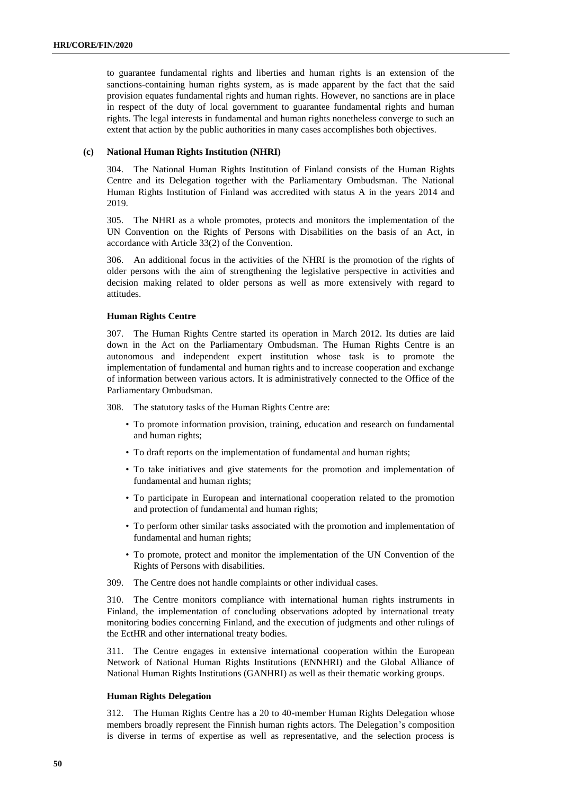to guarantee fundamental rights and liberties and human rights is an extension of the sanctions-containing human rights system, as is made apparent by the fact that the said provision equates fundamental rights and human rights. However, no sanctions are in place in respect of the duty of local government to guarantee fundamental rights and human rights. The legal interests in fundamental and human rights nonetheless converge to such an extent that action by the public authorities in many cases accomplishes both objectives.

# **(c) National Human Rights Institution (NHRI)**

304. The National Human Rights Institution of Finland consists of the Human Rights Centre and its Delegation together with the Parliamentary Ombudsman. The National Human Rights Institution of Finland was accredited with status A in the years 2014 and 2019.

305. The NHRI as a whole promotes, protects and monitors the implementation of the UN Convention on the Rights of Persons with Disabilities on the basis of an Act, in accordance with Article 33(2) of the Convention.

306. An additional focus in the activities of the NHRI is the promotion of the rights of older persons with the aim of strengthening the legislative perspective in activities and decision making related to older persons as well as more extensively with regard to attitudes.

# **Human Rights Centre**

307. The Human Rights Centre started its operation in March 2012. Its duties are laid down in the Act on the Parliamentary Ombudsman. The Human Rights Centre is an autonomous and independent expert institution whose task is to promote the implementation of fundamental and human rights and to increase cooperation and exchange of information between various actors. It is administratively connected to the Office of the Parliamentary Ombudsman.

308. The statutory tasks of the Human Rights Centre are:

- To promote information provision, training, education and research on fundamental and human rights;
- To draft reports on the implementation of fundamental and human rights;
- To take initiatives and give statements for the promotion and implementation of fundamental and human rights;
- To participate in European and international cooperation related to the promotion and protection of fundamental and human rights;
- To perform other similar tasks associated with the promotion and implementation of fundamental and human rights;
- To promote, protect and monitor the implementation of the UN Convention of the Rights of Persons with disabilities.
- 309. The Centre does not handle complaints or other individual cases.

310. The Centre monitors compliance with international human rights instruments in Finland, the implementation of concluding observations adopted by international treaty monitoring bodies concerning Finland, and the execution of judgments and other rulings of the EctHR and other international treaty bodies.

311. The Centre engages in extensive international cooperation within the European Network of National Human Rights Institutions (ENNHRI) and the Global Alliance of National Human Rights Institutions (GANHRI) as well as their thematic working groups.

# **Human Rights Delegation**

312. The Human Rights Centre has a 20 to 40-member Human Rights Delegation whose members broadly represent the Finnish human rights actors. The Delegation's composition is diverse in terms of expertise as well as representative, and the selection process is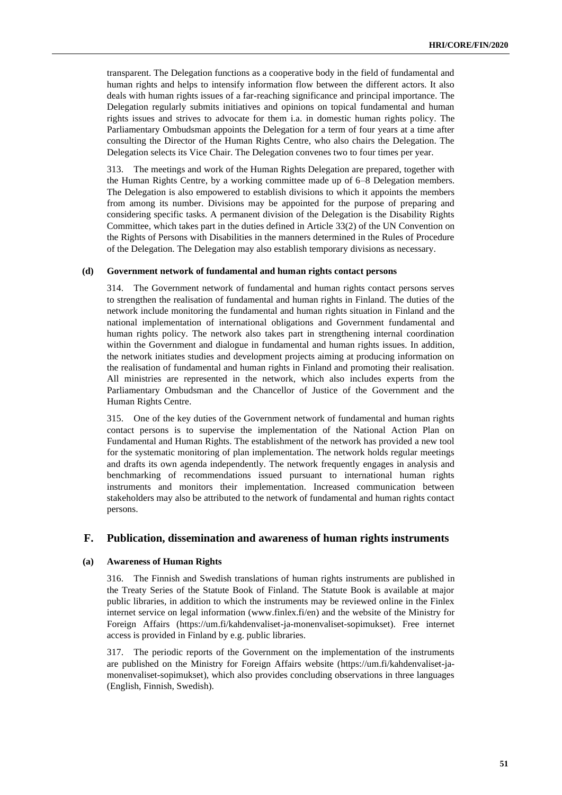transparent. The Delegation functions as a cooperative body in the field of fundamental and human rights and helps to intensify information flow between the different actors. It also deals with human rights issues of a far-reaching significance and principal importance. The Delegation regularly submits initiatives and opinions on topical fundamental and human rights issues and strives to advocate for them i.a. in domestic human rights policy. The Parliamentary Ombudsman appoints the Delegation for a term of four years at a time after consulting the Director of the Human Rights Centre, who also chairs the Delegation. The Delegation selects its Vice Chair. The Delegation convenes two to four times per year.

313. The meetings and work of the Human Rights Delegation are prepared, together with the Human Rights Centre, by a working committee made up of 6–8 Delegation members. The Delegation is also empowered to establish divisions to which it appoints the members from among its number. Divisions may be appointed for the purpose of preparing and considering specific tasks. A permanent division of the Delegation is the Disability Rights Committee, which takes part in the duties defined in Article 33(2) of the UN Convention on the Rights of Persons with Disabilities in the manners determined in the Rules of Procedure of the Delegation. The Delegation may also establish temporary divisions as necessary.

# **(d) Government network of fundamental and human rights contact persons**

314. The Government network of fundamental and human rights contact persons serves to strengthen the realisation of fundamental and human rights in Finland. The duties of the network include monitoring the fundamental and human rights situation in Finland and the national implementation of international obligations and Government fundamental and human rights policy. The network also takes part in strengthening internal coordination within the Government and dialogue in fundamental and human rights issues. In addition, the network initiates studies and development projects aiming at producing information on the realisation of fundamental and human rights in Finland and promoting their realisation. All ministries are represented in the network, which also includes experts from the Parliamentary Ombudsman and the Chancellor of Justice of the Government and the Human Rights Centre.

315. One of the key duties of the Government network of fundamental and human rights contact persons is to supervise the implementation of the National Action Plan on Fundamental and Human Rights. The establishment of the network has provided a new tool for the systematic monitoring of plan implementation. The network holds regular meetings and drafts its own agenda independently. The network frequently engages in analysis and benchmarking of recommendations issued pursuant to international human rights instruments and monitors their implementation. Increased communication between stakeholders may also be attributed to the network of fundamental and human rights contact persons.

# **F. Publication, dissemination and awareness of human rights instruments**

# **(a) Awareness of Human Rights**

316. The Finnish and Swedish translations of human rights instruments are published in the Treaty Series of the Statute Book of Finland. The Statute Book is available at major public libraries, in addition to which the instruments may be reviewed online in the Finlex internet service on legal information [\(www.finlex.fi/en\)](http://www.finlex.fi/en) and the website of the Ministry for Foreign Affairs [\(https://um.fi/kahdenvaliset-ja-monenvaliset-sopimukset\)](https://um.fi/kahdenvaliset-ja-monenvaliset-sopimukset). Free internet access is provided in Finland by e.g. public libraries.

317. The periodic reports of the Government on the implementation of the instruments are published on the Ministry for Foreign Affairs website [\(https://um.fi/kahdenvaliset-ja](https://um.fi/kahdenvaliset-ja-monenvaliset-sopimukset)[monenvaliset-sopimukset\)](https://um.fi/kahdenvaliset-ja-monenvaliset-sopimukset), which also provides concluding observations in three languages (English, Finnish, Swedish).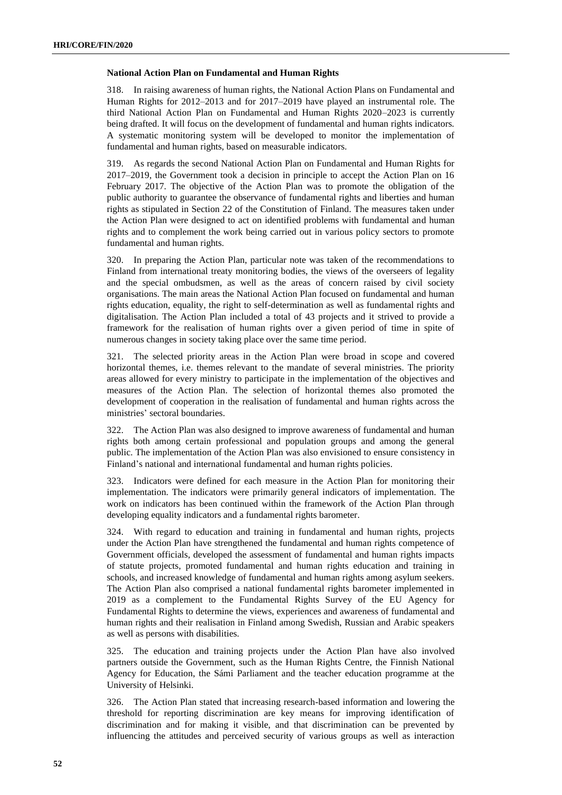### **National Action Plan on Fundamental and Human Rights**

318. In raising awareness of human rights, the National Action Plans on Fundamental and Human Rights for 2012–2013 and for 2017–2019 have played an instrumental role. The third National Action Plan on Fundamental and Human Rights 2020–2023 is currently being drafted. It will focus on the development of fundamental and human rights indicators. A systematic monitoring system will be developed to monitor the implementation of fundamental and human rights, based on measurable indicators.

319. As regards the second National Action Plan on Fundamental and Human Rights for 2017–2019, the Government took a decision in principle to accept the Action Plan on 16 February 2017. The objective of the Action Plan was to promote the obligation of the public authority to guarantee the observance of fundamental rights and liberties and human rights as stipulated in Section 22 of the Constitution of Finland. The measures taken under the Action Plan were designed to act on identified problems with fundamental and human rights and to complement the work being carried out in various policy sectors to promote fundamental and human rights.

320. In preparing the Action Plan, particular note was taken of the recommendations to Finland from international treaty monitoring bodies, the views of the overseers of legality and the special ombudsmen, as well as the areas of concern raised by civil society organisations. The main areas the National Action Plan focused on fundamental and human rights education, equality, the right to self-determination as well as fundamental rights and digitalisation. The Action Plan included a total of 43 projects and it strived to provide a framework for the realisation of human rights over a given period of time in spite of numerous changes in society taking place over the same time period.

321. The selected priority areas in the Action Plan were broad in scope and covered horizontal themes, i.e. themes relevant to the mandate of several ministries. The priority areas allowed for every ministry to participate in the implementation of the objectives and measures of the Action Plan. The selection of horizontal themes also promoted the development of cooperation in the realisation of fundamental and human rights across the ministries' sectoral boundaries.

322. The Action Plan was also designed to improve awareness of fundamental and human rights both among certain professional and population groups and among the general public. The implementation of the Action Plan was also envisioned to ensure consistency in Finland's national and international fundamental and human rights policies.

323. Indicators were defined for each measure in the Action Plan for monitoring their implementation. The indicators were primarily general indicators of implementation. The work on indicators has been continued within the framework of the Action Plan through developing equality indicators and a fundamental rights barometer.

324. With regard to education and training in fundamental and human rights, projects under the Action Plan have strengthened the fundamental and human rights competence of Government officials, developed the assessment of fundamental and human rights impacts of statute projects, promoted fundamental and human rights education and training in schools, and increased knowledge of fundamental and human rights among asylum seekers. The Action Plan also comprised a national fundamental rights barometer implemented in 2019 as a complement to the Fundamental Rights Survey of the EU Agency for Fundamental Rights to determine the views, experiences and awareness of fundamental and human rights and their realisation in Finland among Swedish, Russian and Arabic speakers as well as persons with disabilities.

325. The education and training projects under the Action Plan have also involved partners outside the Government, such as the Human Rights Centre, the Finnish National Agency for Education, the Sámi Parliament and the teacher education programme at the University of Helsinki.

326. The Action Plan stated that increasing research-based information and lowering the threshold for reporting discrimination are key means for improving identification of discrimination and for making it visible, and that discrimination can be prevented by influencing the attitudes and perceived security of various groups as well as interaction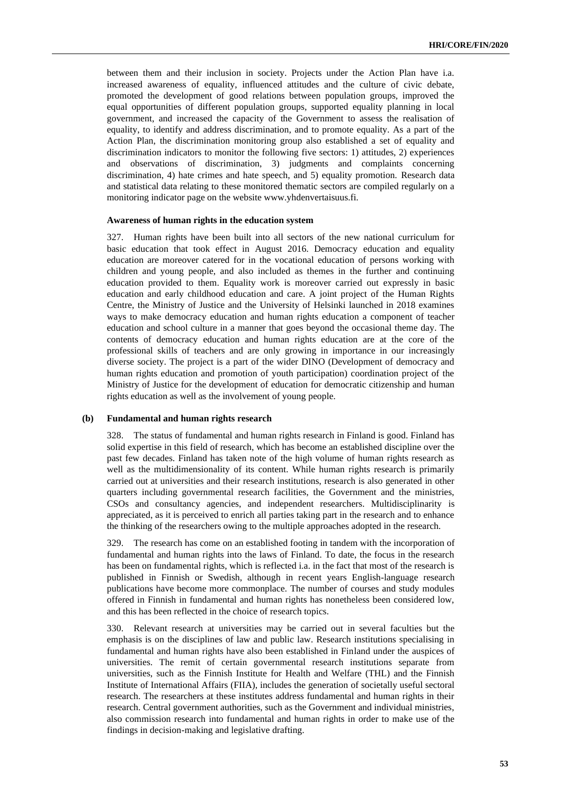between them and their inclusion in society. Projects under the Action Plan have i.a. increased awareness of equality, influenced attitudes and the culture of civic debate, promoted the development of good relations between population groups, improved the equal opportunities of different population groups, supported equality planning in local government, and increased the capacity of the Government to assess the realisation of equality, to identify and address discrimination, and to promote equality. As a part of the Action Plan, the discrimination monitoring group also established a set of equality and discrimination indicators to monitor the following five sectors: 1) attitudes, 2) experiences and observations of discrimination, 3) judgments and complaints concerning discrimination, 4) hate crimes and hate speech, and 5) equality promotion. Research data and statistical data relating to these monitored thematic sectors are compiled regularly on a monitoring indicator page on the website www.yhdenvertaisuus.fi.

#### **Awareness of human rights in the education system**

327. Human rights have been built into all sectors of the new national curriculum for basic education that took effect in August 2016. Democracy education and equality education are moreover catered for in the vocational education of persons working with children and young people, and also included as themes in the further and continuing education provided to them. Equality work is moreover carried out expressly in basic education and early childhood education and care. A joint project of the Human Rights Centre, the Ministry of Justice and the University of Helsinki launched in 2018 examines ways to make democracy education and human rights education a component of teacher education and school culture in a manner that goes beyond the occasional theme day. The contents of democracy education and human rights education are at the core of the professional skills of teachers and are only growing in importance in our increasingly diverse society. The project is a part of the wider DINO (Development of democracy and human rights education and promotion of youth participation) coordination project of the Ministry of Justice for the development of education for democratic citizenship and human rights education as well as the involvement of young people.

#### **(b) Fundamental and human rights research**

328. The status of fundamental and human rights research in Finland is good. Finland has solid expertise in this field of research, which has become an established discipline over the past few decades. Finland has taken note of the high volume of human rights research as well as the multidimensionality of its content. While human rights research is primarily carried out at universities and their research institutions, research is also generated in other quarters including governmental research facilities, the Government and the ministries, CSOs and consultancy agencies, and independent researchers. Multidisciplinarity is appreciated, as it is perceived to enrich all parties taking part in the research and to enhance the thinking of the researchers owing to the multiple approaches adopted in the research.

329. The research has come on an established footing in tandem with the incorporation of fundamental and human rights into the laws of Finland. To date, the focus in the research has been on fundamental rights, which is reflected i.a. in the fact that most of the research is published in Finnish or Swedish, although in recent years English-language research publications have become more commonplace. The number of courses and study modules offered in Finnish in fundamental and human rights has nonetheless been considered low, and this has been reflected in the choice of research topics.

330. Relevant research at universities may be carried out in several faculties but the emphasis is on the disciplines of law and public law. Research institutions specialising in fundamental and human rights have also been established in Finland under the auspices of universities. The remit of certain governmental research institutions separate from universities, such as the Finnish Institute for Health and Welfare (THL) and the Finnish Institute of International Affairs (FIIA), includes the generation of societally useful sectoral research. The researchers at these institutes address fundamental and human rights in their research. Central government authorities, such as the Government and individual ministries, also commission research into fundamental and human rights in order to make use of the findings in decision-making and legislative drafting.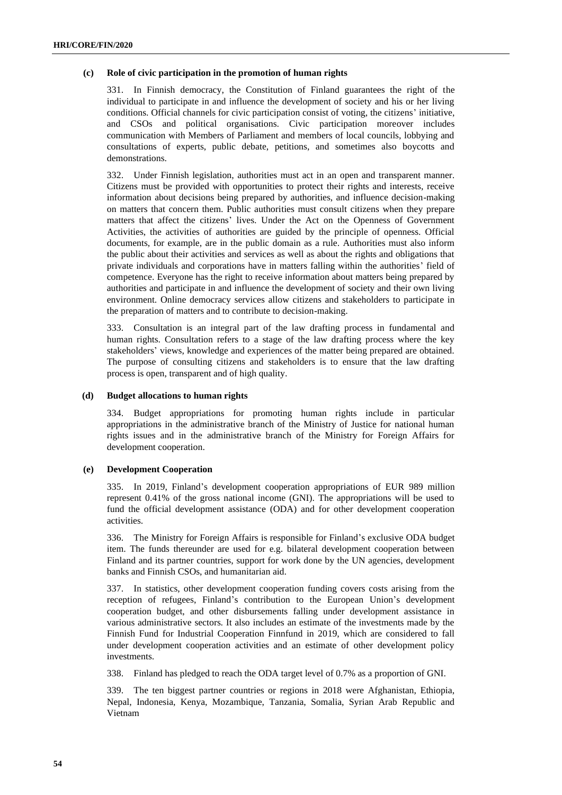# **(c) Role of civic participation in the promotion of human rights**

331. In Finnish democracy, the Constitution of Finland guarantees the right of the individual to participate in and influence the development of society and his or her living conditions. Official channels for civic participation consist of voting, the citizens' initiative, and CSOs and political organisations. Civic participation moreover includes communication with Members of Parliament and members of local councils, lobbying and consultations of experts, public debate, petitions, and sometimes also boycotts and demonstrations.

332. Under Finnish legislation, authorities must act in an open and transparent manner. Citizens must be provided with opportunities to protect their rights and interests, receive information about decisions being prepared by authorities, and influence decision-making on matters that concern them. Public authorities must consult citizens when they prepare matters that affect the citizens' lives. Under the Act on the Openness of Government Activities, the activities of authorities are guided by the principle of openness. Official documents, for example, are in the public domain as a rule. Authorities must also inform the public about their activities and services as well as about the rights and obligations that private individuals and corporations have in matters falling within the authorities' field of competence. Everyone has the right to receive information about matters being prepared by authorities and participate in and influence the development of society and their own living environment. Online democracy services allow citizens and stakeholders to participate in the preparation of matters and to contribute to decision-making.

333. Consultation is an integral part of the law drafting process in fundamental and human rights. Consultation refers to a stage of the law drafting process where the key stakeholders' views, knowledge and experiences of the matter being prepared are obtained. The purpose of consulting citizens and stakeholders is to ensure that the law drafting process is open, transparent and of high quality.

# **(d) Budget allocations to human rights**

334. Budget appropriations for promoting human rights include in particular appropriations in the administrative branch of the Ministry of Justice for national human rights issues and in the administrative branch of the Ministry for Foreign Affairs for development cooperation.

# **(e) Development Cooperation**

335. In 2019, Finland's development cooperation appropriations of EUR 989 million represent 0.41% of the gross national income (GNI). The appropriations will be used to fund the official development assistance (ODA) and for other development cooperation activities.

336. The Ministry for Foreign Affairs is responsible for Finland's exclusive ODA budget item. The funds thereunder are used for e.g. bilateral development cooperation between Finland and its partner countries, support for work done by the UN agencies, development banks and Finnish CSOs, and humanitarian aid.

337. In statistics, other development cooperation funding covers costs arising from the reception of refugees, Finland's contribution to the European Union's development cooperation budget, and other disbursements falling under development assistance in various administrative sectors. It also includes an estimate of the investments made by the Finnish Fund for Industrial Cooperation Finnfund in 2019, which are considered to fall under development cooperation activities and an estimate of other development policy investments.

338. Finland has pledged to reach the ODA target level of 0.7% as a proportion of GNI.

339. The ten biggest partner countries or regions in 2018 were Afghanistan, Ethiopia, Nepal, Indonesia, Kenya, Mozambique, Tanzania, Somalia, Syrian Arab Republic and Vietnam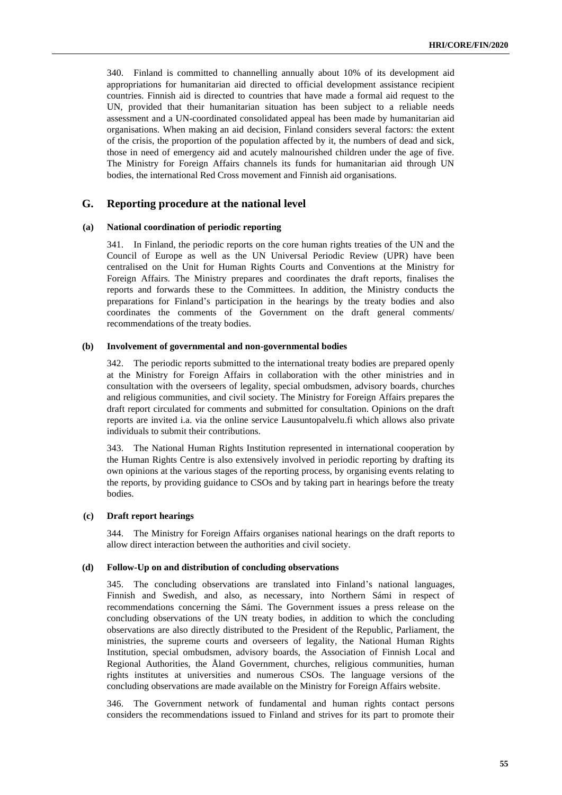340. Finland is committed to channelling annually about 10% of its development aid appropriations for humanitarian aid directed to official development assistance recipient countries. Finnish aid is directed to countries that have made a formal aid request to the UN, provided that their humanitarian situation has been subject to a reliable needs assessment and a UN-coordinated consolidated appeal has been made by humanitarian aid organisations. When making an aid decision, Finland considers several factors: the extent of the crisis, the proportion of the population affected by it, the numbers of dead and sick, those in need of emergency aid and acutely malnourished children under the age of five. The Ministry for Foreign Affairs channels its funds for humanitarian aid through UN bodies, the international Red Cross movement and Finnish aid organisations.

# **G. Reporting procedure at the national level**

#### **(a) National coordination of periodic reporting**

341. In Finland, the periodic reports on the core human rights treaties of the UN and the Council of Europe as well as the UN Universal Periodic Review (UPR) have been centralised on the Unit for Human Rights Courts and Conventions at the Ministry for Foreign Affairs. The Ministry prepares and coordinates the draft reports, finalises the reports and forwards these to the Committees. In addition, the Ministry conducts the preparations for Finland's participation in the hearings by the treaty bodies and also coordinates the comments of the Government on the draft general comments/ recommendations of the treaty bodies.

#### **(b) Involvement of governmental and non-governmental bodies**

342. The periodic reports submitted to the international treaty bodies are prepared openly at the Ministry for Foreign Affairs in collaboration with the other ministries and in consultation with the overseers of legality, special ombudsmen, advisory boards, churches and religious communities, and civil society. The Ministry for Foreign Affairs prepares the draft report circulated for comments and submitted for consultation. Opinions on the draft reports are invited i.a. via the online service Lausuntopalvelu.fi which allows also private individuals to submit their contributions.

343. The National Human Rights Institution represented in international cooperation by the Human Rights Centre is also extensively involved in periodic reporting by drafting its own opinions at the various stages of the reporting process, by organising events relating to the reports, by providing guidance to CSOs and by taking part in hearings before the treaty bodies.

#### **(c) Draft report hearings**

344. The Ministry for Foreign Affairs organises national hearings on the draft reports to allow direct interaction between the authorities and civil society.

# **(d) Follow-Up on and distribution of concluding observations**

345. The concluding observations are translated into Finland's national languages, Finnish and Swedish, and also, as necessary, into Northern Sámi in respect of recommendations concerning the Sámi. The Government issues a press release on the concluding observations of the UN treaty bodies, in addition to which the concluding observations are also directly distributed to the President of the Republic, Parliament, the ministries, the supreme courts and overseers of legality, the National Human Rights Institution, special ombudsmen, advisory boards, the Association of Finnish Local and Regional Authorities, the Åland Government, churches, religious communities, human rights institutes at universities and numerous CSOs. The language versions of the concluding observations are made available on the Ministry for Foreign Affairs website.

346. The Government network of fundamental and human rights contact persons considers the recommendations issued to Finland and strives for its part to promote their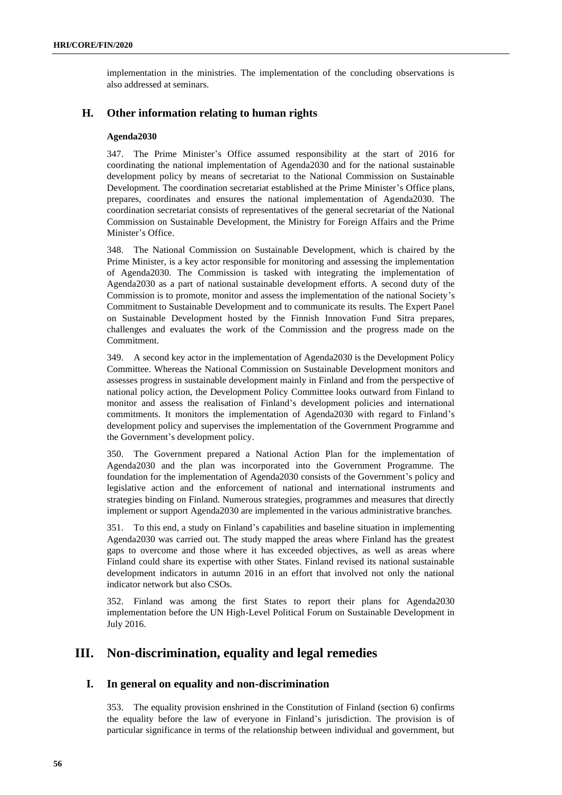implementation in the ministries. The implementation of the concluding observations is also addressed at seminars.

# **H. Other information relating to human rights**

# **Agenda2030**

347. The Prime Minister's Office assumed responsibility at the start of 2016 for coordinating the national implementation of Agenda2030 and for the national sustainable development policy by means of secretariat to the National Commission on Sustainable Development. The coordination secretariat established at the Prime Minister's Office plans, prepares, coordinates and ensures the national implementation of Agenda2030. The coordination secretariat consists of representatives of the general secretariat of the National Commission on Sustainable Development, the Ministry for Foreign Affairs and the Prime Minister's Office.

348. The National Commission on Sustainable Development, which is chaired by the Prime Minister, is a key actor responsible for monitoring and assessing the implementation of Agenda2030. The Commission is tasked with integrating the implementation of Agenda2030 as a part of national sustainable development efforts. A second duty of the Commission is to promote, monitor and assess the implementation of the national Society's Commitment to Sustainable Development and to communicate its results. The Expert Panel on Sustainable Development hosted by the Finnish Innovation Fund Sitra prepares, challenges and evaluates the work of the Commission and the progress made on the Commitment.

349. A second key actor in the implementation of Agenda2030 is the Development Policy Committee. Whereas the National Commission on Sustainable Development monitors and assesses progress in sustainable development mainly in Finland and from the perspective of national policy action, the Development Policy Committee looks outward from Finland to monitor and assess the realisation of Finland's development policies and international commitments. It monitors the implementation of Agenda2030 with regard to Finland's development policy and supervises the implementation of the Government Programme and the Government's development policy.

350. The Government prepared a National Action Plan for the implementation of Agenda2030 and the plan was incorporated into the Government Programme. The foundation for the implementation of Agenda2030 consists of the Government's policy and legislative action and the enforcement of national and international instruments and strategies binding on Finland. Numerous strategies, programmes and measures that directly implement or support Agenda2030 are implemented in the various administrative branches.

351. To this end, a study on Finland's capabilities and baseline situation in implementing Agenda2030 was carried out. The study mapped the areas where Finland has the greatest gaps to overcome and those where it has exceeded objectives, as well as areas where Finland could share its expertise with other States. Finland revised its national sustainable development indicators in autumn 2016 in an effort that involved not only the national indicator network but also CSOs.

352. Finland was among the first States to report their plans for Agenda2030 implementation before the UN High-Level Political Forum on Sustainable Development in July 2016.

# **III. Non-discrimination, equality and legal remedies**

# **I. In general on equality and non-discrimination**

353. The equality provision enshrined in the Constitution of Finland (section 6) confirms the equality before the law of everyone in Finland's jurisdiction. The provision is of particular significance in terms of the relationship between individual and government, but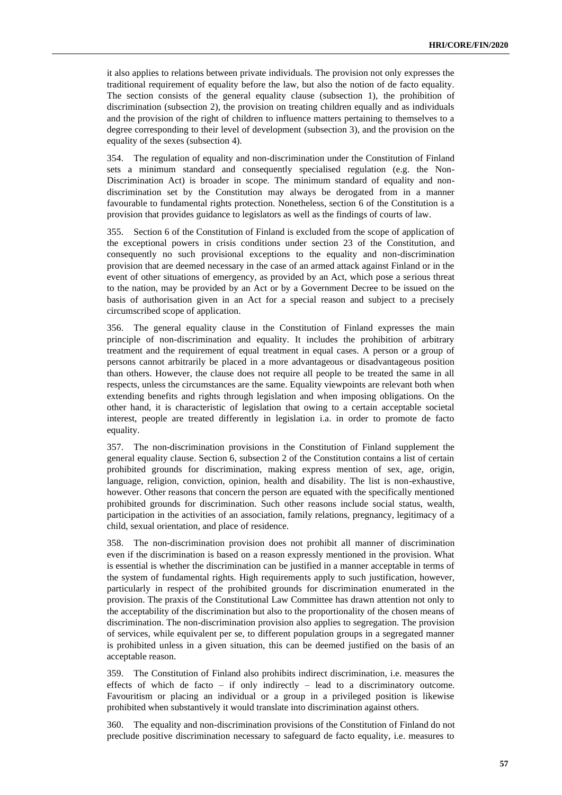it also applies to relations between private individuals. The provision not only expresses the traditional requirement of equality before the law, but also the notion of de facto equality. The section consists of the general equality clause (subsection 1), the prohibition of discrimination (subsection 2), the provision on treating children equally and as individuals and the provision of the right of children to influence matters pertaining to themselves to a degree corresponding to their level of development (subsection 3), and the provision on the equality of the sexes (subsection 4).

354. The regulation of equality and non-discrimination under the Constitution of Finland sets a minimum standard and consequently specialised regulation (e.g. the Non-Discrimination Act) is broader in scope. The minimum standard of equality and nondiscrimination set by the Constitution may always be derogated from in a manner favourable to fundamental rights protection. Nonetheless, section 6 of the Constitution is a provision that provides guidance to legislators as well as the findings of courts of law.

355. Section 6 of the Constitution of Finland is excluded from the scope of application of the exceptional powers in crisis conditions under section 23 of the Constitution, and consequently no such provisional exceptions to the equality and non-discrimination provision that are deemed necessary in the case of an armed attack against Finland or in the event of other situations of emergency, as provided by an Act, which pose a serious threat to the nation, may be provided by an Act or by a Government Decree to be issued on the basis of authorisation given in an Act for a special reason and subject to a precisely circumscribed scope of application.

356. The general equality clause in the Constitution of Finland expresses the main principle of non-discrimination and equality. It includes the prohibition of arbitrary treatment and the requirement of equal treatment in equal cases. A person or a group of persons cannot arbitrarily be placed in a more advantageous or disadvantageous position than others. However, the clause does not require all people to be treated the same in all respects, unless the circumstances are the same. Equality viewpoints are relevant both when extending benefits and rights through legislation and when imposing obligations. On the other hand, it is characteristic of legislation that owing to a certain acceptable societal interest, people are treated differently in legislation i.a. in order to promote de facto equality.

357. The non-discrimination provisions in the Constitution of Finland supplement the general equality clause. Section 6, subsection 2 of the Constitution contains a list of certain prohibited grounds for discrimination, making express mention of sex, age, origin, language, religion, conviction, opinion, health and disability. The list is non-exhaustive, however. Other reasons that concern the person are equated with the specifically mentioned prohibited grounds for discrimination. Such other reasons include social status, wealth, participation in the activities of an association, family relations, pregnancy, legitimacy of a child, sexual orientation, and place of residence.

358. The non-discrimination provision does not prohibit all manner of discrimination even if the discrimination is based on a reason expressly mentioned in the provision. What is essential is whether the discrimination can be justified in a manner acceptable in terms of the system of fundamental rights. High requirements apply to such justification, however, particularly in respect of the prohibited grounds for discrimination enumerated in the provision. The praxis of the Constitutional Law Committee has drawn attention not only to the acceptability of the discrimination but also to the proportionality of the chosen means of discrimination. The non-discrimination provision also applies to segregation. The provision of services, while equivalent per se, to different population groups in a segregated manner is prohibited unless in a given situation, this can be deemed justified on the basis of an acceptable reason.

359. The Constitution of Finland also prohibits indirect discrimination, i.e. measures the effects of which de facto – if only indirectly – lead to a discriminatory outcome. Favouritism or placing an individual or a group in a privileged position is likewise prohibited when substantively it would translate into discrimination against others.

360. The equality and non-discrimination provisions of the Constitution of Finland do not preclude positive discrimination necessary to safeguard de facto equality, i.e. measures to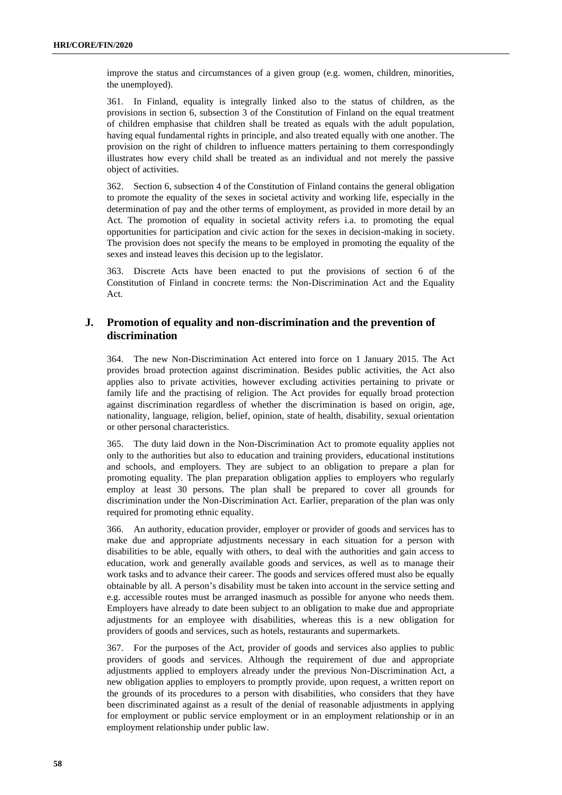improve the status and circumstances of a given group (e.g. women, children, minorities, the unemployed).

361. In Finland, equality is integrally linked also to the status of children, as the provisions in section 6, subsection 3 of the Constitution of Finland on the equal treatment of children emphasise that children shall be treated as equals with the adult population, having equal fundamental rights in principle, and also treated equally with one another. The provision on the right of children to influence matters pertaining to them correspondingly illustrates how every child shall be treated as an individual and not merely the passive object of activities.

362. Section 6, subsection 4 of the Constitution of Finland contains the general obligation to promote the equality of the sexes in societal activity and working life, especially in the determination of pay and the other terms of employment, as provided in more detail by an Act. The promotion of equality in societal activity refers i.a. to promoting the equal opportunities for participation and civic action for the sexes in decision-making in society. The provision does not specify the means to be employed in promoting the equality of the sexes and instead leaves this decision up to the legislator.

363. Discrete Acts have been enacted to put the provisions of section 6 of the Constitution of Finland in concrete terms: the Non-Discrimination Act and the Equality Act.

# **J. Promotion of equality and non-discrimination and the prevention of discrimination**

364. The new Non-Discrimination Act entered into force on 1 January 2015. The Act provides broad protection against discrimination. Besides public activities, the Act also applies also to private activities, however excluding activities pertaining to private or family life and the practising of religion. The Act provides for equally broad protection against discrimination regardless of whether the discrimination is based on origin, age, nationality, language, religion, belief, opinion, state of health, disability, sexual orientation or other personal characteristics.

365. The duty laid down in the Non-Discrimination Act to promote equality applies not only to the authorities but also to education and training providers, educational institutions and schools, and employers. They are subject to an obligation to prepare a plan for promoting equality. The plan preparation obligation applies to employers who regularly employ at least 30 persons. The plan shall be prepared to cover all grounds for discrimination under the Non-Discrimination Act. Earlier, preparation of the plan was only required for promoting ethnic equality.

366. An authority, education provider, employer or provider of goods and services has to make due and appropriate adjustments necessary in each situation for a person with disabilities to be able, equally with others, to deal with the authorities and gain access to education, work and generally available goods and services, as well as to manage their work tasks and to advance their career. The goods and services offered must also be equally obtainable by all. A person's disability must be taken into account in the service setting and e.g. accessible routes must be arranged inasmuch as possible for anyone who needs them. Employers have already to date been subject to an obligation to make due and appropriate adjustments for an employee with disabilities, whereas this is a new obligation for providers of goods and services, such as hotels, restaurants and supermarkets.

367. For the purposes of the Act, provider of goods and services also applies to public providers of goods and services. Although the requirement of due and appropriate adjustments applied to employers already under the previous Non-Discrimination Act, a new obligation applies to employers to promptly provide, upon request, a written report on the grounds of its procedures to a person with disabilities, who considers that they have been discriminated against as a result of the denial of reasonable adjustments in applying for employment or public service employment or in an employment relationship or in an employment relationship under public law.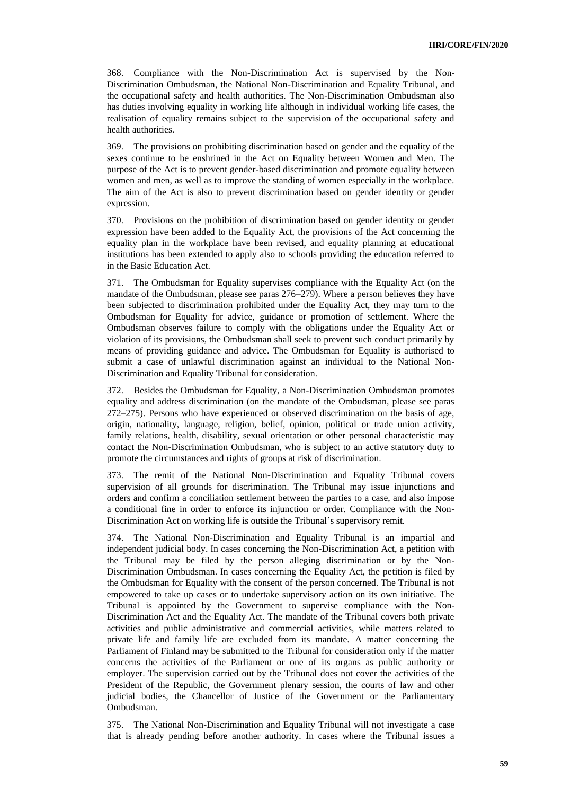368. Compliance with the Non-Discrimination Act is supervised by the Non-Discrimination Ombudsman, the National Non-Discrimination and Equality Tribunal, and the occupational safety and health authorities. The Non-Discrimination Ombudsman also has duties involving equality in working life although in individual working life cases, the realisation of equality remains subject to the supervision of the occupational safety and health authorities.

369. The provisions on prohibiting discrimination based on gender and the equality of the sexes continue to be enshrined in the Act on Equality between Women and Men. The purpose of the Act is to prevent gender-based discrimination and promote equality between women and men, as well as to improve the standing of women especially in the workplace. The aim of the Act is also to prevent discrimination based on gender identity or gender expression.

370. Provisions on the prohibition of discrimination based on gender identity or gender expression have been added to the Equality Act, the provisions of the Act concerning the equality plan in the workplace have been revised, and equality planning at educational institutions has been extended to apply also to schools providing the education referred to in the Basic Education Act.

371. The Ombudsman for Equality supervises compliance with the Equality Act (on the mandate of the Ombudsman, please see paras 276–279). Where a person believes they have been subjected to discrimination prohibited under the Equality Act, they may turn to the Ombudsman for Equality for advice, guidance or promotion of settlement. Where the Ombudsman observes failure to comply with the obligations under the Equality Act or violation of its provisions, the Ombudsman shall seek to prevent such conduct primarily by means of providing guidance and advice. The Ombudsman for Equality is authorised to submit a case of unlawful discrimination against an individual to the National Non-Discrimination and Equality Tribunal for consideration.

372. Besides the Ombudsman for Equality, a Non-Discrimination Ombudsman promotes equality and address discrimination (on the mandate of the Ombudsman, please see paras 272–275). Persons who have experienced or observed discrimination on the basis of age, origin, nationality, language, religion, belief, opinion, political or trade union activity, family relations, health, disability, sexual orientation or other personal characteristic may contact the Non-Discrimination Ombudsman, who is subject to an active statutory duty to promote the circumstances and rights of groups at risk of discrimination.

373. The remit of the National Non-Discrimination and Equality Tribunal covers supervision of all grounds for discrimination. The Tribunal may issue injunctions and orders and confirm a conciliation settlement between the parties to a case, and also impose a conditional fine in order to enforce its injunction or order. Compliance with the Non-Discrimination Act on working life is outside the Tribunal's supervisory remit.

374. The National Non-Discrimination and Equality Tribunal is an impartial and independent judicial body. In cases concerning the Non-Discrimination Act, a petition with the Tribunal may be filed by the person alleging discrimination or by the Non-Discrimination Ombudsman. In cases concerning the Equality Act, the petition is filed by the Ombudsman for Equality with the consent of the person concerned. The Tribunal is not empowered to take up cases or to undertake supervisory action on its own initiative. The Tribunal is appointed by the Government to supervise compliance with the Non-Discrimination Act and the Equality Act. The mandate of the Tribunal covers both private activities and public administrative and commercial activities, while matters related to private life and family life are excluded from its mandate. A matter concerning the Parliament of Finland may be submitted to the Tribunal for consideration only if the matter concerns the activities of the Parliament or one of its organs as public authority or employer. The supervision carried out by the Tribunal does not cover the activities of the President of the Republic, the Government plenary session, the courts of law and other judicial bodies, the Chancellor of Justice of the Government or the Parliamentary Ombudsman.

375. The National Non-Discrimination and Equality Tribunal will not investigate a case that is already pending before another authority. In cases where the Tribunal issues a